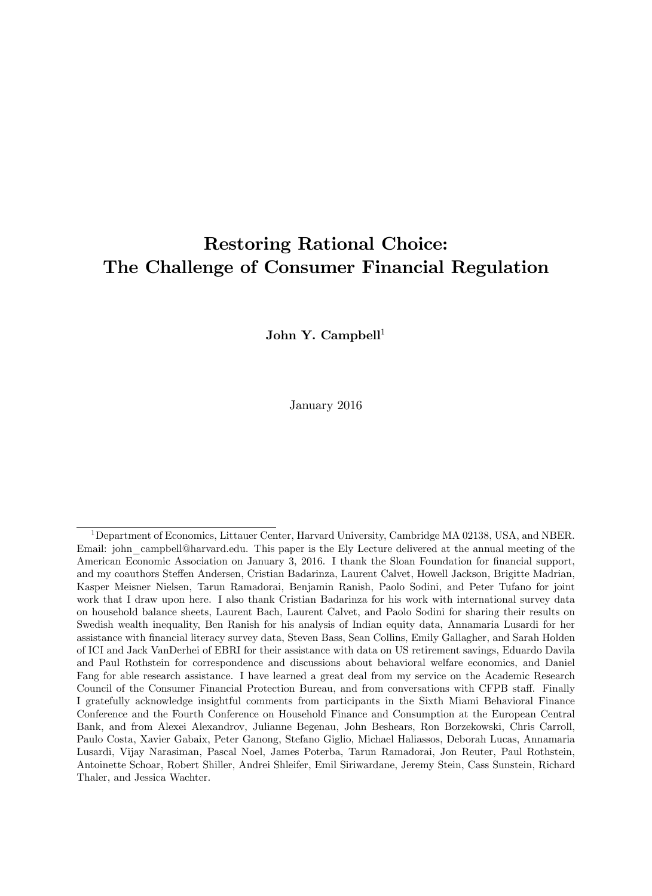# Restoring Rational Choice: The Challenge of Consumer Financial Regulation

John Y. Campbell<sup>1</sup>

January 2016

<sup>&</sup>lt;sup>1</sup>Department of Economics, Littauer Center, Harvard University, Cambridge MA 02138, USA, and NBER. Email: john campbell@harvard.edu. This paper is the Ely Lecture delivered at the annual meeting of the American Economic Association on January 3, 2016. I thank the Sloan Foundation for financial support, and my coauthors Steffen Andersen, Cristian Badarinza, Laurent Calvet, Howell Jackson, Brigitte Madrian, Kasper Meisner Nielsen, Tarun Ramadorai, Benjamin Ranish, Paolo Sodini, and Peter Tufano for joint work that I draw upon here. I also thank Cristian Badarinza for his work with international survey data on household balance sheets, Laurent Bach, Laurent Calvet, and Paolo Sodini for sharing their results on Swedish wealth inequality, Ben Ranish for his analysis of Indian equity data, Annamaria Lusardi for her assistance with Önancial literacy survey data, Steven Bass, Sean Collins, Emily Gallagher, and Sarah Holden of ICI and Jack VanDerhei of EBRI for their assistance with data on US retirement savings, Eduardo Davila and Paul Rothstein for correspondence and discussions about behavioral welfare economics, and Daniel Fang for able research assistance. I have learned a great deal from my service on the Academic Research Council of the Consumer Financial Protection Bureau, and from conversations with CFPB staff. Finally I gratefully acknowledge insightful comments from participants in the Sixth Miami Behavioral Finance Conference and the Fourth Conference on Household Finance and Consumption at the European Central Bank, and from Alexei Alexandrov, Julianne Begenau, John Beshears, Ron Borzekowski, Chris Carroll, Paulo Costa, Xavier Gabaix, Peter Ganong, Stefano Giglio, Michael Haliassos, Deborah Lucas, Annamaria Lusardi, Vijay Narasiman, Pascal Noel, James Poterba, Tarun Ramadorai, Jon Reuter, Paul Rothstein, Antoinette Schoar, Robert Shiller, Andrei Shleifer, Emil Siriwardane, Jeremy Stein, Cass Sunstein, Richard Thaler, and Jessica Wachter.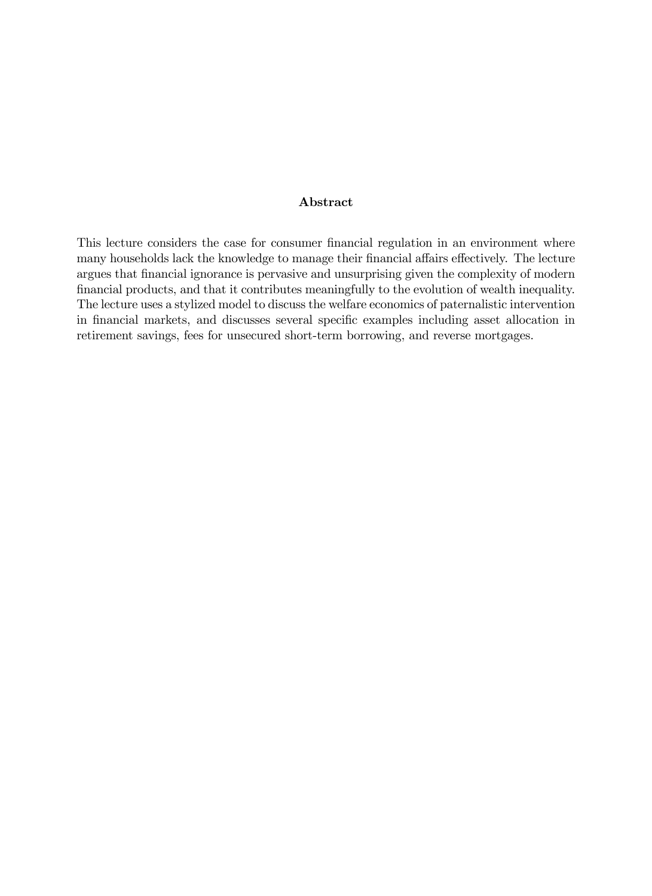#### Abstract

This lecture considers the case for consumer financial regulation in an environment where many households lack the knowledge to manage their financial affairs effectively. The lecture argues that financial ignorance is pervasive and unsurprising given the complexity of modern financial products, and that it contributes meaningfully to the evolution of wealth inequality. The lecture uses a stylized model to discuss the welfare economics of paternalistic intervention in financial markets, and discusses several specific examples including asset allocation in retirement savings, fees for unsecured short-term borrowing, and reverse mortgages.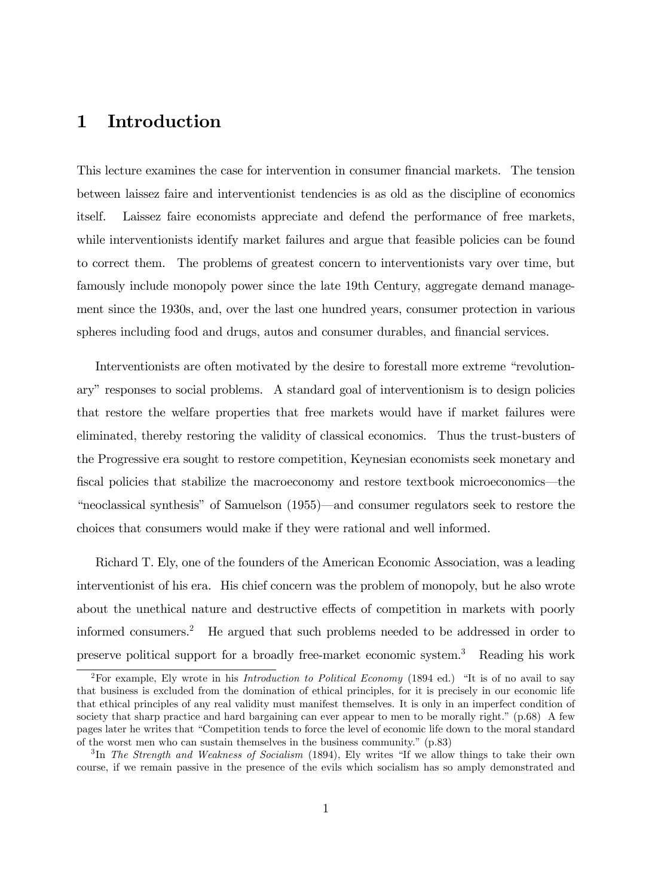# 1 Introduction

This lecture examines the case for intervention in consumer financial markets. The tension between laissez faire and interventionist tendencies is as old as the discipline of economics itself. Laissez faire economists appreciate and defend the performance of free markets, while interventionists identify market failures and argue that feasible policies can be found to correct them. The problems of greatest concern to interventionists vary over time, but famously include monopoly power since the late 19th Century, aggregate demand management since the 1930s, and, over the last one hundred years, consumer protection in various spheres including food and drugs, autos and consumer durables, and financial services.

Interventionists are often motivated by the desire to forestall more extreme "revolutionaryî responses to social problems. A standard goal of interventionism is to design policies that restore the welfare properties that free markets would have if market failures were eliminated, thereby restoring the validity of classical economics. Thus the trust-busters of the Progressive era sought to restore competition, Keynesian economists seek monetary and fiscal policies that stabilize the macroeconomy and restore textbook microeconomics—the "neoclassical synthesis" of Samuelson (1955)—and consumer regulators seek to restore the choices that consumers would make if they were rational and well informed.

Richard T. Ely, one of the founders of the American Economic Association, was a leading interventionist of his era. His chief concern was the problem of monopoly, but he also wrote about the unethical nature and destructive effects of competition in markets with poorly informed consumers.<sup>2</sup> He argued that such problems needed to be addressed in order to preserve political support for a broadly free-market economic system.<sup>3</sup> Reading his work

<sup>&</sup>lt;sup>2</sup>For example, Ely wrote in his *Introduction to Political Economy* (1894 ed.) "It is of no avail to say that business is excluded from the domination of ethical principles, for it is precisely in our economic life that ethical principles of any real validity must manifest themselves. It is only in an imperfect condition of society that sharp practice and hard bargaining can ever appear to men to be morally right."  $(p.68)$  A few pages later he writes that ìCompetition tends to force the level of economic life down to the moral standard of the worst men who can sustain themselves in the business community."  $(p.83)$ 

 ${}^{3}\text{In}$  The Strength and Weakness of Socialism (1894), Ely writes "If we allow things to take their own course, if we remain passive in the presence of the evils which socialism has so amply demonstrated and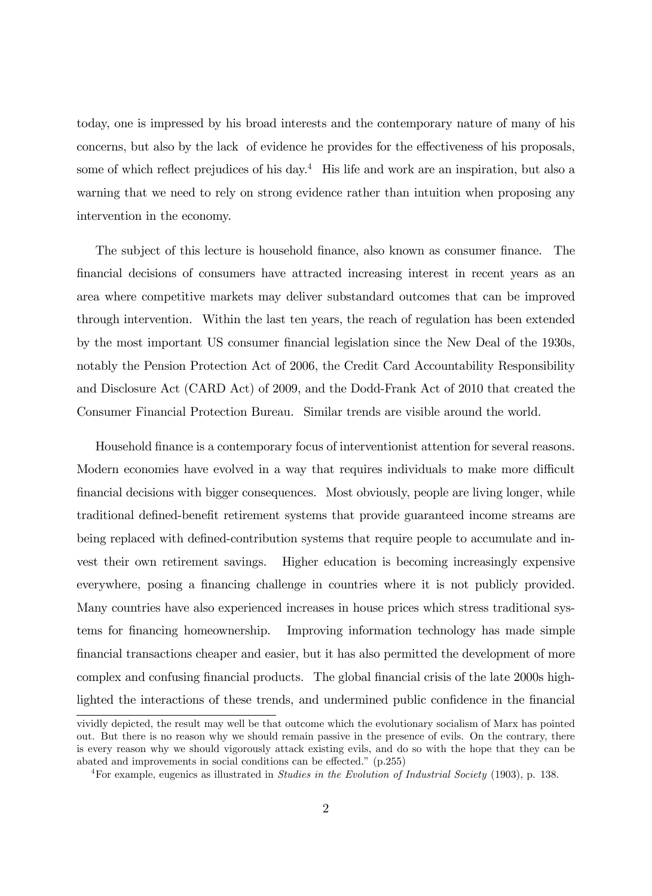today, one is impressed by his broad interests and the contemporary nature of many of his concerns, but also by the lack of evidence he provides for the effectiveness of his proposals, some of which reflect prejudices of his day. $4$  His life and work are an inspiration, but also a warning that we need to rely on strong evidence rather than intuition when proposing any intervention in the economy.

The subject of this lecture is household finance, also known as consumer finance. The Önancial decisions of consumers have attracted increasing interest in recent years as an area where competitive markets may deliver substandard outcomes that can be improved through intervention. Within the last ten years, the reach of regulation has been extended by the most important US consumer financial legislation since the New Deal of the 1930s, notably the Pension Protection Act of 2006, the Credit Card Accountability Responsibility and Disclosure Act (CARD Act) of 2009, and the Dodd-Frank Act of 2010 that created the Consumer Financial Protection Bureau. Similar trends are visible around the world.

Household Önance is a contemporary focus of interventionist attention for several reasons. Modern economies have evolved in a way that requires individuals to make more difficult financial decisions with bigger consequences. Most obviously, people are living longer, while traditional defined-benefit retirement systems that provide guaranteed income streams are being replaced with defined-contribution systems that require people to accumulate and invest their own retirement savings. Higher education is becoming increasingly expensive everywhere, posing a financing challenge in countries where it is not publicly provided. Many countries have also experienced increases in house prices which stress traditional systems for Önancing homeownership. Improving information technology has made simple Önancial transactions cheaper and easier, but it has also permitted the development of more complex and confusing financial products. The global financial crisis of the late 2000s highlighted the interactions of these trends, and undermined public confidence in the financial

vividly depicted, the result may well be that outcome which the evolutionary socialism of Marx has pointed out. But there is no reason why we should remain passive in the presence of evils. On the contrary, there is every reason why we should vigorously attack existing evils, and do so with the hope that they can be abated and improvements in social conditions can be effected."  $(p.255)$ 

<sup>&</sup>lt;sup>4</sup>For example, eugenics as illustrated in *Studies in the Evolution of Industrial Society* (1903), p. 138.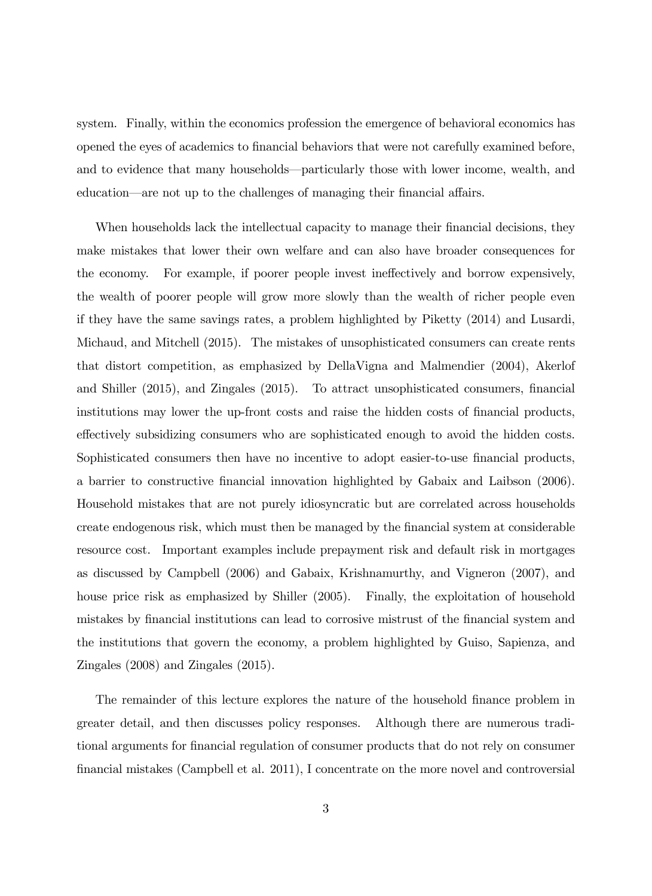system. Finally, within the economics profession the emergence of behavioral economics has opened the eyes of academics to Önancial behaviors that were not carefully examined before, and to evidence that many households—particularly those with lower income, wealth, and education—are not up to the challenges of managing their financial affairs.

When households lack the intellectual capacity to manage their financial decisions, they make mistakes that lower their own welfare and can also have broader consequences for the economy. For example, if poorer people invest ineffectively and borrow expensively, the wealth of poorer people will grow more slowly than the wealth of richer people even if they have the same savings rates, a problem highlighted by Piketty (2014) and Lusardi, Michaud, and Mitchell (2015). The mistakes of unsophisticated consumers can create rents that distort competition, as emphasized by DellaVigna and Malmendier (2004), Akerlof and Shiller (2015), and Zingales (2015). To attract unsophisticated consumers, financial institutions may lower the up-front costs and raise the hidden costs of financial products, effectively subsidizing consumers who are sophisticated enough to avoid the hidden costs. Sophisticated consumers then have no incentive to adopt easier-to-use financial products, a barrier to constructive financial innovation highlighted by Gabaix and Laibson (2006). Household mistakes that are not purely idiosyncratic but are correlated across households create endogenous risk, which must then be managed by the Önancial system at considerable resource cost. Important examples include prepayment risk and default risk in mortgages as discussed by Campbell (2006) and Gabaix, Krishnamurthy, and Vigneron (2007), and house price risk as emphasized by Shiller  $(2005)$ . Finally, the exploitation of household mistakes by financial institutions can lead to corrosive mistrust of the financial system and the institutions that govern the economy, a problem highlighted by Guiso, Sapienza, and Zingales (2008) and Zingales (2015).

The remainder of this lecture explores the nature of the household finance problem in greater detail, and then discusses policy responses. Although there are numerous traditional arguments for Önancial regulation of consumer products that do not rely on consumer Önancial mistakes (Campbell et al. 2011), I concentrate on the more novel and controversial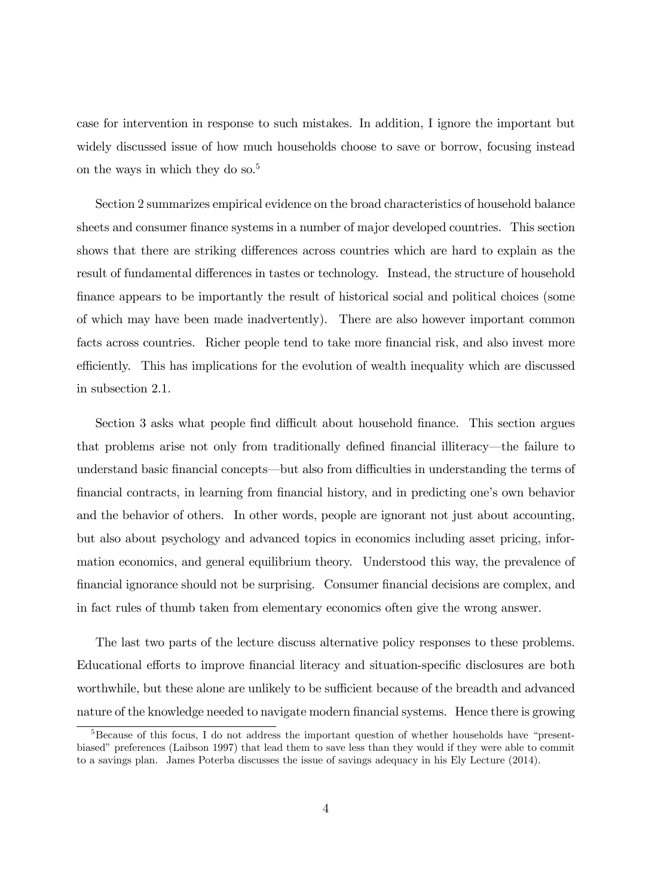case for intervention in response to such mistakes. In addition, I ignore the important but widely discussed issue of how much households choose to save or borrow, focusing instead on the ways in which they do so.<sup>5</sup>

Section 2 summarizes empirical evidence on the broad characteristics of household balance sheets and consumer finance systems in a number of major developed countries. This section shows that there are striking differences across countries which are hard to explain as the result of fundamental differences in tastes or technology. Instead, the structure of household finance appears to be importantly the result of historical social and political choices (some of which may have been made inadvertently). There are also however important common facts across countries. Richer people tend to take more financial risk, and also invest more efficiently. This has implications for the evolution of wealth inequality which are discussed in subsection 2.1.

Section 3 asks what people find difficult about household finance. This section argues that problems arise not only from traditionally defined financial illiteracy—the failure to understand basic financial concepts—but also from difficulties in understanding the terms of financial contracts, in learning from financial history, and in predicting one's own behavior and the behavior of others. In other words, people are ignorant not just about accounting, but also about psychology and advanced topics in economics including asset pricing, information economics, and general equilibrium theory. Understood this way, the prevalence of Önancial ignorance should not be surprising. Consumer Önancial decisions are complex, and in fact rules of thumb taken from elementary economics often give the wrong answer.

The last two parts of the lecture discuss alternative policy responses to these problems. Educational efforts to improve financial literacy and situation-specific disclosures are both worthwhile, but these alone are unlikely to be sufficient because of the breadth and advanced nature of the knowledge needed to navigate modern financial systems. Hence there is growing

 $5B$ ecause of this focus, I do not address the important question of whether households have "presentbiased" preferences (Laibson 1997) that lead them to save less than they would if they were able to commit to a savings plan. James Poterba discusses the issue of savings adequacy in his Ely Lecture (2014).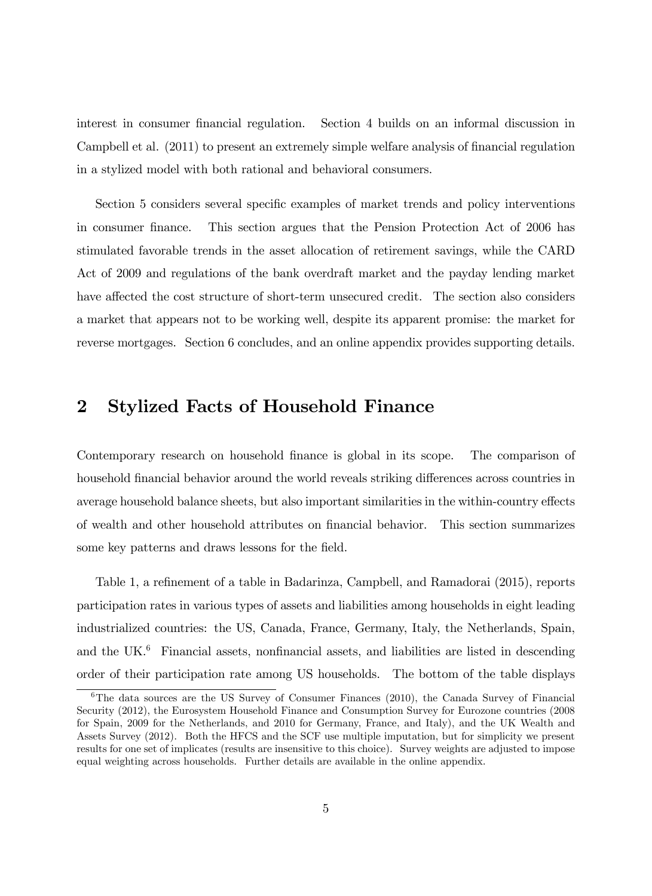interest in consumer financial regulation. Section 4 builds on an informal discussion in Campbell et al. (2011) to present an extremely simple welfare analysis of financial regulation in a stylized model with both rational and behavioral consumers.

Section 5 considers several specific examples of market trends and policy interventions in consumer finance. This section argues that the Pension Protection Act of 2006 has stimulated favorable trends in the asset allocation of retirement savings, while the CARD Act of 2009 and regulations of the bank overdraft market and the payday lending market have affected the cost structure of short-term unsecured credit. The section also considers a market that appears not to be working well, despite its apparent promise: the market for reverse mortgages. Section 6 concludes, and an online appendix provides supporting details.

## 2 Stylized Facts of Household Finance

Contemporary research on household finance is global in its scope. The comparison of household financial behavior around the world reveals striking differences across countries in average household balance sheets, but also important similarities in the within-country effects of wealth and other household attributes on Önancial behavior. This section summarizes some key patterns and draws lessons for the field.

Table 1, a refinement of a table in Badarinza, Campbell, and Ramadorai (2015), reports participation rates in various types of assets and liabilities among households in eight leading industrialized countries: the US, Canada, France, Germany, Italy, the Netherlands, Spain, and the UK. $^{6}$  Financial assets, nonfinancial assets, and liabilities are listed in descending order of their participation rate among US households. The bottom of the table displays

 $6$ The data sources are the US Survey of Consumer Finances (2010), the Canada Survey of Financial Security (2012), the Eurosystem Household Finance and Consumption Survey for Eurozone countries (2008 for Spain, 2009 for the Netherlands, and 2010 for Germany, France, and Italy), and the UK Wealth and Assets Survey (2012). Both the HFCS and the SCF use multiple imputation, but for simplicity we present results for one set of implicates (results are insensitive to this choice). Survey weights are adjusted to impose equal weighting across households. Further details are available in the online appendix.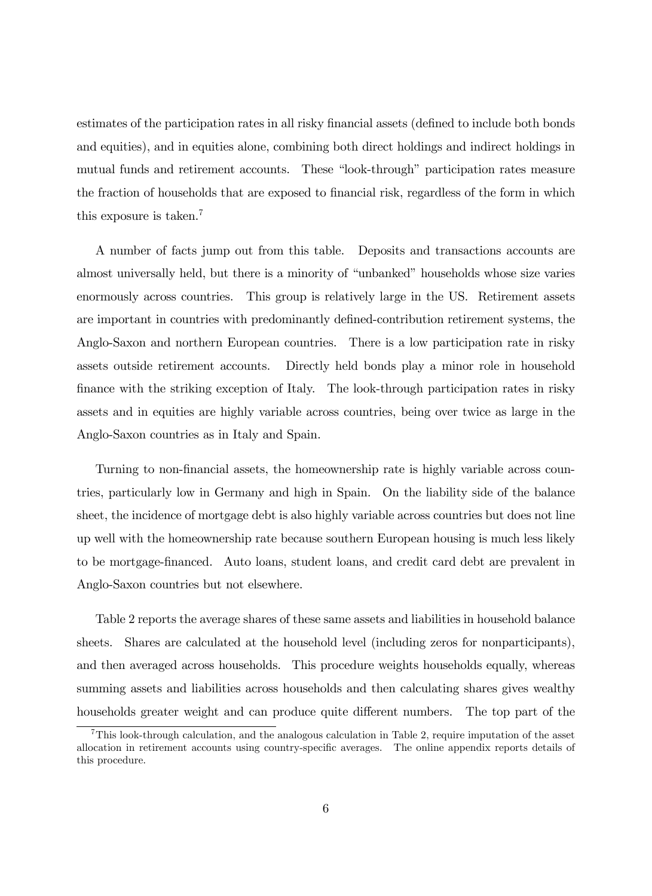estimates of the participation rates in all risky financial assets (defined to include both bonds and equities), and in equities alone, combining both direct holdings and indirect holdings in mutual funds and retirement accounts. These "look-through" participation rates measure the fraction of households that are exposed to financial risk, regardless of the form in which this exposure is taken.<sup>7</sup>

A number of facts jump out from this table. Deposits and transactions accounts are almost universally held, but there is a minority of "unbanked" households whose size varies enormously across countries. This group is relatively large in the US. Retirement assets are important in countries with predominantly defined-contribution retirement systems, the Anglo-Saxon and northern European countries. There is a low participation rate in risky assets outside retirement accounts. Directly held bonds play a minor role in household finance with the striking exception of Italy. The look-through participation rates in risky assets and in equities are highly variable across countries, being over twice as large in the Anglo-Saxon countries as in Italy and Spain.

Turning to non-financial assets, the homeownership rate is highly variable across countries, particularly low in Germany and high in Spain. On the liability side of the balance sheet, the incidence of mortgage debt is also highly variable across countries but does not line up well with the homeownership rate because southern European housing is much less likely to be mortgage-Önanced. Auto loans, student loans, and credit card debt are prevalent in Anglo-Saxon countries but not elsewhere.

Table 2 reports the average shares of these same assets and liabilities in household balance sheets. Shares are calculated at the household level (including zeros for nonparticipants), and then averaged across households. This procedure weights households equally, whereas summing assets and liabilities across households and then calculating shares gives wealthy households greater weight and can produce quite different numbers. The top part of the

 $7$ This look-through calculation, and the analogous calculation in Table 2, require imputation of the asset allocation in retirement accounts using country-specific averages. The online appendix reports details of this procedure.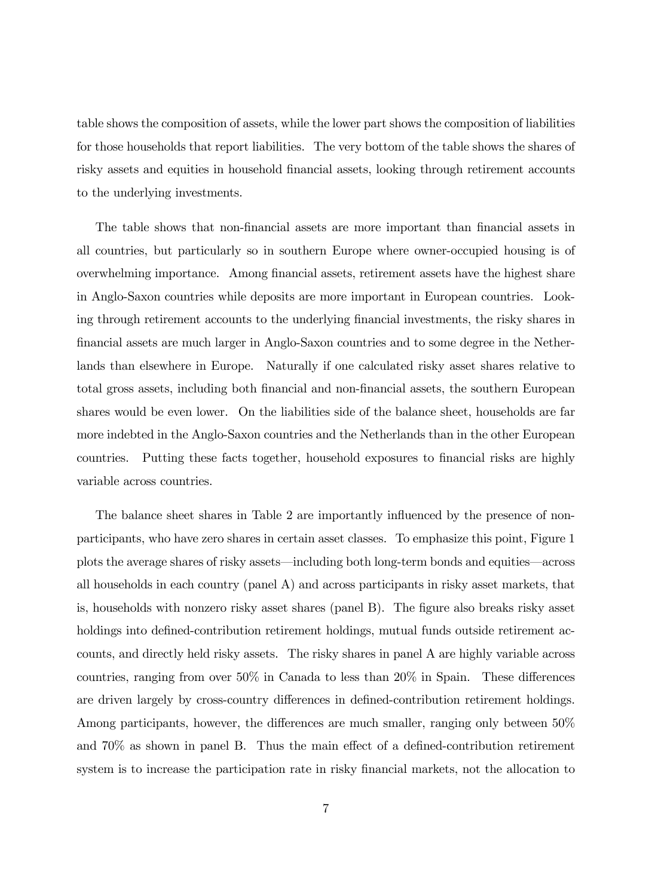table shows the composition of assets, while the lower part shows the composition of liabilities for those households that report liabilities. The very bottom of the table shows the shares of risky assets and equities in household financial assets, looking through retirement accounts to the underlying investments.

The table shows that non-financial assets are more important than financial assets in all countries, but particularly so in southern Europe where owner-occupied housing is of overwhelming importance. Among Önancial assets, retirement assets have the highest share in Anglo-Saxon countries while deposits are more important in European countries. Looking through retirement accounts to the underlying financial investments, the risky shares in Önancial assets are much larger in Anglo-Saxon countries and to some degree in the Netherlands than elsewhere in Europe. Naturally if one calculated risky asset shares relative to total gross assets, including both financial and non-financial assets, the southern European shares would be even lower. On the liabilities side of the balance sheet, households are far more indebted in the Anglo-Saxon countries and the Netherlands than in the other European countries. Putting these facts together, household exposures to financial risks are highly variable across countries.

The balance sheet shares in Table 2 are importantly influenced by the presence of nonparticipants, who have zero shares in certain asset classes. To emphasize this point, Figure 1 plots the average shares of risky assets—including both long-term bonds and equities—across all households in each country (panel A) and across participants in risky asset markets, that is, households with nonzero risky asset shares (panel B). The figure also breaks risky asset holdings into defined-contribution retirement holdings, mutual funds outside retirement accounts, and directly held risky assets. The risky shares in panel A are highly variable across countries, ranging from over  $50\%$  in Canada to less than  $20\%$  in Spain. These differences are driven largely by cross-country differences in defined-contribution retirement holdings. Among participants, however, the differences are much smaller, ranging only between  $50\%$ and  $70\%$  as shown in panel B. Thus the main effect of a defined-contribution retirement system is to increase the participation rate in risky financial markets, not the allocation to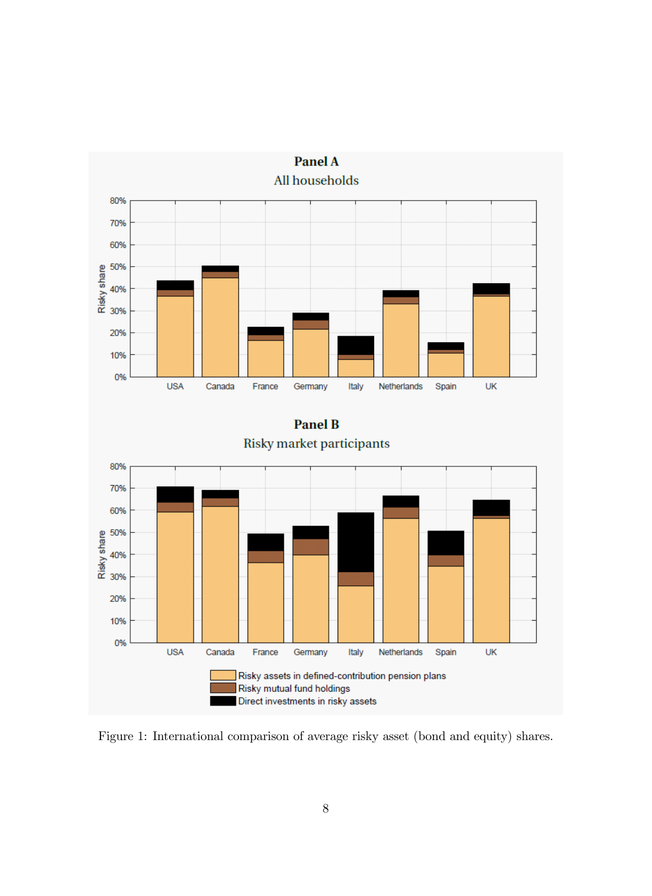

Figure 1: International comparison of average risky asset (bond and equity) shares.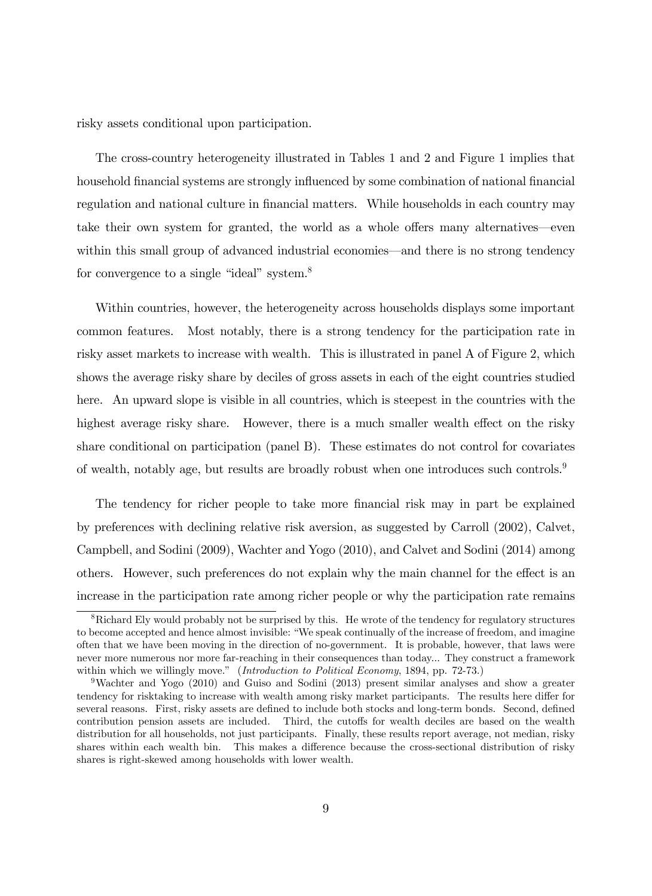risky assets conditional upon participation.

The cross-country heterogeneity illustrated in Tables 1 and 2 and Figure 1 implies that household financial systems are strongly influenced by some combination of national financial regulation and national culture in financial matters. While households in each country may take their own system for granted, the world as a whole offers many alternatives—even within this small group of advanced industrial economies—and there is no strong tendency for convergence to a single "ideal" system. $8$ 

Within countries, however, the heterogeneity across households displays some important common features. Most notably, there is a strong tendency for the participation rate in risky asset markets to increase with wealth. This is illustrated in panel A of Figure 2, which shows the average risky share by deciles of gross assets in each of the eight countries studied here. An upward slope is visible in all countries, which is steepest in the countries with the highest average risky share. However, there is a much smaller wealth effect on the risky share conditional on participation (panel B). These estimates do not control for covariates of wealth, notably age, but results are broadly robust when one introduces such controls.<sup>9</sup>

The tendency for richer people to take more financial risk may in part be explained by preferences with declining relative risk aversion, as suggested by Carroll (2002), Calvet, Campbell, and Sodini (2009), Wachter and Yogo (2010), and Calvet and Sodini (2014) among others. However, such preferences do not explain why the main channel for the effect is an increase in the participation rate among richer people or why the participation rate remains

<sup>&</sup>lt;sup>8</sup>Richard Ely would probably not be surprised by this. He wrote of the tendency for regulatory structures to become accepted and hence almost invisible: "We speak continually of the increase of freedom, and imagine often that we have been moving in the direction of no-government. It is probable, however, that laws were never more numerous nor more far-reaching in their consequences than today... They construct a framework within which we willingly move." (Introduction to Political Economy, 1894, pp. 72-73.)

<sup>9</sup>Wachter and Yogo (2010) and Guiso and Sodini (2013) present similar analyses and show a greater tendency for risktaking to increase with wealth among risky market participants. The results here differ for several reasons. First, risky assets are defined to include both stocks and long-term bonds. Second, defined contribution pension assets are included. Third, the cutoffs for wealth deciles are based on the wealth distribution for all households, not just participants. Finally, these results report average, not median, risky shares within each wealth bin. This makes a difference because the cross-sectional distribution of risky shares is right-skewed among households with lower wealth.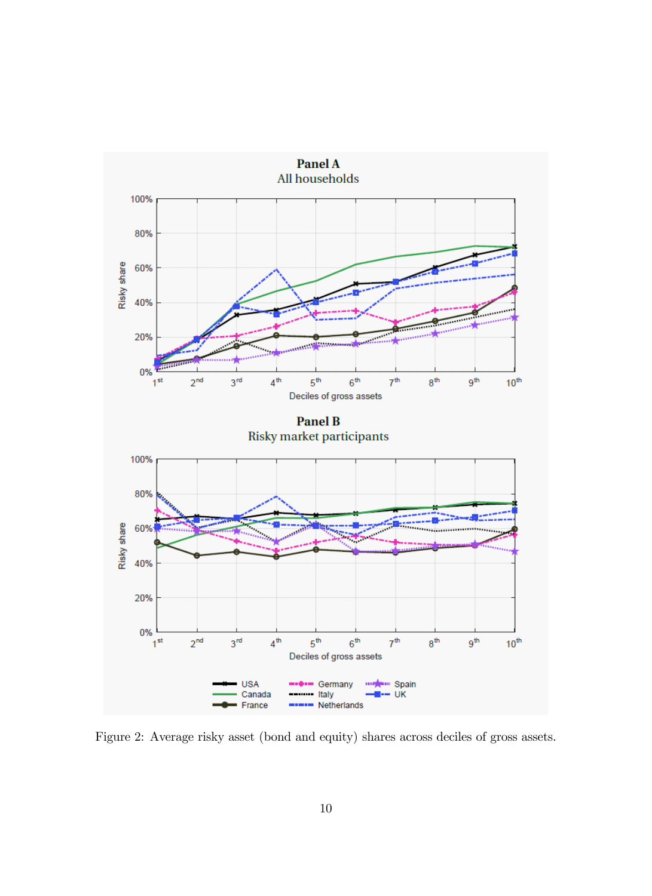

Figure 2: Average risky asset (bond and equity) shares across deciles of gross assets.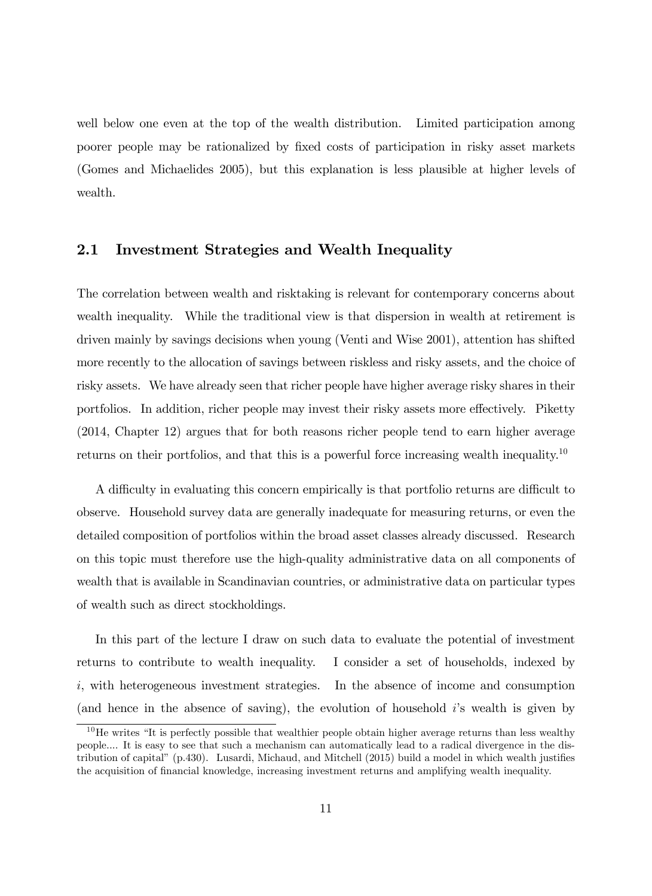well below one even at the top of the wealth distribution. Limited participation among poorer people may be rationalized by fixed costs of participation in risky asset markets (Gomes and Michaelides 2005), but this explanation is less plausible at higher levels of wealth.

## 2.1 Investment Strategies and Wealth Inequality

The correlation between wealth and risktaking is relevant for contemporary concerns about wealth inequality. While the traditional view is that dispersion in wealth at retirement is driven mainly by savings decisions when young (Venti and Wise 2001), attention has shifted more recently to the allocation of savings between riskless and risky assets, and the choice of risky assets. We have already seen that richer people have higher average risky shares in their portfolios. In addition, richer people may invest their risky assets more effectively. Piketty (2014, Chapter 12) argues that for both reasons richer people tend to earn higher average returns on their portfolios, and that this is a powerful force increasing wealth inequality.<sup>10</sup>

A difficulty in evaluating this concern empirically is that portfolio returns are difficult to observe. Household survey data are generally inadequate for measuring returns, or even the detailed composition of portfolios within the broad asset classes already discussed. Research on this topic must therefore use the high-quality administrative data on all components of wealth that is available in Scandinavian countries, or administrative data on particular types of wealth such as direct stockholdings.

In this part of the lecture I draw on such data to evaluate the potential of investment returns to contribute to wealth inequality. I consider a set of households, indexed by i, with heterogeneous investment strategies. In the absence of income and consumption (and hence in the absence of saving), the evolution of household  $i$ 's wealth is given by

 $10$ He writes "It is perfectly possible that wealthier people obtain higher average returns than less wealthy people.... It is easy to see that such a mechanism can automatically lead to a radical divergence in the distribution of capital"  $(p.430)$ . Lusardi, Michaud, and Mitchell  $(2015)$  build a model in which wealth justifies the acquisition of Önancial knowledge, increasing investment returns and amplifying wealth inequality.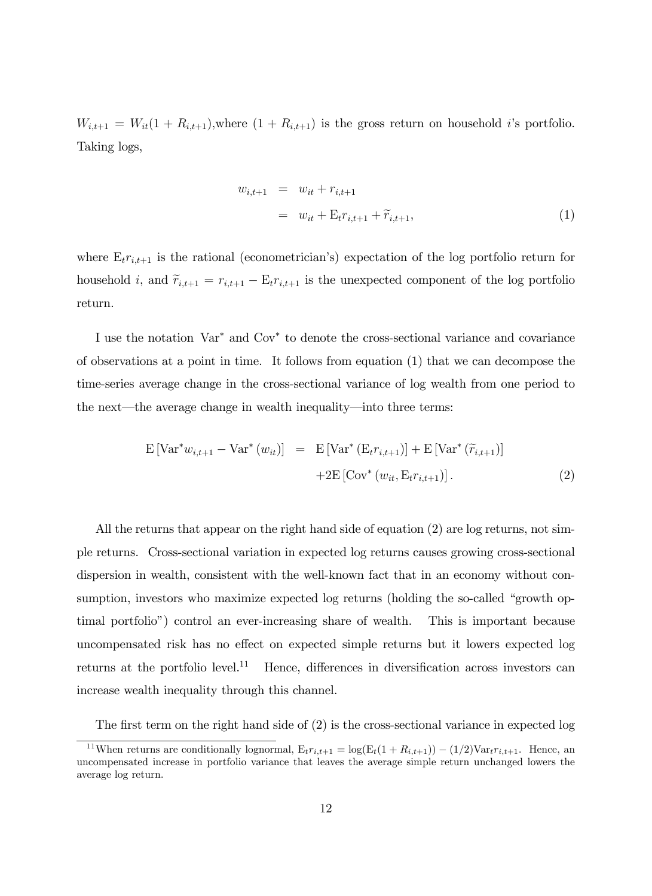$W_{i,t+1} = W_{it}(1 + R_{i,t+1}),$  where  $(1 + R_{i,t+1})$  is the gross return on household i's portfolio. Taking logs,

$$
w_{i,t+1} = w_{it} + r_{i,t+1}
$$
  
=  $w_{it} + \mathbf{E}_t r_{i,t+1} + \widetilde{r}_{i,t+1},$  (1)

where  $E_t r_{i,t+1}$  is the rational (econometrician's) expectation of the log portfolio return for household i, and  $\widetilde{r}_{i,t+1} = r_{i,t+1} - E_t r_{i,t+1}$  is the unexpected component of the log portfolio return.

I use the notation Var<sup>\*</sup> and Cov<sup>\*</sup> to denote the cross-sectional variance and covariance of observations at a point in time. It follows from equation (1) that we can decompose the time-series average change in the cross-sectional variance of log wealth from one period to the next—the average change in wealth inequality—into three terms:

$$
E\left[\text{Var}^* w_{i,t+1} - \text{Var}^*\left(w_{it}\right)\right] = E\left[\text{Var}^*\left(E_t r_{i,t+1}\right)\right] + E\left[\text{Var}^*\left(\widetilde{r}_{i,t+1}\right)\right] + 2E\left[\text{Cov}^*\left(w_{it}, E_t r_{i,t+1}\right)\right].\tag{2}
$$

All the returns that appear on the right hand side of equation (2) are log returns, not simple returns. Cross-sectional variation in expected log returns causes growing cross-sectional dispersion in wealth, consistent with the well-known fact that in an economy without consumption, investors who maximize expected log returns (holding the so-called "growth optimal portfolioî) control an ever-increasing share of wealth. This is important because uncompensated risk has no effect on expected simple returns but it lowers expected log returns at the portfolio level.<sup>11</sup> Hence, differences in diversification across investors can increase wealth inequality through this channel.

The first term on the right hand side of  $(2)$  is the cross-sectional variance in expected log

<sup>&</sup>lt;sup>11</sup>When returns are conditionally lognormal,  $E_t r_{i,t+1} = \log(E_t(1 + R_{i,t+1})) - (1/2)Var_t r_{i,t+1}$ . Hence, an uncompensated increase in portfolio variance that leaves the average simple return unchanged lowers the average log return.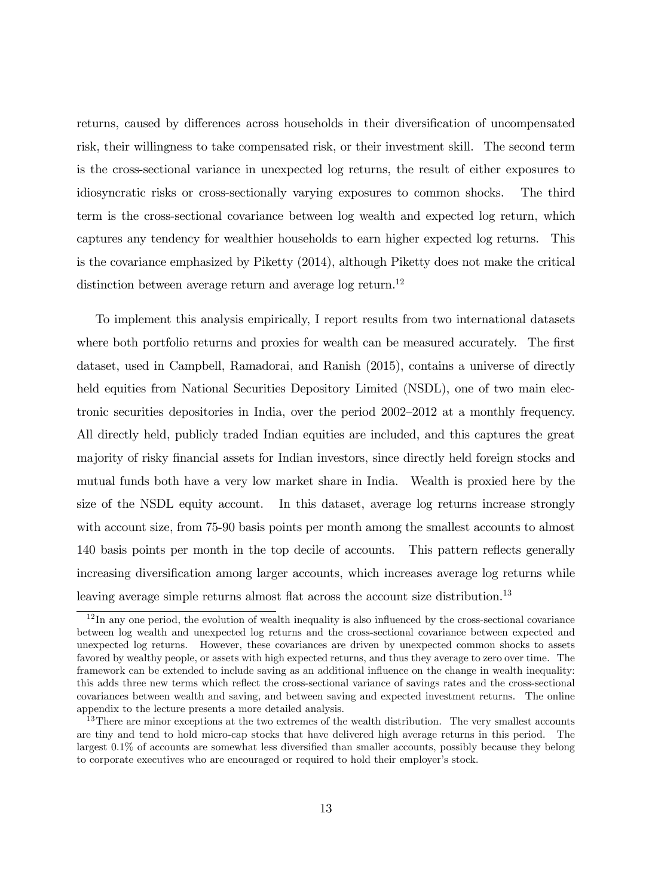returns, caused by differences across households in their diversification of uncompensated risk, their willingness to take compensated risk, or their investment skill. The second term is the cross-sectional variance in unexpected log returns, the result of either exposures to idiosyncratic risks or cross-sectionally varying exposures to common shocks. The third term is the cross-sectional covariance between log wealth and expected log return, which captures any tendency for wealthier households to earn higher expected log returns. This is the covariance emphasized by Piketty (2014), although Piketty does not make the critical distinction between average return and average log return.<sup>12</sup>

To implement this analysis empirically, I report results from two international datasets where both portfolio returns and proxies for wealth can be measured accurately. The first dataset, used in Campbell, Ramadorai, and Ranish (2015), contains a universe of directly held equities from National Securities Depository Limited (NSDL), one of two main electronic securities depositories in India, over the period 2002–2012 at a monthly frequency. All directly held, publicly traded Indian equities are included, and this captures the great majority of risky financial assets for Indian investors, since directly held foreign stocks and mutual funds both have a very low market share in India. Wealth is proxied here by the size of the NSDL equity account. In this dataset, average log returns increase strongly with account size, from 75-90 basis points per month among the smallest accounts to almost 140 basis points per month in the top decile of accounts. This pattern reflects generally increasing diversification among larger accounts, which increases average log returns while leaving average simple returns almost flat across the account size distribution.<sup>13</sup>

 $12$  In any one period, the evolution of wealth inequality is also influenced by the cross-sectional covariance between log wealth and unexpected log returns and the cross-sectional covariance between expected and unexpected log returns. However, these covariances are driven by unexpected common shocks to assets favored by wealthy people, or assets with high expected returns, and thus they average to zero over time. The framework can be extended to include saving as an additional influence on the change in wealth inequality: this adds three new terms which reflect the cross-sectional variance of savings rates and the cross-sectional covariances between wealth and saving, and between saving and expected investment returns. The online appendix to the lecture presents a more detailed analysis.

<sup>&</sup>lt;sup>13</sup>There are minor exceptions at the two extremes of the wealth distribution. The very smallest accounts are tiny and tend to hold micro-cap stocks that have delivered high average returns in this period. The largest  $0.1\%$  of accounts are somewhat less diversified than smaller accounts, possibly because they belong to corporate executives who are encouraged or required to hold their employer's stock.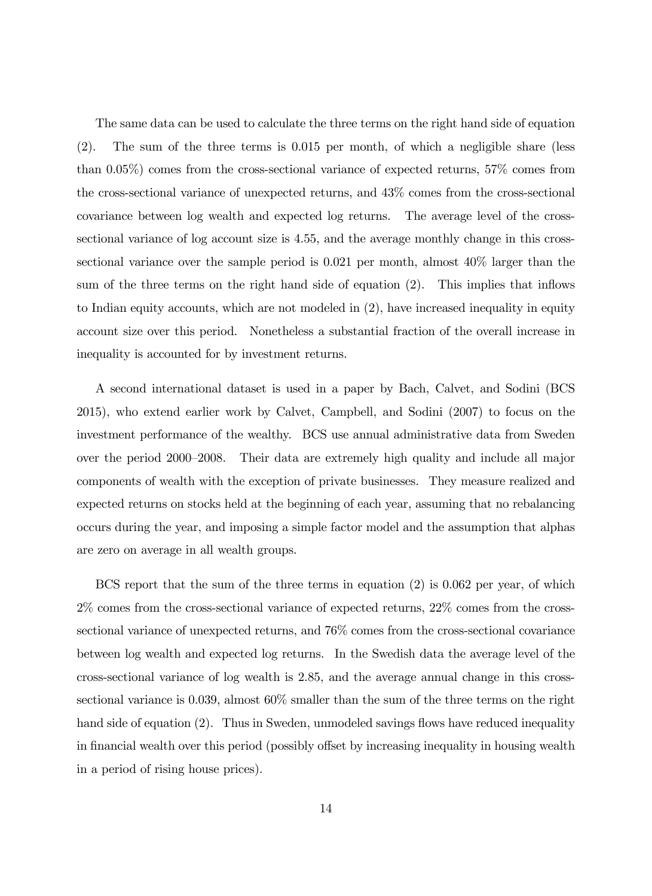The same data can be used to calculate the three terms on the right hand side of equation (2). The sum of the three terms is 0.015 per month, of which a negligible share (less than 0.05%) comes from the cross-sectional variance of expected returns, 57% comes from the cross-sectional variance of unexpected returns, and 43% comes from the cross-sectional covariance between log wealth and expected log returns. The average level of the crosssectional variance of log account size is 4.55, and the average monthly change in this crosssectional variance over the sample period is 0.021 per month, almost 40% larger than the sum of the three terms on the right hand side of equation  $(2)$ . This implies that inflows to Indian equity accounts, which are not modeled in (2), have increased inequality in equity account size over this period. Nonetheless a substantial fraction of the overall increase in inequality is accounted for by investment returns.

A second international dataset is used in a paper by Bach, Calvet, and Sodini (BCS 2015), who extend earlier work by Calvet, Campbell, and Sodini (2007) to focus on the investment performance of the wealthy. BCS use annual administrative data from Sweden over the period 2000–2008. Their data are extremely high quality and include all major components of wealth with the exception of private businesses. They measure realized and expected returns on stocks held at the beginning of each year, assuming that no rebalancing occurs during the year, and imposing a simple factor model and the assumption that alphas are zero on average in all wealth groups.

BCS report that the sum of the three terms in equation (2) is 0.062 per year, of which 2% comes from the cross-sectional variance of expected returns, 22% comes from the crosssectional variance of unexpected returns, and 76% comes from the cross-sectional covariance between log wealth and expected log returns. In the Swedish data the average level of the cross-sectional variance of log wealth is 2.85, and the average annual change in this crosssectional variance is 0.039, almost 60% smaller than the sum of the three terms on the right hand side of equation  $(2)$ . Thus in Sweden, unmodeled savings flows have reduced inequality in financial wealth over this period (possibly offset by increasing inequality in housing wealth in a period of rising house prices).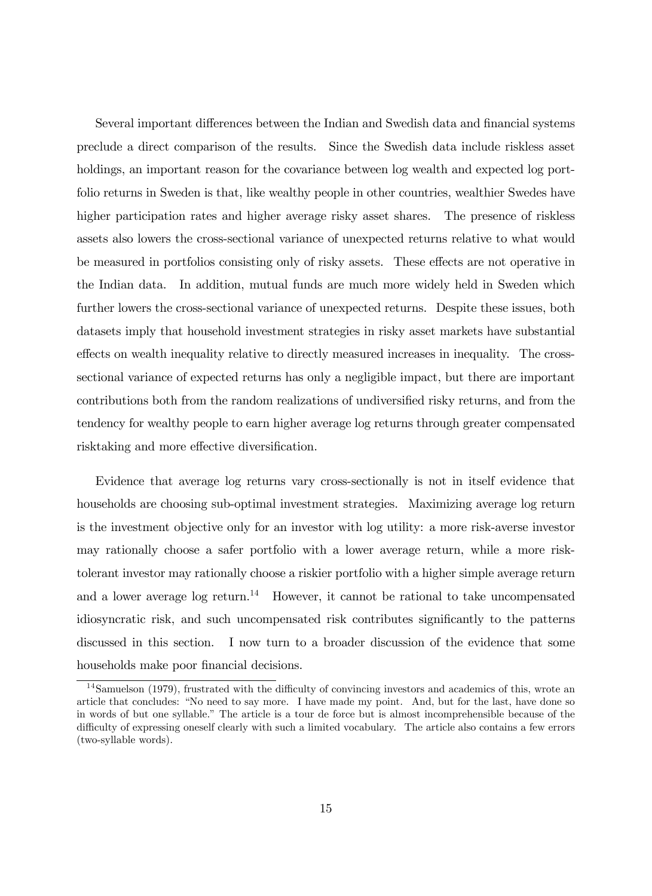Several important differences between the Indian and Swedish data and financial systems preclude a direct comparison of the results. Since the Swedish data include riskless asset holdings, an important reason for the covariance between log wealth and expected log portfolio returns in Sweden is that, like wealthy people in other countries, wealthier Swedes have higher participation rates and higher average risky asset shares. The presence of riskless assets also lowers the cross-sectional variance of unexpected returns relative to what would be measured in portfolios consisting only of risky assets. These effects are not operative in the Indian data. In addition, mutual funds are much more widely held in Sweden which further lowers the cross-sectional variance of unexpected returns. Despite these issues, both datasets imply that household investment strategies in risky asset markets have substantial effects on wealth inequality relative to directly measured increases in inequality. The crosssectional variance of expected returns has only a negligible impact, but there are important contributions both from the random realizations of undiversified risky returns, and from the tendency for wealthy people to earn higher average log returns through greater compensated risktaking and more effective diversification.

Evidence that average log returns vary cross-sectionally is not in itself evidence that households are choosing sub-optimal investment strategies. Maximizing average log return is the investment objective only for an investor with log utility: a more risk-averse investor may rationally choose a safer portfolio with a lower average return, while a more risktolerant investor may rationally choose a riskier portfolio with a higher simple average return and a lower average log return.<sup>14</sup> However, it cannot be rational to take uncompensated idiosyncratic risk, and such uncompensated risk contributes significantly to the patterns discussed in this section. I now turn to a broader discussion of the evidence that some households make poor financial decisions.

 $14$ Samuelson (1979), frustrated with the difficulty of convincing investors and academics of this, wrote an article that concludes: "No need to say more. I have made my point. And, but for the last, have done so in words of but one syllable." The article is a tour de force but is almost incomprehensible because of the difficulty of expressing oneself clearly with such a limited vocabulary. The article also contains a few errors (two-syllable words).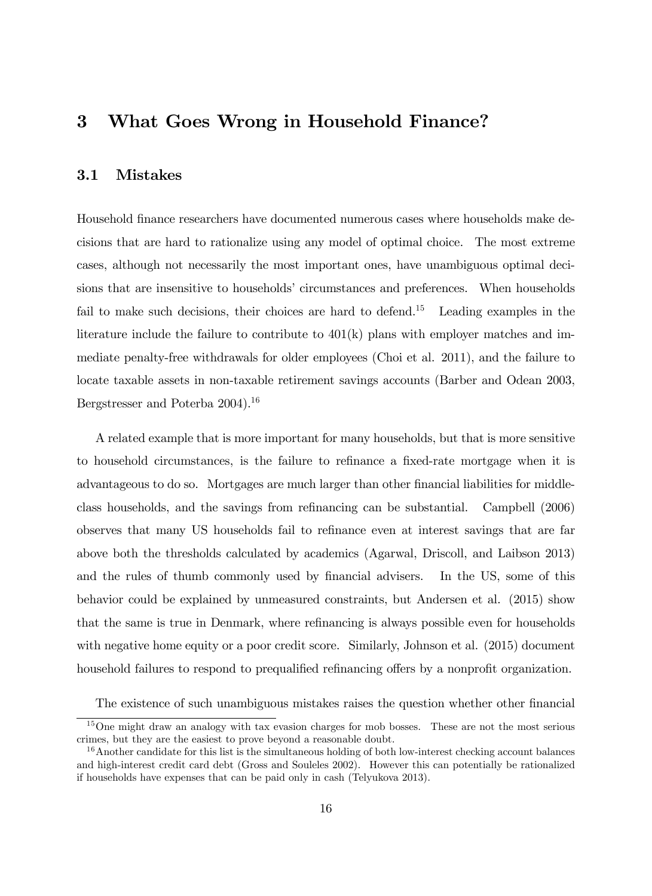## 3 What Goes Wrong in Household Finance?

#### 3.1 Mistakes

Household finance researchers have documented numerous cases where households make decisions that are hard to rationalize using any model of optimal choice. The most extreme cases, although not necessarily the most important ones, have unambiguous optimal decisions that are insensitive to households' circumstances and preferences. When households fail to make such decisions, their choices are hard to defend.<sup>15</sup> Leading examples in the literature include the failure to contribute to  $401(k)$  plans with employer matches and immediate penalty-free withdrawals for older employees (Choi et al. 2011), and the failure to locate taxable assets in non-taxable retirement savings accounts (Barber and Odean 2003, Bergstresser and Poterba 2004).<sup>16</sup>

A related example that is more important for many households, but that is more sensitive to household circumstances, is the failure to refinance a fixed-rate mortgage when it is advantageous to do so. Mortgages are much larger than other financial liabilities for middleclass households, and the savings from reÖnancing can be substantial. Campbell (2006) observes that many US households fail to refinance even at interest savings that are far above both the thresholds calculated by academics (Agarwal, Driscoll, and Laibson 2013) and the rules of thumb commonly used by financial advisers. In the US, some of this behavior could be explained by unmeasured constraints, but Andersen et al. (2015) show that the same is true in Denmark, where refinancing is always possible even for households with negative home equity or a poor credit score. Similarly, Johnson et al.  $(2015)$  document household failures to respond to prequalified refinancing offers by a nonprofit organization.

The existence of such unambiguous mistakes raises the question whether other financial

<sup>&</sup>lt;sup>15</sup>One might draw an analogy with tax evasion charges for mob bosses. These are not the most serious crimes, but they are the easiest to prove beyond a reasonable doubt.

<sup>&</sup>lt;sup>16</sup>Another candidate for this list is the simultaneous holding of both low-interest checking account balances and high-interest credit card debt (Gross and Souleles 2002). However this can potentially be rationalized if households have expenses that can be paid only in cash (Telyukova 2013).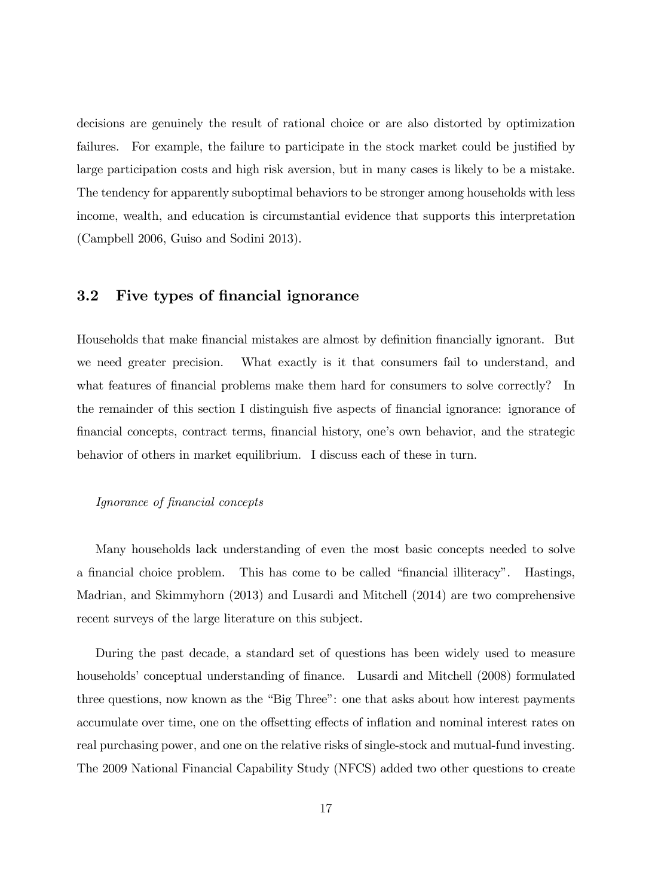decisions are genuinely the result of rational choice or are also distorted by optimization failures. For example, the failure to participate in the stock market could be justified by large participation costs and high risk aversion, but in many cases is likely to be a mistake. The tendency for apparently suboptimal behaviors to be stronger among households with less income, wealth, and education is circumstantial evidence that supports this interpretation (Campbell 2006, Guiso and Sodini 2013).

## 3.2 Five types of financial ignorance

Households that make financial mistakes are almost by definition financially ignorant. But we need greater precision. What exactly is it that consumers fail to understand, and what features of financial problems make them hard for consumers to solve correctly? In the remainder of this section I distinguish five aspects of financial ignorance: ignorance of Önancial concepts, contract terms, Önancial history, oneís own behavior, and the strategic behavior of others in market equilibrium. I discuss each of these in turn.

#### Ignorance of financial concepts

Many households lack understanding of even the most basic concepts needed to solve a financial choice problem. This has come to be called "financial illiteracy". Hastings, Madrian, and Skimmyhorn (2013) and Lusardi and Mitchell (2014) are two comprehensive recent surveys of the large literature on this subject.

During the past decade, a standard set of questions has been widely used to measure households' conceptual understanding of finance. Lusardi and Mitchell (2008) formulated three questions, now known as the "Big Three": one that asks about how interest payments accumulate over time, one on the offsetting effects of inflation and nominal interest rates on real purchasing power, and one on the relative risks of single-stock and mutual-fund investing. The 2009 National Financial Capability Study (NFCS) added two other questions to create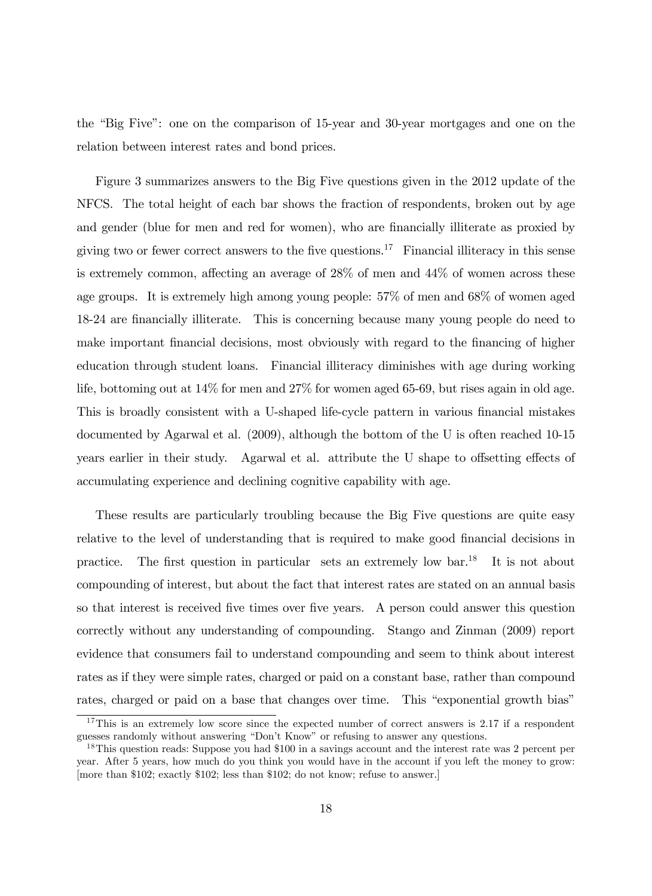the "Big Five": one on the comparison of 15-year and 30-year mortgages and one on the relation between interest rates and bond prices.

Figure 3 summarizes answers to the Big Five questions given in the 2012 update of the NFCS. The total height of each bar shows the fraction of respondents, broken out by age and gender (blue for men and red for women), who are financially illiterate as proxied by giving two or fewer correct answers to the five questions.<sup>17</sup> Financial illiteracy in this sense is extremely common, affecting an average of  $28\%$  of men and  $44\%$  of women across these age groups. It is extremely high among young people: 57% of men and 68% of women aged 18-24 are financially illiterate. This is concerning because many young people do need to make important financial decisions, most obviously with regard to the financing of higher education through student loans. Financial illiteracy diminishes with age during working life, bottoming out at 14% for men and 27% for women aged 65-69, but rises again in old age. This is broadly consistent with a U-shaped life-cycle pattern in various financial mistakes documented by Agarwal et al. (2009), although the bottom of the U is often reached 10-15 years earlier in their study. Agarwal et al. attribute the U shape to offsetting effects of accumulating experience and declining cognitive capability with age.

These results are particularly troubling because the Big Five questions are quite easy relative to the level of understanding that is required to make good financial decisions in practice. The first question in particular sets an extremely low bar.<sup>18</sup> It is not about compounding of interest, but about the fact that interest rates are stated on an annual basis so that interest is received five times over five years. A person could answer this question correctly without any understanding of compounding. Stango and Zinman (2009) report evidence that consumers fail to understand compounding and seem to think about interest rates as if they were simple rates, charged or paid on a constant base, rather than compound rates, charged or paid on a base that changes over time. This "exponential growth bias"

<sup>&</sup>lt;sup>17</sup>This is an extremely low score since the expected number of correct answers is 2.17 if a respondent guesses randomly without answering "Don't Know" or refusing to answer any questions.

<sup>&</sup>lt;sup>18</sup>This question reads: Suppose you had \$100 in a savings account and the interest rate was 2 percent per year. After 5 years, how much do you think you would have in the account if you left the money to grow: [more than \$102; exactly \$102; less than \$102; do not know; refuse to answer.]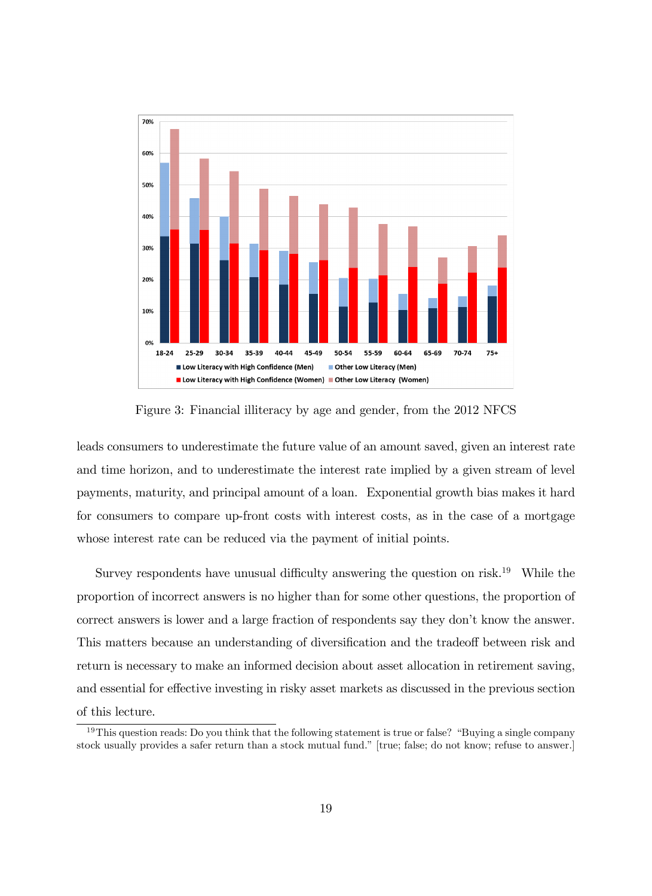

Figure 3: Financial illiteracy by age and gender, from the 2012 NFCS

leads consumers to underestimate the future value of an amount saved, given an interest rate and time horizon, and to underestimate the interest rate implied by a given stream of level payments, maturity, and principal amount of a loan. Exponential growth bias makes it hard for consumers to compare up-front costs with interest costs, as in the case of a mortgage whose interest rate can be reduced via the payment of initial points.

Survey respondents have unusual difficulty answering the question on risk.<sup>19</sup> While the proportion of incorrect answers is no higher than for some other questions, the proportion of correct answers is lower and a large fraction of respondents say they don't know the answer. This matters because an understanding of diversification and the tradeoff between risk and return is necessary to make an informed decision about asset allocation in retirement saving, and essential for effective investing in risky asset markets as discussed in the previous section of this lecture.

 $19$ This question reads: Do you think that the following statement is true or false? "Buying a single company stock usually provides a safer return than a stock mutual fund." [true; false; do not know; refuse to answer.]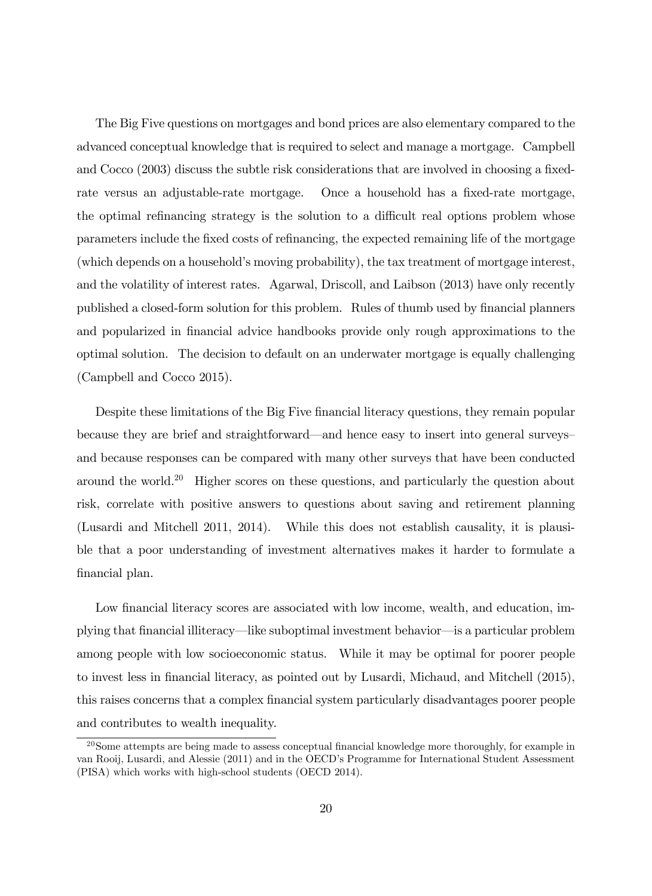The Big Five questions on mortgages and bond prices are also elementary compared to the advanced conceptual knowledge that is required to select and manage a mortgage. Campbell and  $Cocco (2003)$  discuss the subtle risk considerations that are involved in choosing a fixedrate versus an adjustable-rate mortgage. Once a household has a fixed-rate mortgage, the optimal refinancing strategy is the solution to a difficult real options problem whose parameters include the fixed costs of refinancing, the expected remaining life of the mortgage (which depends on a household's moving probability), the tax treatment of mortgage interest, and the volatility of interest rates. Agarwal, Driscoll, and Laibson (2013) have only recently published a closed-form solution for this problem. Rules of thumb used by financial planners and popularized in financial advice handbooks provide only rough approximations to the optimal solution. The decision to default on an underwater mortgage is equally challenging (Campbell and Cocco 2015).

Despite these limitations of the Big Five financial literacy questions, they remain popular because they are brief and straightforward—and hence easy to insert into general surveys and because responses can be compared with many other surveys that have been conducted around the world.<sup>20</sup> Higher scores on these questions, and particularly the question about risk, correlate with positive answers to questions about saving and retirement planning (Lusardi and Mitchell 2011, 2014). While this does not establish causality, it is plausible that a poor understanding of investment alternatives makes it harder to formulate a financial plan.

Low financial literacy scores are associated with low income, wealth, and education, implying that financial illiteracy—like suboptimal investment behavior—is a particular problem among people with low socioeconomic status. While it may be optimal for poorer people to invest less in financial literacy, as pointed out by Lusardi, Michaud, and Mitchell (2015), this raises concerns that a complex financial system particularly disadvantages poorer people and contributes to wealth inequality.

 $20$ Some attempts are being made to assess conceptual financial knowledge more thoroughly, for example in van Rooij, Lusardi, and Alessie (2011) and in the OECD's Programme for International Student Assessment (PISA) which works with high-school students (OECD 2014).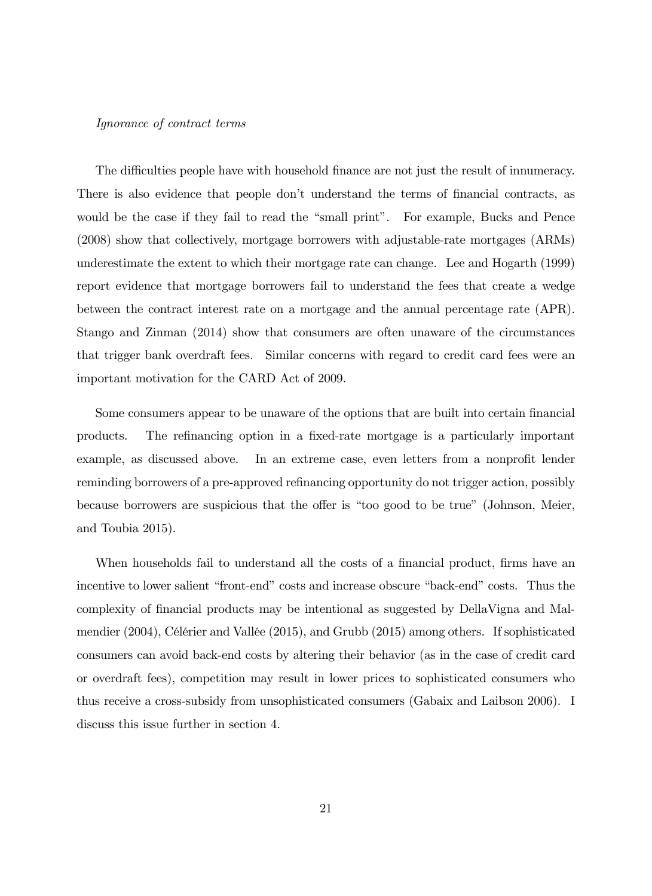#### Ignorance of contract terms

The difficulties people have with household finance are not just the result of innumeracy. There is also evidence that people don't understand the terms of financial contracts, as would be the case if they fail to read the "small print". For example, Bucks and Pence (2008) show that collectively, mortgage borrowers with adjustable-rate mortgages (ARMs) underestimate the extent to which their mortgage rate can change. Lee and Hogarth (1999) report evidence that mortgage borrowers fail to understand the fees that create a wedge between the contract interest rate on a mortgage and the annual percentage rate (APR). Stango and Zinman (2014) show that consumers are often unaware of the circumstances that trigger bank overdraft fees. Similar concerns with regard to credit card fees were an important motivation for the CARD Act of 2009.

Some consumers appear to be unaware of the options that are built into certain financial products. The refinancing option in a fixed-rate mortgage is a particularly important example, as discussed above. In an extreme case, even letters from a nonprofit lender reminding borrowers of a pre-approved refinancing opportunity do not trigger action, possibly because borrowers are suspicious that the offer is "too good to be true" (Johnson, Meier, and Toubia 2015).

When households fail to understand all the costs of a financial product, firms have an incentive to lower salient "front-end" costs and increase obscure "back-end" costs. Thus the complexity of Önancial products may be intentional as suggested by DellaVigna and Malmendier (2004), Célérier and Vallée (2015), and Grubb (2015) among others. If sophisticated consumers can avoid back-end costs by altering their behavior (as in the case of credit card or overdraft fees), competition may result in lower prices to sophisticated consumers who thus receive a cross-subsidy from unsophisticated consumers (Gabaix and Laibson 2006). I discuss this issue further in section 4.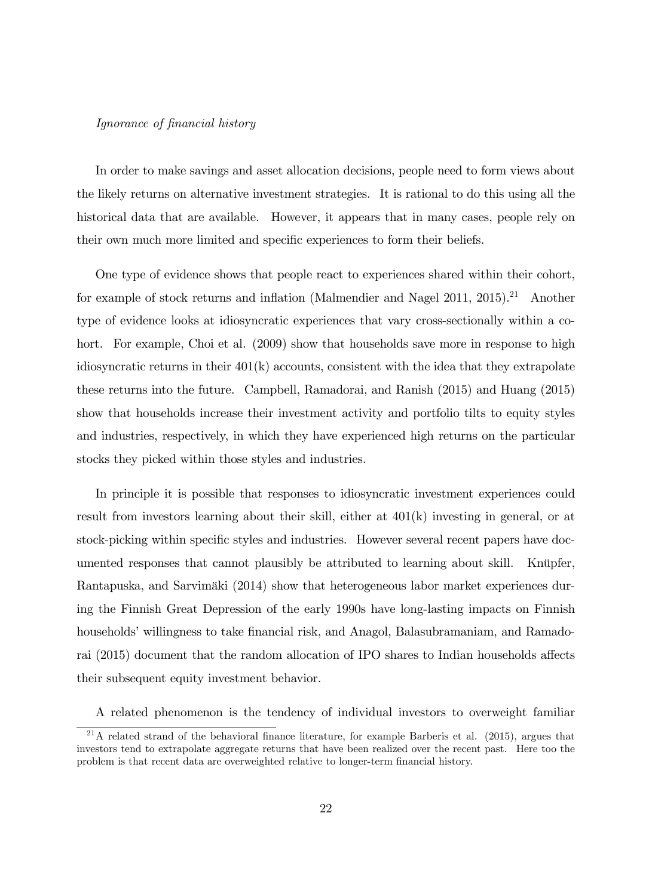#### Ignorance of financial history

In order to make savings and asset allocation decisions, people need to form views about the likely returns on alternative investment strategies. It is rational to do this using all the historical data that are available. However, it appears that in many cases, people rely on their own much more limited and specific experiences to form their beliefs.

One type of evidence shows that people react to experiences shared within their cohort, for example of stock returns and inflation (Malmendier and Nagel 2011, 2015).<sup>21</sup> Another type of evidence looks at idiosyncratic experiences that vary cross-sectionally within a cohort. For example, Choi et al. (2009) show that households save more in response to high idiosyncratic returns in their  $401(k)$  accounts, consistent with the idea that they extrapolate these returns into the future. Campbell, Ramadorai, and Ranish (2015) and Huang (2015) show that households increase their investment activity and portfolio tilts to equity styles and industries, respectively, in which they have experienced high returns on the particular stocks they picked within those styles and industries.

In principle it is possible that responses to idiosyncratic investment experiences could result from investors learning about their skill, either at 401(k) investing in general, or at stock-picking within specific styles and industries. However several recent papers have documented responses that cannot plausibly be attributed to learning about skill. Knüpfer, Rantapuska, and Sarvimäki (2014) show that heterogeneous labor market experiences during the Finnish Great Depression of the early 1990s have long-lasting impacts on Finnish households<sup>†</sup> willingness to take financial risk, and Anagol, Balasubramaniam, and Ramadorai (2015) document that the random allocation of IPO shares to Indian households affects their subsequent equity investment behavior.

A related phenomenon is the tendency of individual investors to overweight familiar

 $^{21}$ A related strand of the behavioral finance literature, for example Barberis et al. (2015), argues that investors tend to extrapolate aggregate returns that have been realized over the recent past. Here too the problem is that recent data are overweighted relative to longer-term Önancial history.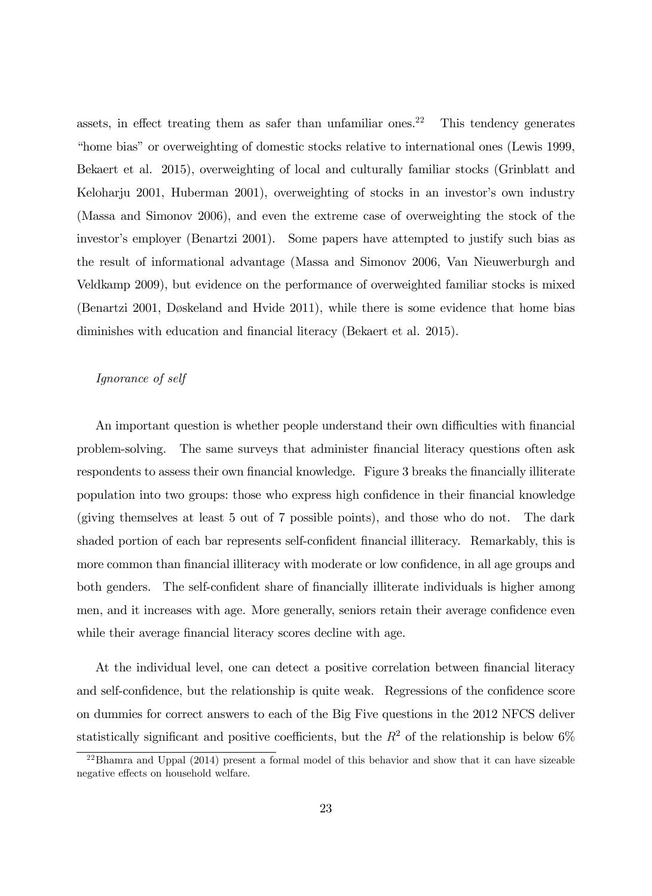assets, in effect treating them as safer than unfamiliar ones.<sup>22</sup> This tendency generates "home bias" or overweighting of domestic stocks relative to international ones (Lewis 1999, Bekaert et al. 2015), overweighting of local and culturally familiar stocks (Grinblatt and Keloharju 2001, Huberman 2001), overweighting of stocks in an investor's own industry (Massa and Simonov 2006), and even the extreme case of overweighting the stock of the investor's employer (Benartzi 2001). Some papers have attempted to justify such bias as the result of informational advantage (Massa and Simonov 2006, Van Nieuwerburgh and Veldkamp 2009), but evidence on the performance of overweighted familiar stocks is mixed (Benartzi 2001, Døskeland and Hvide 2011), while there is some evidence that home bias diminishes with education and financial literacy (Bekaert et al. 2015).

#### Ignorance of self

An important question is whether people understand their own difficulties with financial problem-solving. The same surveys that administer financial literacy questions often ask respondents to assess their own financial knowledge. Figure 3 breaks the financially illiterate population into two groups: those who express high confidence in their financial knowledge (giving themselves at least 5 out of 7 possible points), and those who do not. The dark shaded portion of each bar represents self-confident financial illiteracy. Remarkably, this is more common than financial illiteracy with moderate or low confidence, in all age groups and both genders. The self-confident share of financially illiterate individuals is higher among men, and it increases with age. More generally, seniors retain their average confidence even while their average financial literacy scores decline with age.

At the individual level, one can detect a positive correlation between financial literacy and self-confidence, but the relationship is quite weak. Regressions of the confidence score on dummies for correct answers to each of the Big Five questions in the 2012 NFCS deliver statistically significant and positive coefficients, but the  $R^2$  of the relationship is below 6%

 $^{22}$ Bhamra and Uppal (2014) present a formal model of this behavior and show that it can have sizeable negative effects on household welfare.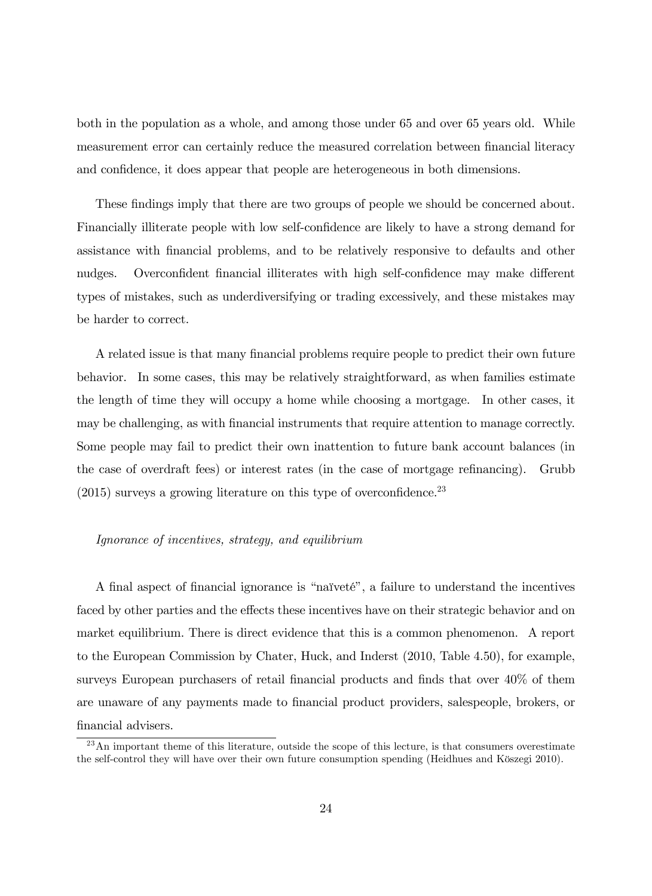both in the population as a whole, and among those under 65 and over 65 years old. While measurement error can certainly reduce the measured correlation between financial literacy and confidence, it does appear that people are heterogeneous in both dimensions.

These findings imply that there are two groups of people we should be concerned about. Financially illiterate people with low self-confidence are likely to have a strong demand for assistance with Önancial problems, and to be relatively responsive to defaults and other nudges. Overconfident financial illiterates with high self-confidence may make different types of mistakes, such as underdiversifying or trading excessively, and these mistakes may be harder to correct.

A related issue is that many financial problems require people to predict their own future behavior. In some cases, this may be relatively straightforward, as when families estimate the length of time they will occupy a home while choosing a mortgage. In other cases, it may be challenging, as with financial instruments that require attention to manage correctly. Some people may fail to predict their own inattention to future bank account balances (in the case of overdraft fees) or interest rates (in the case of mortgage refinancing). Grubb  $(2015)$  surveys a growing literature on this type of overconfidence.<sup>23</sup>

#### Ignorance of incentives, strategy, and equilibrium

A final aspect of financial ignorance is "naïveté", a failure to understand the incentives faced by other parties and the effects these incentives have on their strategic behavior and on market equilibrium. There is direct evidence that this is a common phenomenon. A report to the European Commission by Chater, Huck, and Inderst (2010, Table 4.50), for example, surveys European purchasers of retail financial products and finds that over  $40\%$  of them are unaware of any payments made to financial product providers, salespeople, brokers, or financial advisers.

 $^{23}$ An important theme of this literature, outside the scope of this lecture, is that consumers overestimate the self-control they will have over their own future consumption spending (Heidhues and Köszegi 2010).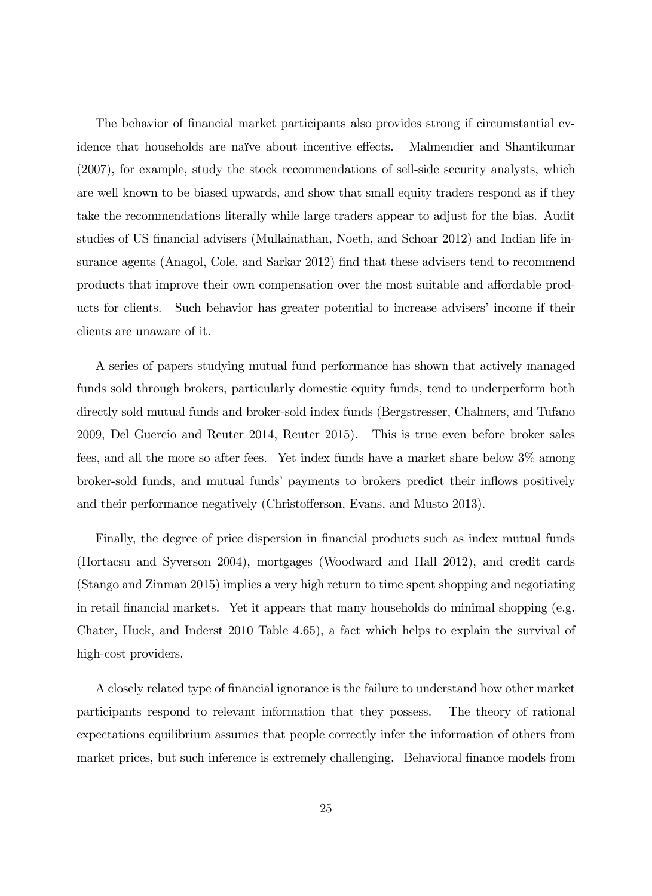The behavior of financial market participants also provides strong if circumstantial evidence that households are naïve about incentive effects. Malmendier and Shantikumar (2007), for example, study the stock recommendations of sell-side security analysts, which are well known to be biased upwards, and show that small equity traders respond as if they take the recommendations literally while large traders appear to adjust for the bias. Audit studies of US financial advisers (Mullainathan, Noeth, and Schoar 2012) and Indian life insurance agents (Anagol, Cole, and Sarkar 2012) find that these advisers tend to recommend products that improve their own compensation over the most suitable and affordable products for clients. Such behavior has greater potential to increase advisers' income if their clients are unaware of it.

A series of papers studying mutual fund performance has shown that actively managed funds sold through brokers, particularly domestic equity funds, tend to underperform both directly sold mutual funds and broker-sold index funds (Bergstresser, Chalmers, and Tufano 2009, Del Guercio and Reuter 2014, Reuter 2015). This is true even before broker sales fees, and all the more so after fees. Yet index funds have a market share below 3% among broker-sold funds, and mutual funds' payments to brokers predict their inflows positively and their performance negatively (Christofferson, Evans, and Musto 2013).

Finally, the degree of price dispersion in financial products such as index mutual funds (Hortacsu and Syverson 2004), mortgages (Woodward and Hall 2012), and credit cards (Stango and Zinman 2015) implies a very high return to time spent shopping and negotiating in retail Önancial markets. Yet it appears that many households do minimal shopping (e.g. Chater, Huck, and Inderst 2010 Table 4.65), a fact which helps to explain the survival of high-cost providers.

A closely related type of Önancial ignorance is the failure to understand how other market participants respond to relevant information that they possess. The theory of rational expectations equilibrium assumes that people correctly infer the information of others from market prices, but such inference is extremely challenging. Behavioral finance models from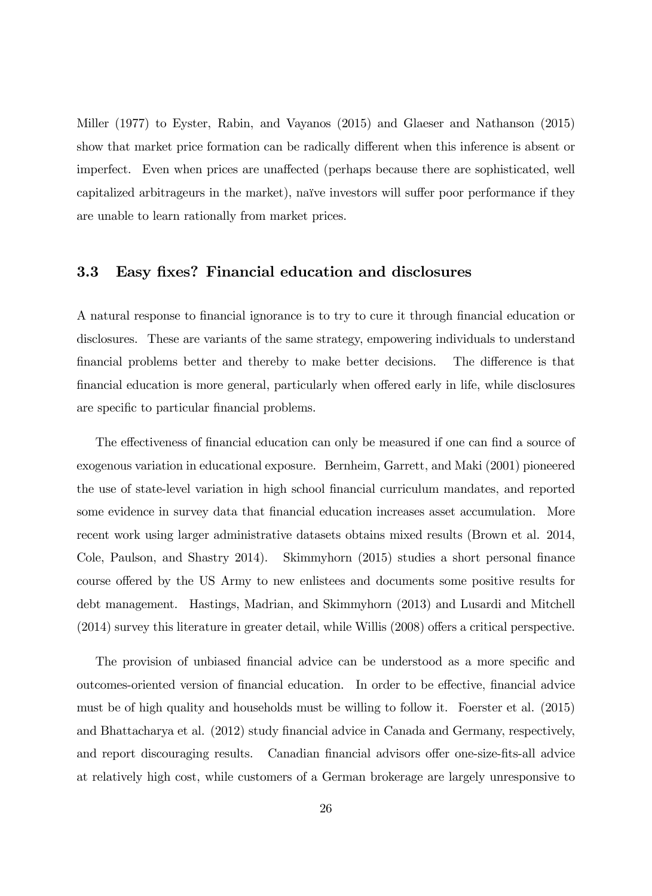Miller (1977) to Eyster, Rabin, and Vayanos (2015) and Glaeser and Nathanson (2015) show that market price formation can be radically different when this inference is absent or imperfect. Even when prices are unaffected (perhaps because there are sophisticated, well capitalized arbitrageurs in the market), naïve investors will suffer poor performance if they are unable to learn rationally from market prices.

#### 3.3 Easy fixes? Financial education and disclosures

A natural response to financial ignorance is to try to cure it through financial education or disclosures. These are variants of the same strategy, empowering individuals to understand financial problems better and thereby to make better decisions. The difference is that financial education is more general, particularly when offered early in life, while disclosures are specific to particular financial problems.

The effectiveness of financial education can only be measured if one can find a source of exogenous variation in educational exposure. Bernheim, Garrett, and Maki (2001) pioneered the use of state-level variation in high school Önancial curriculum mandates, and reported some evidence in survey data that financial education increases asset accumulation. More recent work using larger administrative datasets obtains mixed results (Brown et al. 2014, Cole, Paulson, and Shastry 2014). Skimmyhorn (2015) studies a short personal finance course offered by the US Army to new enlistees and documents some positive results for debt management. Hastings, Madrian, and Skimmyhorn (2013) and Lusardi and Mitchell  $(2014)$  survey this literature in greater detail, while Willis  $(2008)$  offers a critical perspective.

The provision of unbiased financial advice can be understood as a more specific and outcomes-oriented version of financial education. In order to be effective, financial advice must be of high quality and households must be willing to follow it. Foerster et al. (2015) and Bhattacharya et al. (2012) study Önancial advice in Canada and Germany, respectively, and report discouraging results. Canadian financial advisors offer one-size-fits-all advice at relatively high cost, while customers of a German brokerage are largely unresponsive to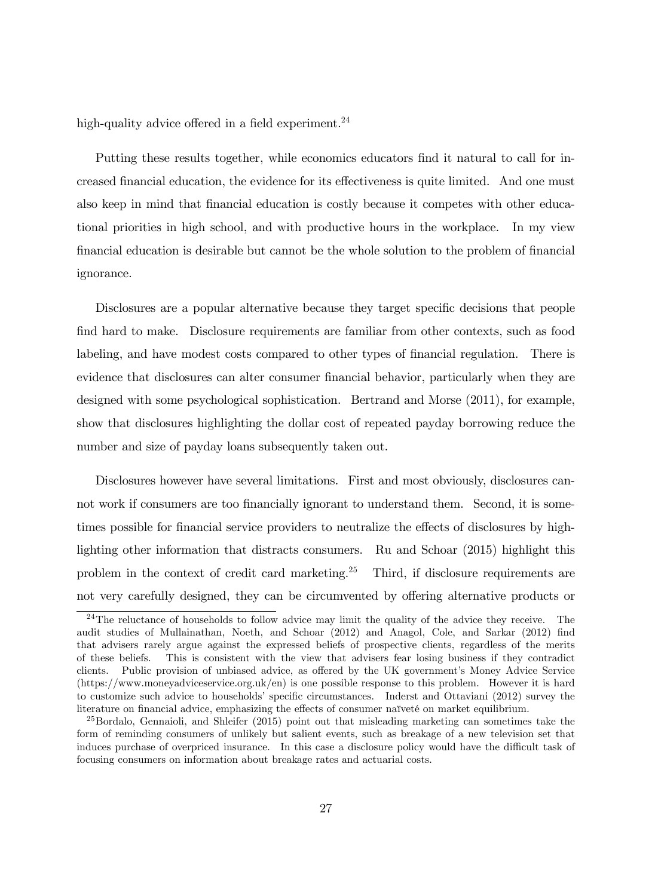high-quality advice offered in a field experiment.<sup>24</sup>

Putting these results together, while economics educators find it natural to call for increased financial education, the evidence for its effectiveness is quite limited. And one must also keep in mind that financial education is costly because it competes with other educational priorities in high school, and with productive hours in the workplace. In my view Önancial education is desirable but cannot be the whole solution to the problem of Önancial ignorance.

Disclosures are a popular alternative because they target specific decisions that people find hard to make. Disclosure requirements are familiar from other contexts, such as food labeling, and have modest costs compared to other types of financial regulation. There is evidence that disclosures can alter consumer financial behavior, particularly when they are designed with some psychological sophistication. Bertrand and Morse (2011), for example, show that disclosures highlighting the dollar cost of repeated payday borrowing reduce the number and size of payday loans subsequently taken out.

Disclosures however have several limitations. First and most obviously, disclosures cannot work if consumers are too financially ignorant to understand them. Second, it is sometimes possible for financial service providers to neutralize the effects of disclosures by highlighting other information that distracts consumers. Ru and Schoar (2015) highlight this problem in the context of credit card marketing.<sup>25</sup> Third, if disclosure requirements are not very carefully designed, they can be circumvented by offering alternative products or

 $^{24}$ The reluctance of households to follow advice may limit the quality of the advice they receive. The audit studies of Mullainathan, Noeth, and Schoar (2012) and Anagol, Cole, and Sarkar (2012) find that advisers rarely argue against the expressed beliefs of prospective clients, regardless of the merits of these beliefs. This is consistent with the view that advisers fear losing business if they contradict clients. Public provision of unbiased advice, as offered by the UK government's Money Advice Service (https://www.moneyadviceservice.org.uk/en) is one possible response to this problem. However it is hard to customize such advice to households' specific circumstances. Inderst and Ottaviani (2012) survey the literature on financial advice, emphasizing the effects of consumer naïveté on market equilibrium.

 $^{25}$ Bordalo, Gennaioli, and Shleifer (2015) point out that misleading marketing can sometimes take the form of reminding consumers of unlikely but salient events, such as breakage of a new television set that induces purchase of overpriced insurance. In this case a disclosure policy would have the difficult task of focusing consumers on information about breakage rates and actuarial costs.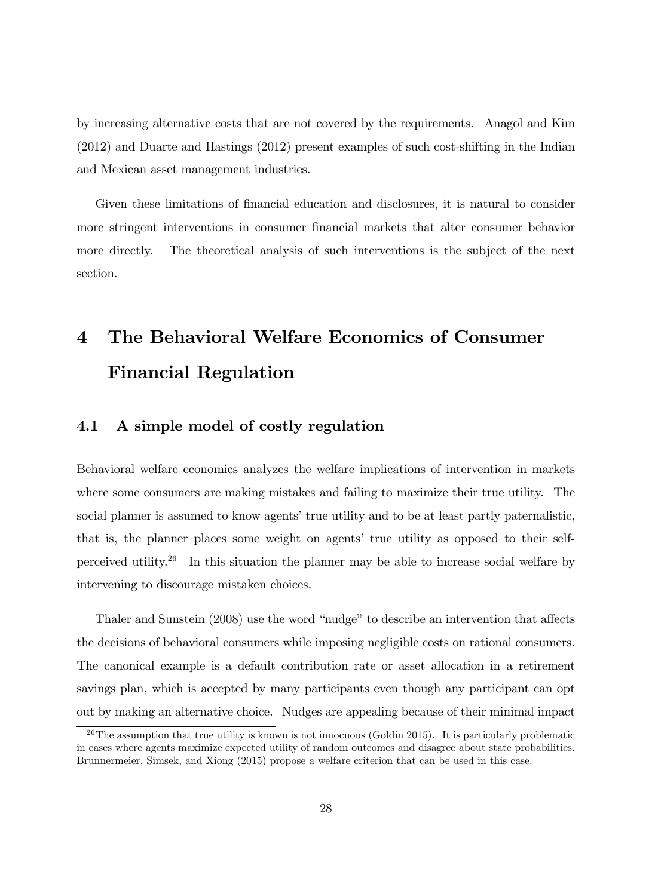by increasing alternative costs that are not covered by the requirements. Anagol and Kim (2012) and Duarte and Hastings (2012) present examples of such cost-shifting in the Indian and Mexican asset management industries.

Given these limitations of financial education and disclosures, it is natural to consider more stringent interventions in consumer Önancial markets that alter consumer behavior more directly. The theoretical analysis of such interventions is the subject of the next section.

# 4 The Behavioral Welfare Economics of Consumer Financial Regulation

## 4.1 A simple model of costly regulation

Behavioral welfare economics analyzes the welfare implications of intervention in markets where some consumers are making mistakes and failing to maximize their true utility. The social planner is assumed to know agents' true utility and to be at least partly paternalistic, that is, the planner places some weight on agents' true utility as opposed to their selfperceived utility.<sup>26</sup> In this situation the planner may be able to increase social welfare by intervening to discourage mistaken choices.

Thaler and Sunstein (2008) use the word "nudge" to describe an intervention that affects the decisions of behavioral consumers while imposing negligible costs on rational consumers. The canonical example is a default contribution rate or asset allocation in a retirement savings plan, which is accepted by many participants even though any participant can opt out by making an alternative choice. Nudges are appealing because of their minimal impact

 $26$ The assumption that true utility is known is not innocuous (Goldin 2015). It is particularly problematic in cases where agents maximize expected utility of random outcomes and disagree about state probabilities. Brunnermeier, Simsek, and Xiong (2015) propose a welfare criterion that can be used in this case.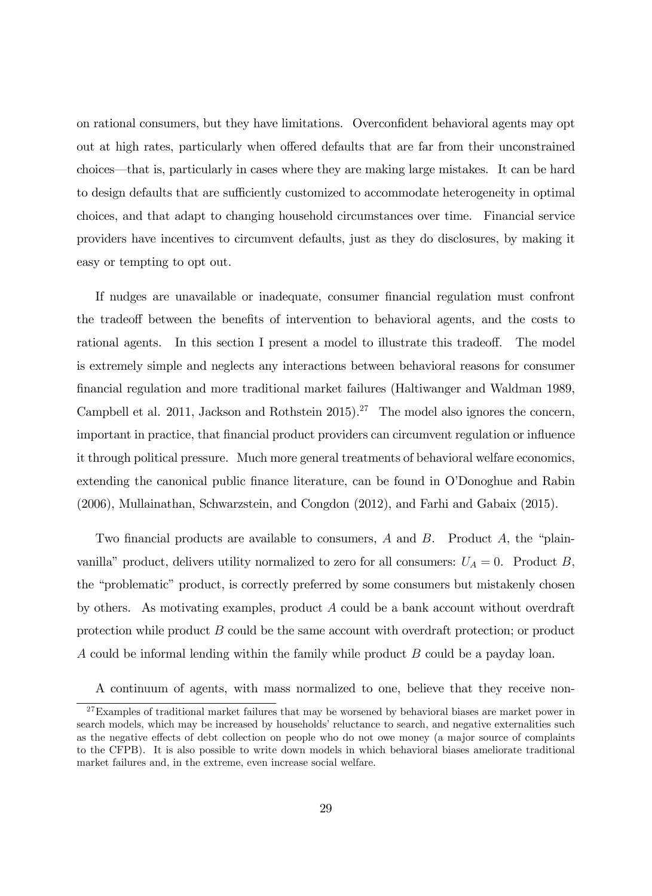on rational consumers, but they have limitations. Overconfident behavioral agents may opt out at high rates, particularly when offered defaults that are far from their unconstrained choices—that is, particularly in cases where they are making large mistakes. It can be hard to design defaults that are sufficiently customized to accommodate heterogeneity in optimal choices, and that adapt to changing household circumstances over time. Financial service providers have incentives to circumvent defaults, just as they do disclosures, by making it easy or tempting to opt out.

If nudges are unavailable or inadequate, consumer financial regulation must confront the tradeoff between the benefits of intervention to behavioral agents, and the costs to rational agents. In this section I present a model to illustrate this tradeoff. The model is extremely simple and neglects any interactions between behavioral reasons for consumer Önancial regulation and more traditional market failures (Haltiwanger and Waldman 1989, Campbell et al. 2011, Jackson and Rothstein 2015).<sup>27</sup> The model also ignores the concern, important in practice, that financial product providers can circumvent regulation or influence it through political pressure. Much more general treatments of behavioral welfare economics, extending the canonical public finance literature, can be found in O'Donoghue and Rabin (2006), Mullainathan, Schwarzstein, and Congdon (2012), and Farhi and Gabaix (2015).

Two financial products are available to consumers, A and B. Product A, the "plainvanilla" product, delivers utility normalized to zero for all consumers:  $U_A = 0$ . Product B, the "problematic" product, is correctly preferred by some consumers but mistakenly chosen by others. As motivating examples, product A could be a bank account without overdraft protection while product B could be the same account with overdraft protection; or product A could be informal lending within the family while product B could be a payday loan.

A continuum of agents, with mass normalized to one, believe that they receive non-

<sup>&</sup>lt;sup>27</sup>Examples of traditional market failures that may be worsened by behavioral biases are market power in search models, which may be increased by households' reluctance to search, and negative externalities such as the negative effects of debt collection on people who do not owe money (a major source of complaints to the CFPB). It is also possible to write down models in which behavioral biases ameliorate traditional market failures and, in the extreme, even increase social welfare.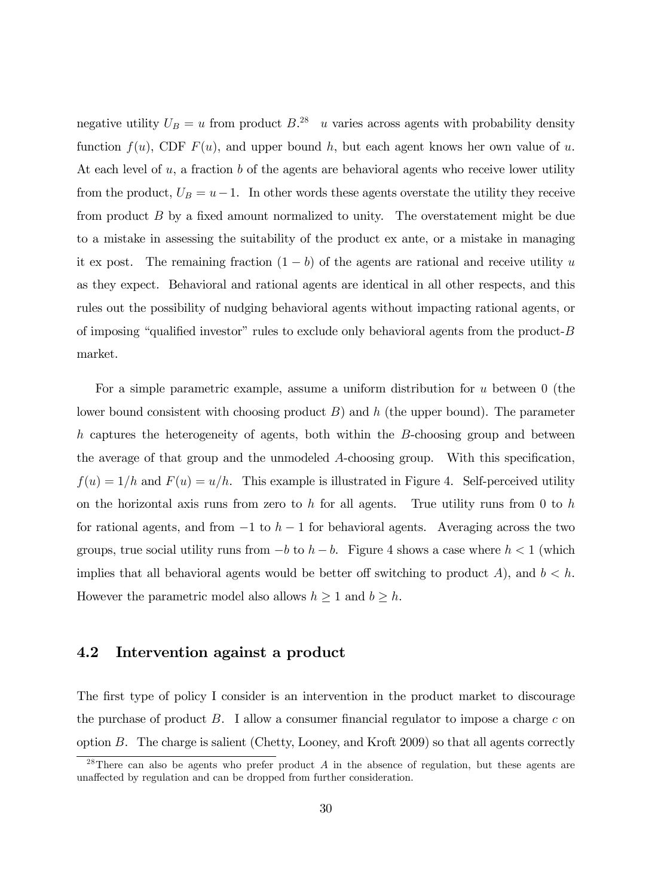negative utility  $U_B = u$  from product  $B^{28}$  u varies across agents with probability density function  $f(u)$ , CDF  $F(u)$ , and upper bound h, but each agent knows her own value of u. At each level of  $u$ , a fraction  $b$  of the agents are behavioral agents who receive lower utility from the product,  $U_B = u-1$ . In other words these agents overstate the utility they receive from product  $B$  by a fixed amount normalized to unity. The overstatement might be due to a mistake in assessing the suitability of the product ex ante, or a mistake in managing it ex post. The remaining fraction  $(1 - b)$  of the agents are rational and receive utility u as they expect. Behavioral and rational agents are identical in all other respects, and this rules out the possibility of nudging behavioral agents without impacting rational agents, or of imposing "qualified investor" rules to exclude only behavioral agents from the product- $B$ market.

For a simple parametric example, assume a uniform distribution for  $u$  between  $0$  (the lower bound consistent with choosing product  $B$ ) and h (the upper bound). The parameter h captures the heterogeneity of agents, both within the B-choosing group and between the average of that group and the unmodeled  $A$ -choosing group. With this specification,  $f(u) = 1/h$  and  $F(u) = u/h$ . This example is illustrated in Figure 4. Self-perceived utility on the horizontal axis runs from zero to h for all agents. True utility runs from 0 to h for rational agents, and from  $-1$  to  $h-1$  for behavioral agents. Averaging across the two groups, true social utility runs from  $-b$  to  $h - b$ . Figure 4 shows a case where  $h < 1$  (which implies that all behavioral agents would be better off switching to product A), and  $b < h$ . However the parametric model also allows  $h \geq 1$  and  $b \geq h$ .

## 4.2 Intervention against a product

The first type of policy I consider is an intervention in the product market to discourage the purchase of product  $B$ . I allow a consumer financial regulator to impose a charge c on option B. The charge is salient (Chetty, Looney, and Kroft 2009) so that all agents correctly

<sup>&</sup>lt;sup>28</sup>There can also be agents who prefer product A in the absence of regulation, but these agents are unaffected by regulation and can be dropped from further consideration.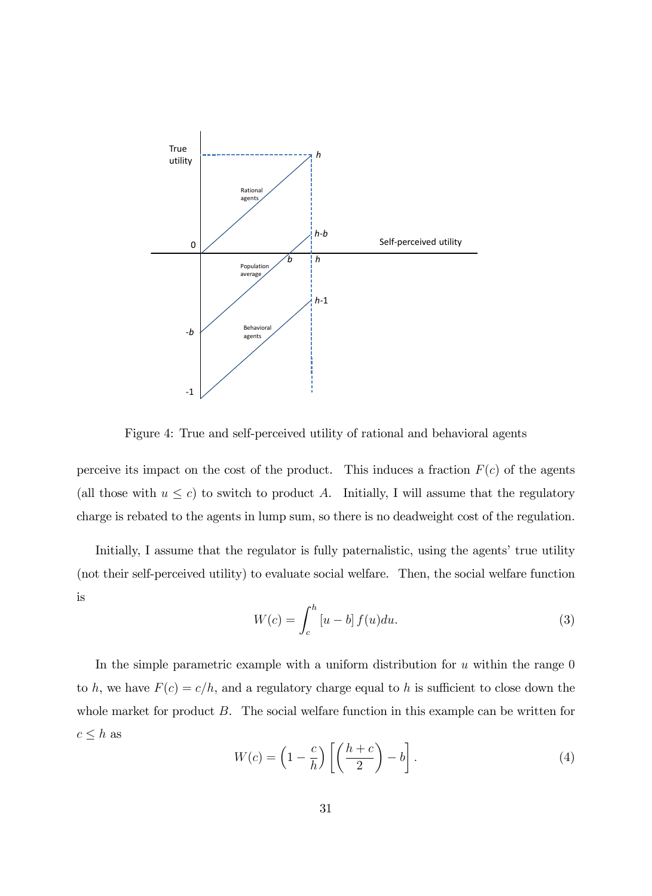

Figure 4: True and self-perceived utility of rational and behavioral agents

perceive its impact on the cost of the product. This induces a fraction  $F(c)$  of the agents (all those with  $u \leq c$ ) to switch to product A. Initially, I will assume that the regulatory charge is rebated to the agents in lump sum, so there is no deadweight cost of the regulation.

Initially, I assume that the regulator is fully paternalistic, using the agents' true utility (not their self-perceived utility) to evaluate social welfare. Then, the social welfare function is

$$
W(c) = \int_{c}^{h} [u - b] f(u) du.
$$
 (3)

In the simple parametric example with a uniform distribution for  $u$  within the range  $0$ to h, we have  $F(c) = c/h$ , and a regulatory charge equal to h is sufficient to close down the whole market for product B. The social welfare function in this example can be written for  $c \leq h$  as

$$
W(c) = \left(1 - \frac{c}{h}\right) \left[\left(\frac{h+c}{2}\right) - b\right].
$$
\n(4)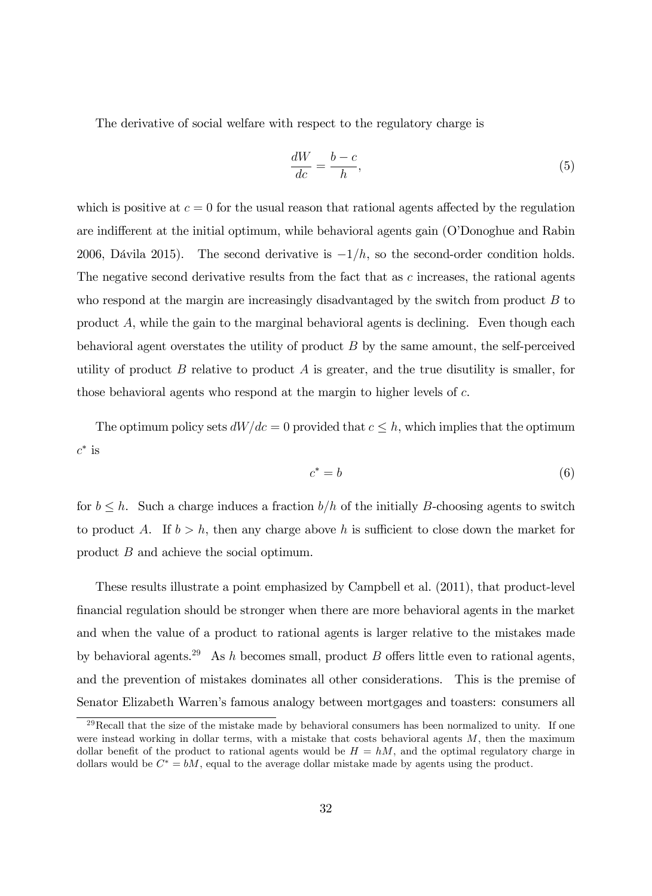The derivative of social welfare with respect to the regulatory charge is

$$
\frac{dW}{dc} = \frac{b-c}{h},\tag{5}
$$

which is positive at  $c = 0$  for the usual reason that rational agents affected by the regulation are indifferent at the initial optimum, while behavioral agents gain (O'Donoghue and Rabin 2006, Dávila 2015). The second derivative is  $-1/h$ , so the second-order condition holds. The negative second derivative results from the fact that as  $c$  increases, the rational agents who respond at the margin are increasingly disadvantaged by the switch from product  $B$  to product A, while the gain to the marginal behavioral agents is declining. Even though each behavioral agent overstates the utility of product  $B$  by the same amount, the self-perceived utility of product  $B$  relative to product  $A$  is greater, and the true disutility is smaller, for those behavioral agents who respond at the margin to higher levels of c.

The optimum policy sets  $dWdc = 0$  provided that  $c \leq h$ , which implies that the optimum  $c^*$  is

$$
c^* = b \tag{6}
$$

for  $b \leq h$ . Such a charge induces a fraction  $b/h$  of the initially B-choosing agents to switch to product A. If  $b > h$ , then any charge above h is sufficient to close down the market for product B and achieve the social optimum.

These results illustrate a point emphasized by Campbell et al. (2011), that product-level financial regulation should be stronger when there are more behavioral agents in the market and when the value of a product to rational agents is larger relative to the mistakes made by behavioral agents.<sup>29</sup> As h becomes small, product B offers little even to rational agents, and the prevention of mistakes dominates all other considerations. This is the premise of Senator Elizabeth Warrenís famous analogy between mortgages and toasters: consumers all

 $^{29}$ Recall that the size of the mistake made by behavioral consumers has been normalized to unity. If one were instead working in dollar terms, with a mistake that costs behavioral agents  $M$ , then the maximum dollar benefit of the product to rational agents would be  $H = hM$ , and the optimal regulatory charge in dollars would be  $C^* = bM$ , equal to the average dollar mistake made by agents using the product.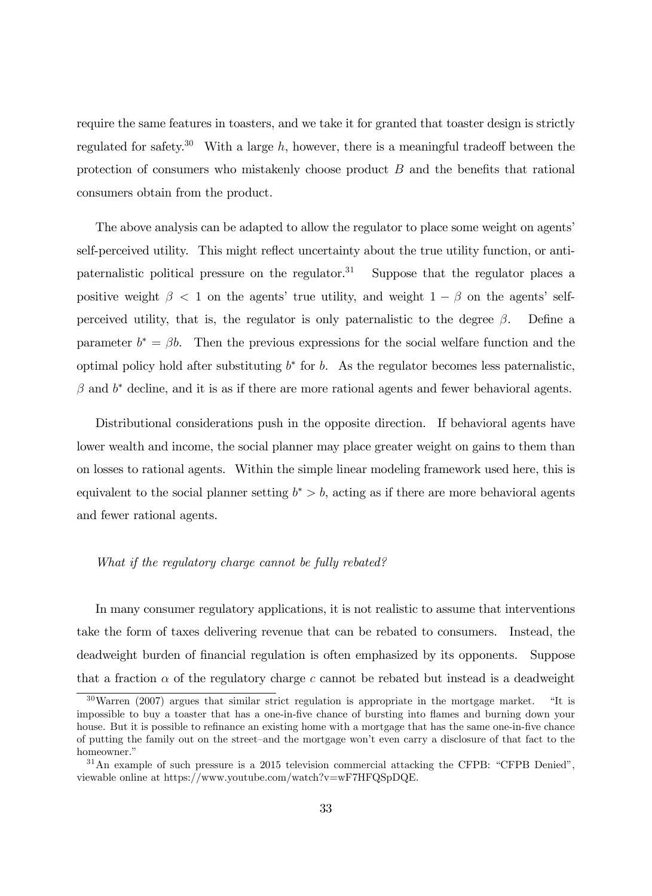require the same features in toasters, and we take it for granted that toaster design is strictly regulated for safety.<sup>30</sup> With a large h, however, there is a meaningful tradeoff between the protection of consumers who mistakenly choose product  $B$  and the benefits that rational consumers obtain from the product.

The above analysis can be adapted to allow the regulator to place some weight on agents' self-perceived utility. This might reflect uncertainty about the true utility function, or antipaternalistic political pressure on the regulator.<sup>31</sup> Suppose that the regulator places a positive weight  $\beta$  < 1 on the agents' true utility, and weight  $1-\beta$  on the agents' selfperceived utility, that is, the regulator is only paternalistic to the degree  $\beta$ . Define a parameter  $b^* = \beta b$ . Then the previous expressions for the social welfare function and the optimal policy hold after substituting  $b^*$  for b. As the regulator becomes less paternalistic,  $\beta$  and  $b^*$  decline, and it is as if there are more rational agents and fewer behavioral agents.

Distributional considerations push in the opposite direction. If behavioral agents have lower wealth and income, the social planner may place greater weight on gains to them than on losses to rational agents. Within the simple linear modeling framework used here, this is equivalent to the social planner setting  $b^* > b$ , acting as if there are more behavioral agents and fewer rational agents.

#### What if the regulatory charge cannot be fully rebated?

In many consumer regulatory applications, it is not realistic to assume that interventions take the form of taxes delivering revenue that can be rebated to consumers. Instead, the deadweight burden of financial regulation is often emphasized by its opponents. Suppose that a fraction  $\alpha$  of the regulatory charge c cannot be rebated but instead is a deadweight

 $30\,\text{Warren}$  (2007) argues that similar strict regulation is appropriate in the mortgage market. "It is impossible to buy a toaster that has a one-in-five chance of bursting into flames and burning down your house. But it is possible to refinance an existing home with a mortgage that has the same one-in-five chance of putting the family out on the street–and the mortgage won't even carry a disclosure of that fact to the homeowner."

 $31$ An example of such pressure is a 2015 television commercial attacking the CFPB: "CFPB Denied", viewable online at https://www.youtube.com/watch?v=wF7HFQSpDQE.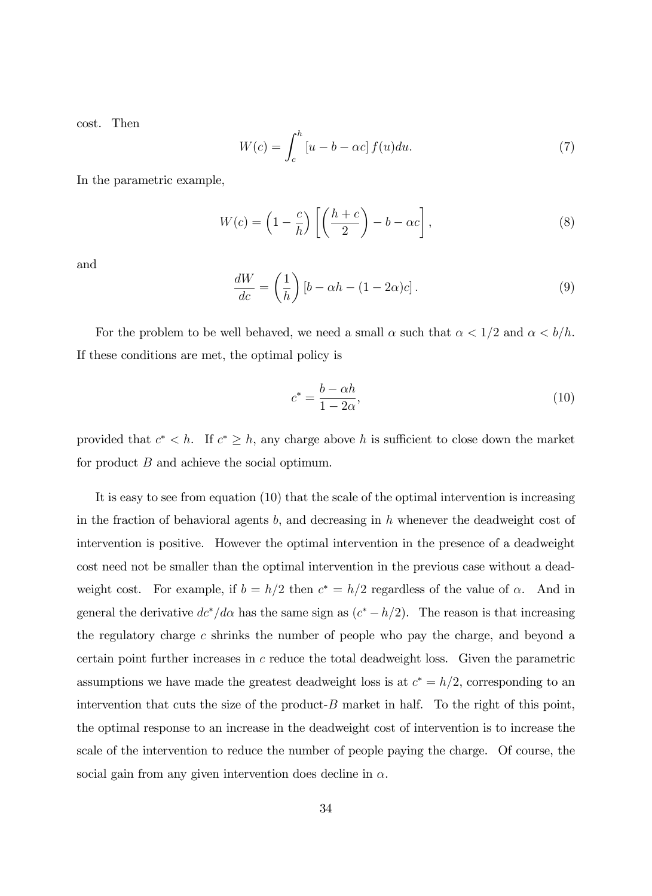cost. Then

$$
W(c) = \int_{c}^{h} \left[ u - b - \alpha c \right] f(u) du.
$$
 (7)

In the parametric example,

$$
W(c) = \left(1 - \frac{c}{h}\right) \left[\left(\frac{h+c}{2}\right) - b - \alpha c\right],\tag{8}
$$

and

$$
\frac{dW}{dc} = \left(\frac{1}{h}\right)[b - \alpha h - (1 - 2\alpha)c].\tag{9}
$$

For the problem to be well behaved, we need a small  $\alpha$  such that  $\alpha < 1/2$  and  $\alpha < b/h$ . If these conditions are met, the optimal policy is

$$
c^* = \frac{b - \alpha h}{1 - 2\alpha},\tag{10}
$$

provided that  $c^* < h$ . If  $c^* \geq h$ , any charge above h is sufficient to close down the market for product B and achieve the social optimum.

It is easy to see from equation (10) that the scale of the optimal intervention is increasing in the fraction of behavioral agents b, and decreasing in h whenever the deadweight cost of intervention is positive. However the optimal intervention in the presence of a deadweight cost need not be smaller than the optimal intervention in the previous case without a deadweight cost. For example, if  $b = h/2$  then  $c^* = h/2$  regardless of the value of  $\alpha$ . And in general the derivative  $dc^*/d\alpha$  has the same sign as  $(c^* - h/2)$ . The reason is that increasing the regulatory charge c shrinks the number of people who pay the charge, and beyond a certain point further increases in  $c$  reduce the total deadweight loss. Given the parametric assumptions we have made the greatest deadweight loss is at  $c^* = h/2$ , corresponding to an intervention that cuts the size of the product- $B$  market in half. To the right of this point, the optimal response to an increase in the deadweight cost of intervention is to increase the scale of the intervention to reduce the number of people paying the charge. Of course, the social gain from any given intervention does decline in  $\alpha$ .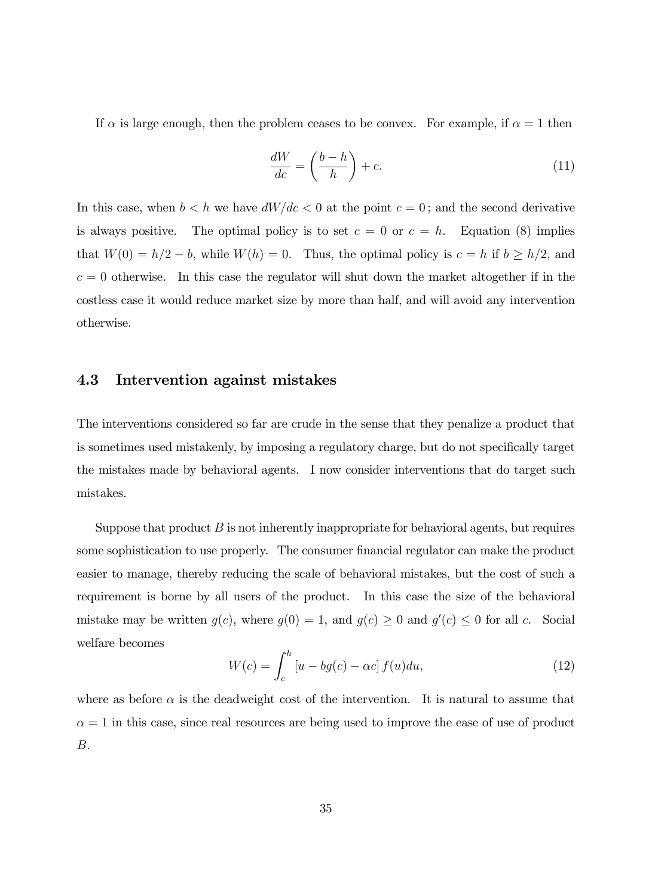If  $\alpha$  is large enough, then the problem ceases to be convex. For example, if  $\alpha = 1$  then

$$
\frac{dW}{dc} = \left(\frac{b-h}{h}\right) + c.\tag{11}
$$

In this case, when  $b < h$  we have  $dW/dc < 0$  at the point  $c = 0$ ; and the second derivative is always positive. The optimal policy is to set  $c = 0$  or  $c = h$ . Equation (8) implies that  $W(0) = h/2 - b$ , while  $W(h) = 0$ . Thus, the optimal policy is  $c = h$  if  $b \ge h/2$ , and  $c = 0$  otherwise. In this case the regulator will shut down the market altogether if in the costless case it would reduce market size by more than half, and will avoid any intervention otherwise.

### 4.3 Intervention against mistakes

The interventions considered so far are crude in the sense that they penalize a product that is sometimes used mistakenly, by imposing a regulatory charge, but do not specifically target the mistakes made by behavioral agents. I now consider interventions that do target such mistakes.

Suppose that product  $B$  is not inherently inappropriate for behavioral agents, but requires some sophistication to use properly. The consumer financial regulator can make the product easier to manage, thereby reducing the scale of behavioral mistakes, but the cost of such a requirement is borne by all users of the product. In this case the size of the behavioral mistake may be written  $g(c)$ , where  $g(0) = 1$ , and  $g(c) \ge 0$  and  $g'(c) \le 0$  for all c. Social welfare becomes

$$
W(c) = \int_{c}^{h} \left[ u - bg(c) - \alpha c \right] f(u) du,\tag{12}
$$

where as before  $\alpha$  is the deadweight cost of the intervention. It is natural to assume that  $\alpha = 1$  in this case, since real resources are being used to improve the ease of use of product B.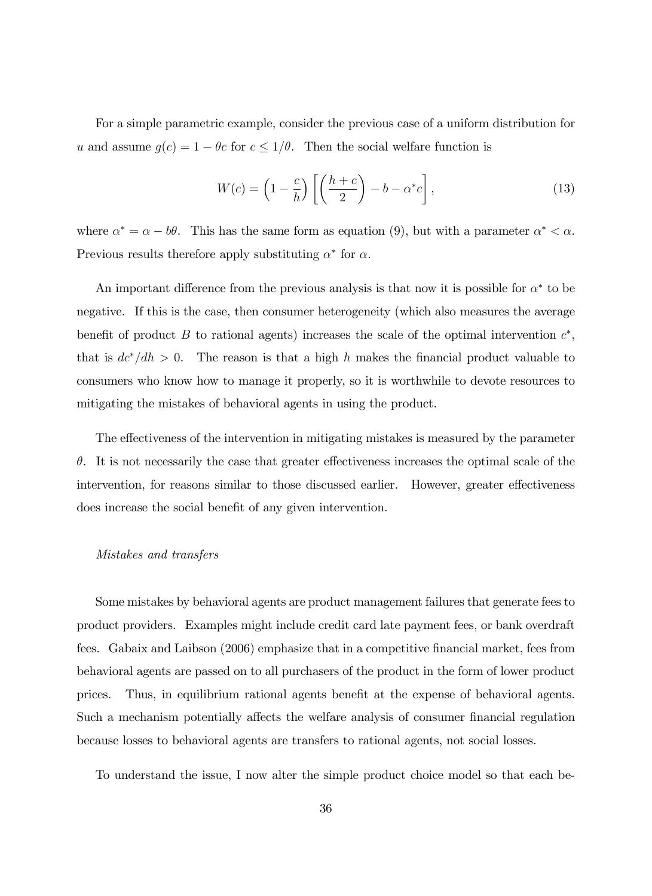For a simple parametric example, consider the previous case of a uniform distribution for u and assume  $g(c) = 1 - \theta_c$  for  $c \leq 1/\theta$ . Then the social welfare function is

$$
W(c) = \left(1 - \frac{c}{h}\right) \left[\left(\frac{h+c}{2}\right) - b - \alpha^* c\right],\tag{13}
$$

where  $\alpha^* = \alpha - b\theta$ . This has the same form as equation (9), but with a parameter  $\alpha^* < \alpha$ . Previous results therefore apply substituting  $\alpha^*$  for  $\alpha$ .

An important difference from the previous analysis is that now it is possible for  $\alpha^*$  to be negative. If this is the case, then consumer heterogeneity (which also measures the average benefit of product B to rational agents) increases the scale of the optimal intervention  $c^*$ , that is  $\frac{dc^{*}}{dh} > 0$ . The reason is that a high h makes the financial product valuable to consumers who know how to manage it properly, so it is worthwhile to devote resources to mitigating the mistakes of behavioral agents in using the product.

The effectiveness of the intervention in mitigating mistakes is measured by the parameter  $\theta$ . It is not necessarily the case that greater effectiveness increases the optimal scale of the intervention, for reasons similar to those discussed earlier. However, greater effectiveness does increase the social benefit of any given intervention.

#### Mistakes and transfers

Some mistakes by behavioral agents are product management failures that generate fees to product providers. Examples might include credit card late payment fees, or bank overdraft fees. Gabaix and Laibson (2006) emphasize that in a competitive Önancial market, fees from behavioral agents are passed on to all purchasers of the product in the form of lower product prices. Thus, in equilibrium rational agents benefit at the expense of behavioral agents. Such a mechanism potentially affects the welfare analysis of consumer financial regulation because losses to behavioral agents are transfers to rational agents, not social losses.

To understand the issue, I now alter the simple product choice model so that each be-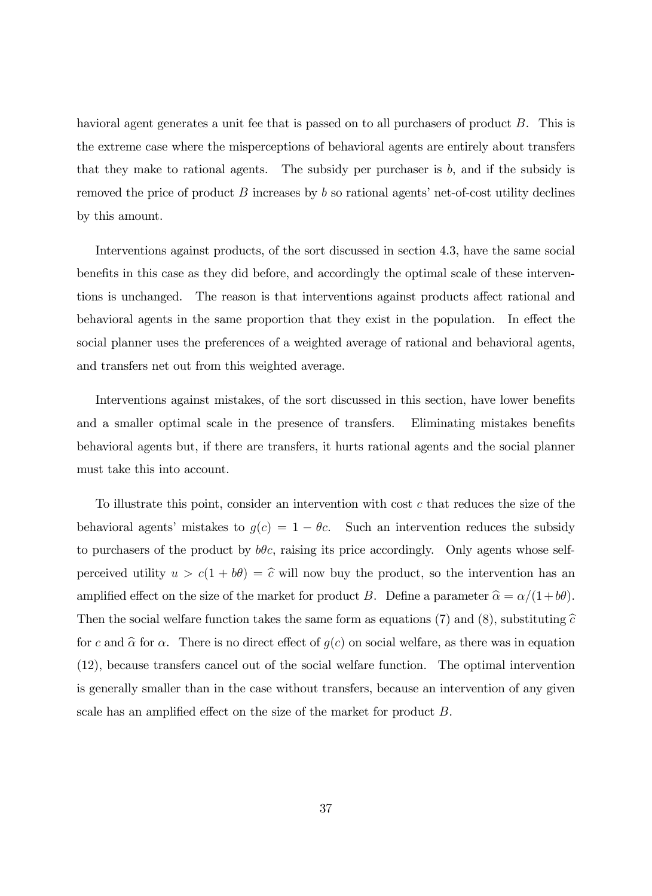havioral agent generates a unit fee that is passed on to all purchasers of product B. This is the extreme case where the misperceptions of behavioral agents are entirely about transfers that they make to rational agents. The subsidy per purchaser is  $b$ , and if the subsidy is removed the price of product  $B$  increases by b so rational agents' net-of-cost utility declines by this amount.

Interventions against products, of the sort discussed in section 4.3, have the same social benefits in this case as they did before, and accordingly the optimal scale of these interventions is unchanged. The reason is that interventions against products affect rational and behavioral agents in the same proportion that they exist in the population. In effect the social planner uses the preferences of a weighted average of rational and behavioral agents, and transfers net out from this weighted average.

Interventions against mistakes, of the sort discussed in this section, have lower benefits and a smaller optimal scale in the presence of transfers. Eliminating mistakes benefits behavioral agents but, if there are transfers, it hurts rational agents and the social planner must take this into account.

To illustrate this point, consider an intervention with cost c that reduces the size of the behavioral agents' mistakes to  $g(c) = 1 - \theta_c$ . Such an intervention reduces the subsidy to purchasers of the product by  $b\theta c$ , raising its price accordingly. Only agents whose selfperceived utility  $u > c(1 + b\theta) = \hat{c}$  will now buy the product, so the intervention has an amplified effect on the size of the market for product B. Define a parameter  $\hat{\alpha} = \alpha/(1+b\theta)$ . Then the social welfare function takes the same form as equations (7) and (8), substituting  $\hat{c}$ for c and  $\hat{\alpha}$  for  $\alpha$ . There is no direct effect of  $g(c)$  on social welfare, as there was in equation (12), because transfers cancel out of the social welfare function. The optimal intervention is generally smaller than in the case without transfers, because an intervention of any given scale has an amplified effect on the size of the market for product  $B$ .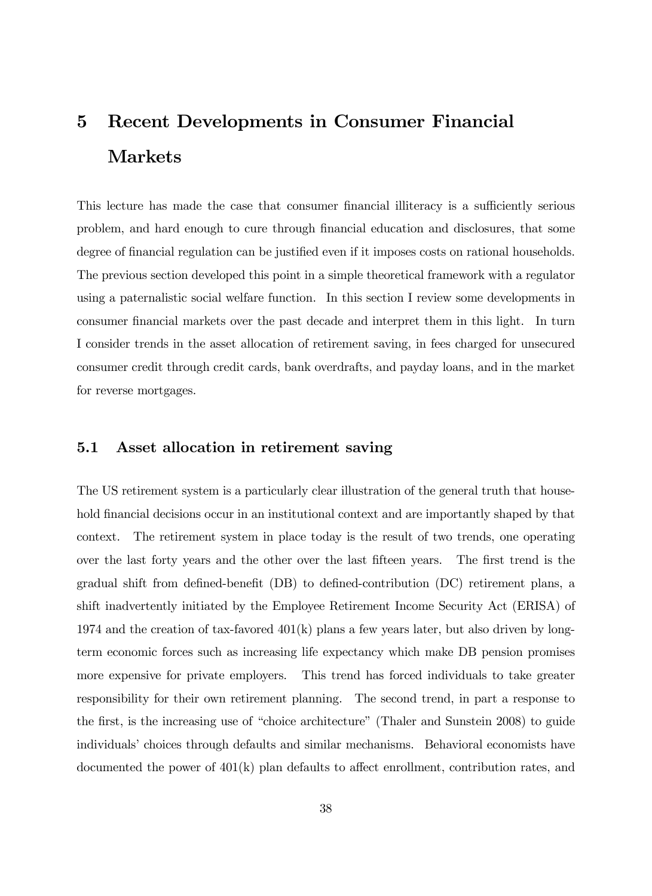# 5 Recent Developments in Consumer Financial Markets

This lecture has made the case that consumer financial illiteracy is a sufficiently serious problem, and hard enough to cure through Önancial education and disclosures, that some degree of financial regulation can be justified even if it imposes costs on rational households. The previous section developed this point in a simple theoretical framework with a regulator using a paternalistic social welfare function. In this section I review some developments in consumer Önancial markets over the past decade and interpret them in this light. In turn I consider trends in the asset allocation of retirement saving, in fees charged for unsecured consumer credit through credit cards, bank overdrafts, and payday loans, and in the market for reverse mortgages.

## 5.1 Asset allocation in retirement saving

The US retirement system is a particularly clear illustration of the general truth that household financial decisions occur in an institutional context and are importantly shaped by that context. The retirement system in place today is the result of two trends, one operating over the last forty years and the other over the last fifteen years. The first trend is the gradual shift from defined-benefit  $(DB)$  to defined-contribution  $(DC)$  retirement plans, a shift inadvertently initiated by the Employee Retirement Income Security Act (ERISA) of 1974 and the creation of tax-favored  $401(k)$  plans a few years later, but also driven by longterm economic forces such as increasing life expectancy which make DB pension promises more expensive for private employers. This trend has forced individuals to take greater responsibility for their own retirement planning. The second trend, in part a response to the first, is the increasing use of "choice architecture" (Thaler and Sunstein 2008) to guide individuals' choices through defaults and similar mechanisms. Behavioral economists have documented the power of  $401(k)$  plan defaults to affect enrollment, contribution rates, and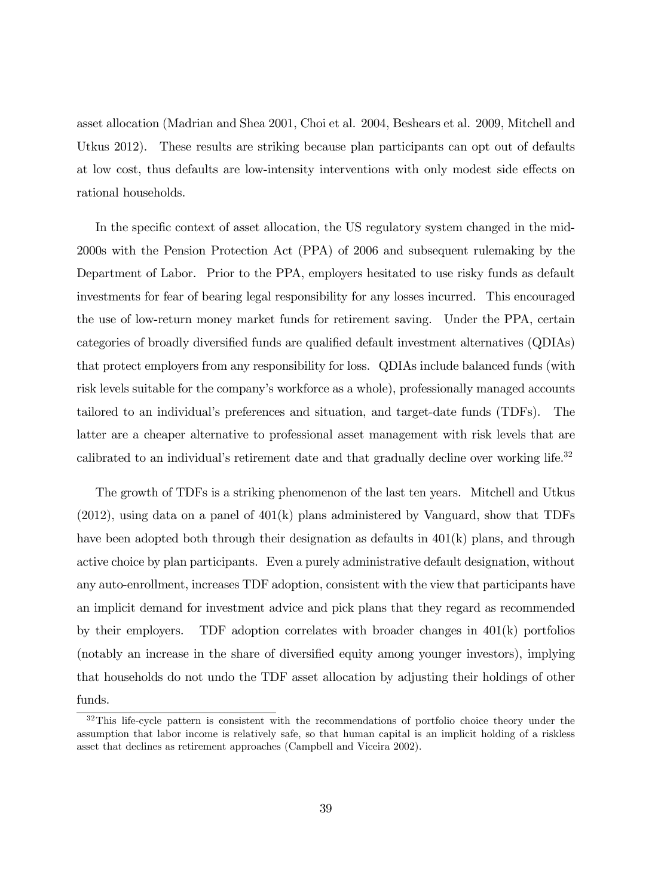asset allocation (Madrian and Shea 2001, Choi et al. 2004, Beshears et al. 2009, Mitchell and Utkus 2012). These results are striking because plan participants can opt out of defaults at low cost, thus defaults are low-intensity interventions with only modest side effects on rational households.

In the specific context of asset allocation, the US regulatory system changed in the mid-2000s with the Pension Protection Act (PPA) of 2006 and subsequent rulemaking by the Department of Labor. Prior to the PPA, employers hesitated to use risky funds as default investments for fear of bearing legal responsibility for any losses incurred. This encouraged the use of low-return money market funds for retirement saving. Under the PPA, certain categories of broadly diversified funds are qualified default investment alternatives (QDIAs) that protect employers from any responsibility for loss. QDIAs include balanced funds (with risk levels suitable for the company's workforce as a whole), professionally managed accounts tailored to an individualís preferences and situation, and target-date funds (TDFs). The latter are a cheaper alternative to professional asset management with risk levels that are calibrated to an individual's retirement date and that gradually decline over working life.<sup>32</sup>

The growth of TDFs is a striking phenomenon of the last ten years. Mitchell and Utkus  $(2012)$ , using data on a panel of  $401(k)$  plans administered by Vanguard, show that TDFs have been adopted both through their designation as defaults in 401(k) plans, and through active choice by plan participants. Even a purely administrative default designation, without any auto-enrollment, increases TDF adoption, consistent with the view that participants have an implicit demand for investment advice and pick plans that they regard as recommended by their employers. TDF adoption correlates with broader changes in 401(k) portfolios (notably an increase in the share of diversified equity among younger investors), implying that households do not undo the TDF asset allocation by adjusting their holdings of other funds.

 $32$ This life-cycle pattern is consistent with the recommendations of portfolio choice theory under the assumption that labor income is relatively safe, so that human capital is an implicit holding of a riskless asset that declines as retirement approaches (Campbell and Viceira 2002).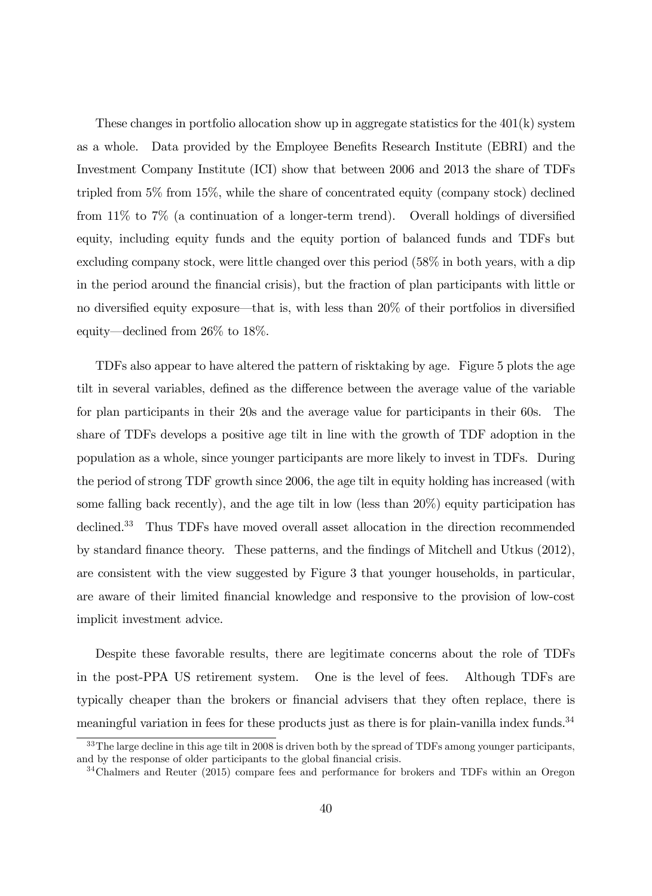These changes in portfolio allocation show up in aggregate statistics for the  $401(k)$  system as a whole. Data provided by the Employee Benefits Research Institute (EBRI) and the Investment Company Institute (ICI) show that between 2006 and 2013 the share of TDFs tripled from 5% from 15%, while the share of concentrated equity (company stock) declined from  $11\%$  to  $7\%$  (a continuation of a longer-term trend). Overall holdings of diversified equity, including equity funds and the equity portion of balanced funds and TDFs but excluding company stock, were little changed over this period (58% in both years, with a dip in the period around the Önancial crisis), but the fraction of plan participants with little or no diversified equity exposure—that is, with less than 20% of their portfolios in diversified equity—declined from  $26\%$  to 18%.

TDFs also appear to have altered the pattern of risktaking by age. Figure 5 plots the age tilt in several variables, defined as the difference between the average value of the variable for plan participants in their 20s and the average value for participants in their 60s. The share of TDFs develops a positive age tilt in line with the growth of TDF adoption in the population as a whole, since younger participants are more likely to invest in TDFs. During the period of strong TDF growth since 2006, the age tilt in equity holding has increased (with some falling back recently), and the age tilt in low (less than 20%) equity participation has declined.<sup>33</sup> Thus TDFs have moved overall asset allocation in the direction recommended by standard finance theory. These patterns, and the findings of Mitchell and Utkus (2012), are consistent with the view suggested by Figure 3 that younger households, in particular, are aware of their limited Önancial knowledge and responsive to the provision of low-cost implicit investment advice.

Despite these favorable results, there are legitimate concerns about the role of TDFs in the post-PPA US retirement system. One is the level of fees. Although TDFs are typically cheaper than the brokers or Önancial advisers that they often replace, there is meaningful variation in fees for these products just as there is for plain-vanilla index funds.<sup>34</sup>

<sup>&</sup>lt;sup>33</sup>The large decline in this age tilt in 2008 is driven both by the spread of TDFs among younger participants, and by the response of older participants to the global financial crisis.

<sup>&</sup>lt;sup>34</sup>Chalmers and Reuter (2015) compare fees and performance for brokers and TDFs within an Oregon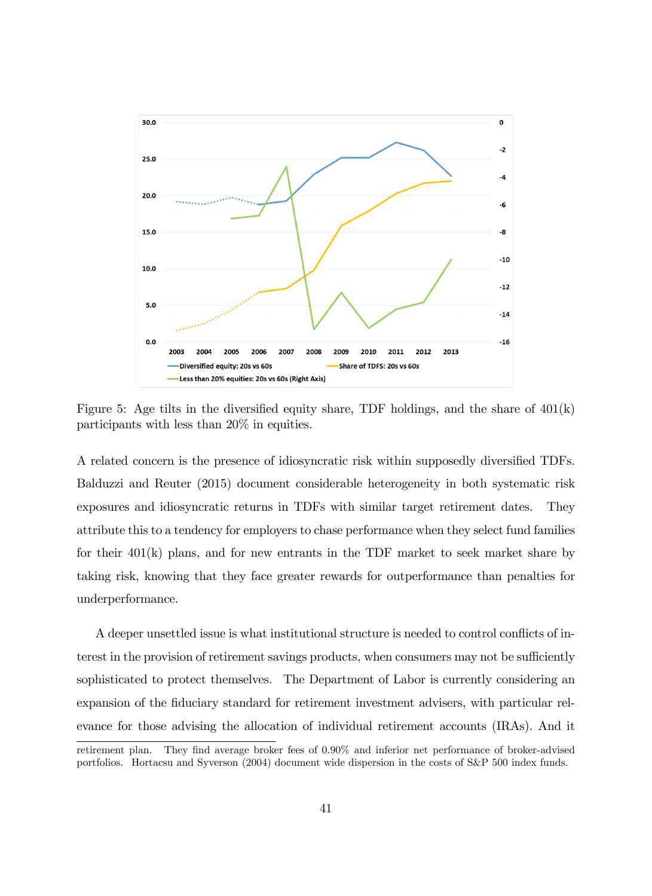

Figure 5: Age tilts in the diversified equity share, TDF holdings, and the share of  $401(k)$ participants with less than 20% in equities.

A related concern is the presence of idiosyncratic risk within supposedly diversified TDFs. Balduzzi and Reuter (2015) document considerable heterogeneity in both systematic risk exposures and idiosyncratic returns in TDFs with similar target retirement dates. They attribute this to a tendency for employers to chase performance when they select fund families for their  $401(k)$  plans, and for new entrants in the TDF market to seek market share by taking risk, knowing that they face greater rewards for outperformance than penalties for underperformance.

A deeper unsettled issue is what institutional structure is needed to control conflicts of interest in the provision of retirement savings products, when consumers may not be sufficiently sophisticated to protect themselves. The Department of Labor is currently considering an expansion of the fiduciary standard for retirement investment advisers, with particular relevance for those advising the allocation of individual retirement accounts (IRAs). And it retirement plan. They find average broker fees of 0.90% and inferior net performance of broker-advised

portfolios. Hortacsu and Syverson (2004) document wide dispersion in the costs of S&P 500 index funds.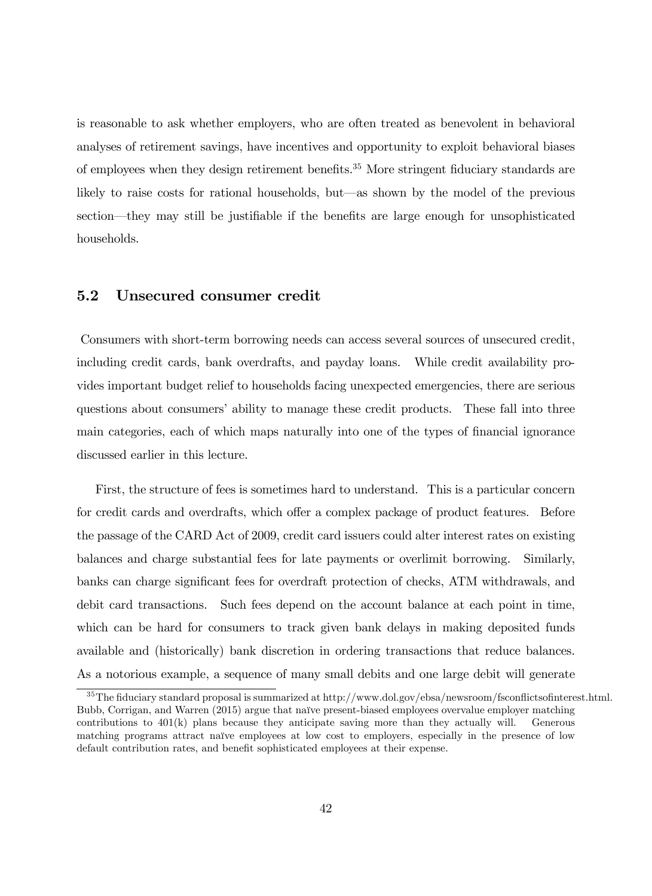is reasonable to ask whether employers, who are often treated as benevolent in behavioral analyses of retirement savings, have incentives and opportunity to exploit behavioral biases of employees when they design retirement benefits.<sup>35</sup> More stringent fiduciary standards are likely to raise costs for rational households, but—as shown by the model of the previous section—they may still be justifiable if the benefits are large enough for unsophisticated households.

### 5.2 Unsecured consumer credit

Consumers with short-term borrowing needs can access several sources of unsecured credit, including credit cards, bank overdrafts, and payday loans. While credit availability provides important budget relief to households facing unexpected emergencies, there are serious questions about consumers' ability to manage these credit products. These fall into three main categories, each of which maps naturally into one of the types of financial ignorance discussed earlier in this lecture.

First, the structure of fees is sometimes hard to understand. This is a particular concern for credit cards and overdrafts, which offer a complex package of product features. Before the passage of the CARD Act of 2009, credit card issuers could alter interest rates on existing balances and charge substantial fees for late payments or overlimit borrowing. Similarly, banks can charge significant fees for overdraft protection of checks, ATM withdrawals, and debit card transactions. Such fees depend on the account balance at each point in time, which can be hard for consumers to track given bank delays in making deposited funds available and (historically) bank discretion in ordering transactions that reduce balances. As a notorious example, a sequence of many small debits and one large debit will generate

 $35$ The fiduciary standard proposal is summarized at http://www.dol.gov/ebsa/newsroom/fsconflictsofinterest.html. Bubb, Corrigan, and Warren (2015) argue that naïve present-biased employees overvalue employer matching contributions to  $401(k)$  plans because they anticipate saving more than they actually will. Generous matching programs attract naïve employees at low cost to employers, especially in the presence of low default contribution rates, and benefit sophisticated employees at their expense.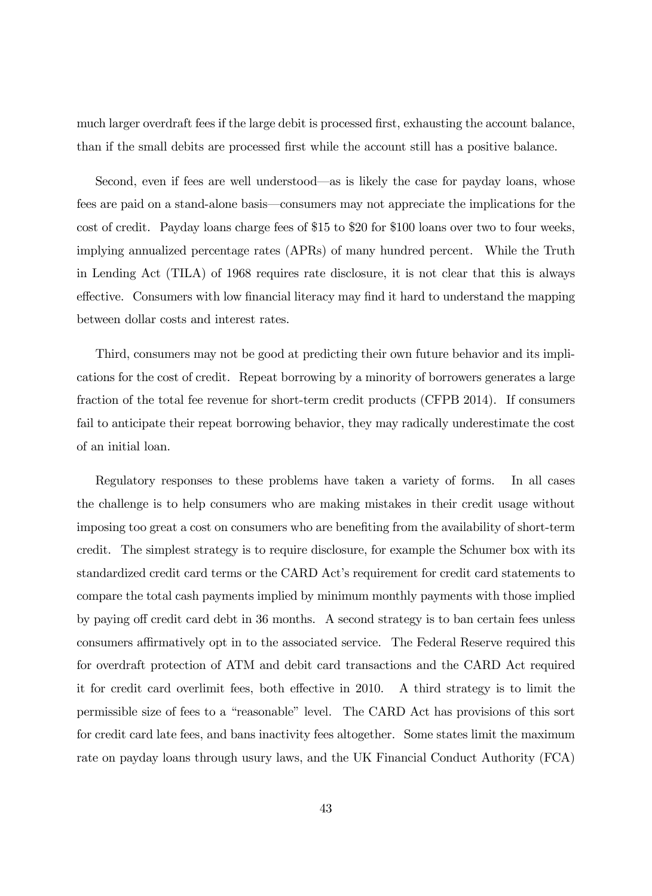much larger overdraft fees if the large debit is processed first, exhausting the account balance, than if the small debits are processed Örst while the account still has a positive balance.

Second, even if fees are well understood—as is likely the case for payday loans, whose fees are paid on a stand-alone basis—consumers may not appreciate the implications for the cost of credit. Payday loans charge fees of \$15 to \$20 for \$100 loans over two to four weeks, implying annualized percentage rates (APRs) of many hundred percent. While the Truth in Lending Act (TILA) of 1968 requires rate disclosure, it is not clear that this is always effective. Consumers with low financial literacy may find it hard to understand the mapping between dollar costs and interest rates.

Third, consumers may not be good at predicting their own future behavior and its implications for the cost of credit. Repeat borrowing by a minority of borrowers generates a large fraction of the total fee revenue for short-term credit products (CFPB 2014). If consumers fail to anticipate their repeat borrowing behavior, they may radically underestimate the cost of an initial loan.

Regulatory responses to these problems have taken a variety of forms. In all cases the challenge is to help consumers who are making mistakes in their credit usage without imposing too great a cost on consumers who are benefiting from the availability of short-term credit. The simplest strategy is to require disclosure, for example the Schumer box with its standardized credit card terms or the CARD Act's requirement for credit card statements to compare the total cash payments implied by minimum monthly payments with those implied by paying off credit card debt in 36 months. A second strategy is to ban certain fees unless consumers affirmatively opt in to the associated service. The Federal Reserve required this for overdraft protection of ATM and debit card transactions and the CARD Act required it for credit card overlimit fees, both effective in 2010. A third strategy is to limit the permissible size of fees to a "reasonable" level. The CARD Act has provisions of this sort for credit card late fees, and bans inactivity fees altogether. Some states limit the maximum rate on payday loans through usury laws, and the UK Financial Conduct Authority (FCA)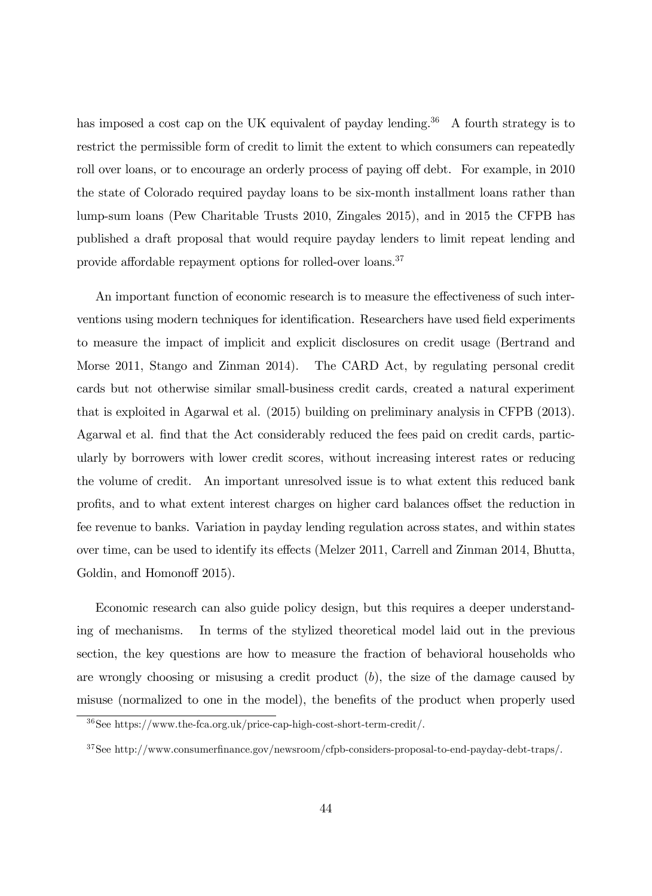has imposed a cost cap on the UK equivalent of payday lending.<sup>36</sup> A fourth strategy is to restrict the permissible form of credit to limit the extent to which consumers can repeatedly roll over loans, or to encourage an orderly process of paying off debt. For example, in 2010 the state of Colorado required payday loans to be six-month installment loans rather than lump-sum loans (Pew Charitable Trusts 2010, Zingales 2015), and in 2015 the CFPB has published a draft proposal that would require payday lenders to limit repeat lending and provide affordable repayment options for rolled-over loans.<sup>37</sup>

An important function of economic research is to measure the effectiveness of such interventions using modern techniques for identification. Researchers have used field experiments to measure the impact of implicit and explicit disclosures on credit usage (Bertrand and Morse 2011, Stango and Zinman 2014). The CARD Act, by regulating personal credit cards but not otherwise similar small-business credit cards, created a natural experiment that is exploited in Agarwal et al. (2015) building on preliminary analysis in CFPB (2013). Agarwal et al. Önd that the Act considerably reduced the fees paid on credit cards, particularly by borrowers with lower credit scores, without increasing interest rates or reducing the volume of credit. An important unresolved issue is to what extent this reduced bank profits, and to what extent interest charges on higher card balances offset the reduction in fee revenue to banks. Variation in payday lending regulation across states, and within states over time, can be used to identify its effects (Melzer 2011, Carrell and Zinman 2014, Bhutta, Goldin, and Homonoff 2015).

Economic research can also guide policy design, but this requires a deeper understanding of mechanisms. In terms of the stylized theoretical model laid out in the previous section, the key questions are how to measure the fraction of behavioral households who are wrongly choosing or misusing a credit product  $(b)$ , the size of the damage caused by misuse (normalized to one in the model), the benefits of the product when properly used

<sup>36</sup>See https://www.the-fca.org.uk/price-cap-high-cost-short-term-credit/.

<sup>&</sup>lt;sup>37</sup>See http://www.consumerfinance.gov/newsroom/cfpb-considers-proposal-to-end-payday-debt-traps/.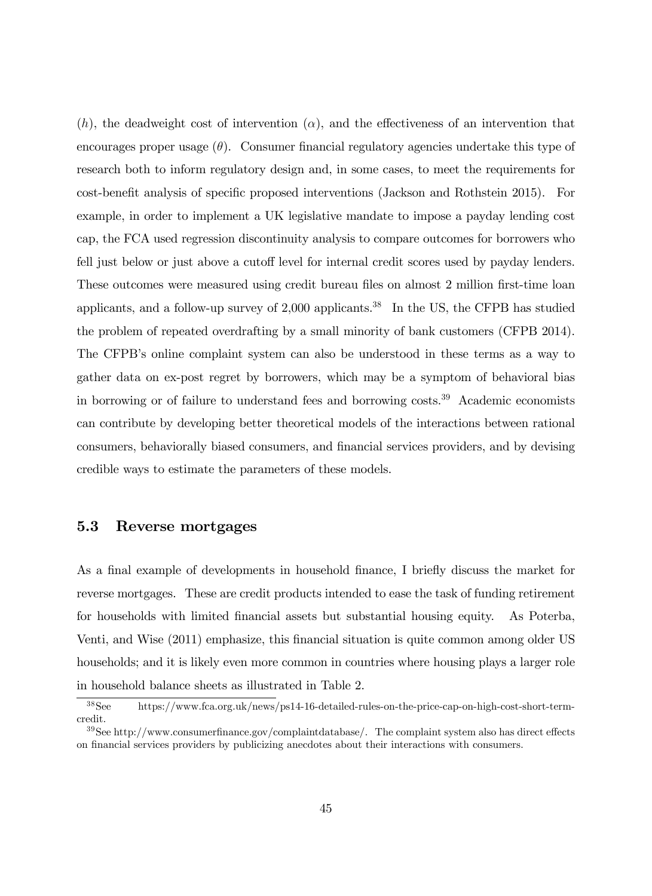(h), the deadweight cost of intervention  $(\alpha)$ , and the effectiveness of an intervention that encourages proper usage  $(\theta)$ . Consumer financial regulatory agencies undertake this type of research both to inform regulatory design and, in some cases, to meet the requirements for cost-benefit analysis of specific proposed interventions (Jackson and Rothstein 2015). For example, in order to implement a UK legislative mandate to impose a payday lending cost cap, the FCA used regression discontinuity analysis to compare outcomes for borrowers who fell just below or just above a cutoff level for internal credit scores used by payday lenders. These outcomes were measured using credit bureau files on almost 2 million first-time loan applicants, and a follow-up survey of  $2,000$  applicants.<sup>38</sup> In the US, the CFPB has studied the problem of repeated overdrafting by a small minority of bank customers (CFPB 2014). The CFPB's online complaint system can also be understood in these terms as a way to gather data on ex-post regret by borrowers, which may be a symptom of behavioral bias in borrowing or of failure to understand fees and borrowing costs.<sup>39</sup> Academic economists can contribute by developing better theoretical models of the interactions between rational consumers, behaviorally biased consumers, and Önancial services providers, and by devising credible ways to estimate the parameters of these models.

### 5.3 Reverse mortgages

As a final example of developments in household finance, I briefly discuss the market for reverse mortgages. These are credit products intended to ease the task of funding retirement for households with limited financial assets but substantial housing equity. As Poterba, Venti, and Wise (2011) emphasize, this Önancial situation is quite common among older US households; and it is likely even more common in countries where housing plays a larger role in household balance sheets as illustrated in Table 2.

<sup>38</sup>See https://www.fca.org.uk/news/ps14-16-detailed-rules-on-the-price-cap-on-high-cost-short-termcredit.

 $39$ See http://www.consumerfinance.gov/complaintdatabase/. The complaint system also has direct effects on Önancial services providers by publicizing anecdotes about their interactions with consumers.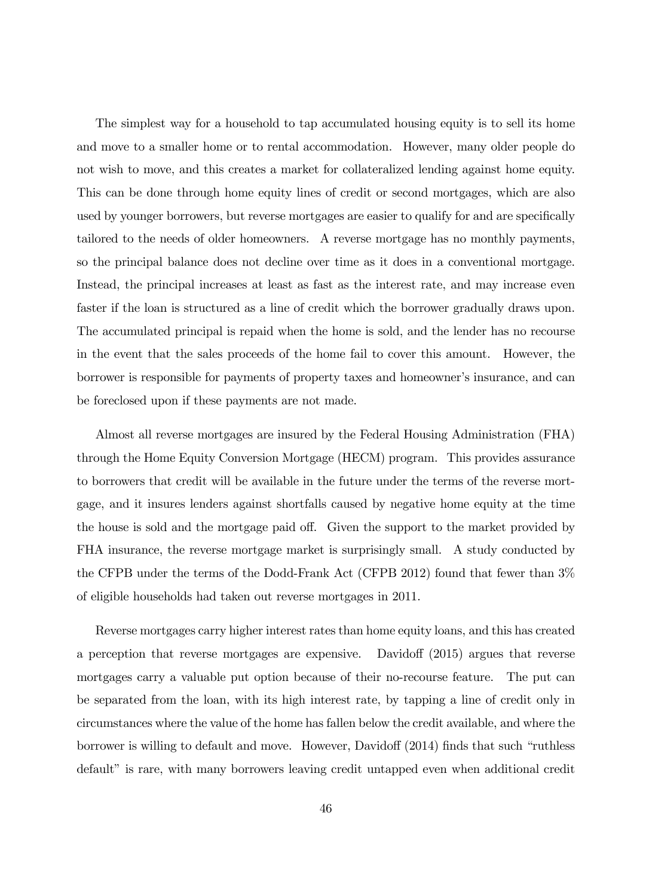The simplest way for a household to tap accumulated housing equity is to sell its home and move to a smaller home or to rental accommodation. However, many older people do not wish to move, and this creates a market for collateralized lending against home equity. This can be done through home equity lines of credit or second mortgages, which are also used by younger borrowers, but reverse mortgages are easier to qualify for and are specifically tailored to the needs of older homeowners. A reverse mortgage has no monthly payments, so the principal balance does not decline over time as it does in a conventional mortgage. Instead, the principal increases at least as fast as the interest rate, and may increase even faster if the loan is structured as a line of credit which the borrower gradually draws upon. The accumulated principal is repaid when the home is sold, and the lender has no recourse in the event that the sales proceeds of the home fail to cover this amount. However, the borrower is responsible for payments of property taxes and homeowner's insurance, and can be foreclosed upon if these payments are not made.

Almost all reverse mortgages are insured by the Federal Housing Administration (FHA) through the Home Equity Conversion Mortgage (HECM) program. This provides assurance to borrowers that credit will be available in the future under the terms of the reverse mortgage, and it insures lenders against shortfalls caused by negative home equity at the time the house is sold and the mortgage paid off. Given the support to the market provided by FHA insurance, the reverse mortgage market is surprisingly small. A study conducted by the CFPB under the terms of the Dodd-Frank Act (CFPB 2012) found that fewer than 3% of eligible households had taken out reverse mortgages in 2011.

Reverse mortgages carry higher interest rates than home equity loans, and this has created a perception that reverse mortgages are expensive. Davidoff (2015) argues that reverse mortgages carry a valuable put option because of their no-recourse feature. The put can be separated from the loan, with its high interest rate, by tapping a line of credit only in circumstances where the value of the home has fallen below the credit available, and where the borrower is willing to default and move. However, Davidoff (2014) finds that such "ruthless default" is rare, with many borrowers leaving credit untapped even when additional credit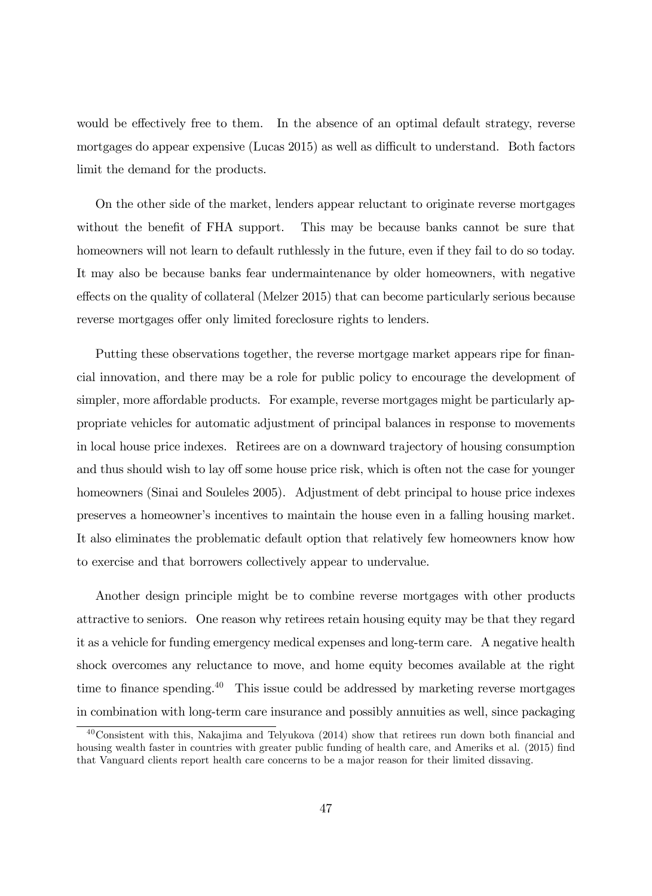would be effectively free to them. In the absence of an optimal default strategy, reverse mortgages do appear expensive (Lucas 2015) as well as difficult to understand. Both factors limit the demand for the products.

On the other side of the market, lenders appear reluctant to originate reverse mortgages without the benefit of FHA support. This may be because banks cannot be sure that homeowners will not learn to default ruthlessly in the future, even if they fail to do so today. It may also be because banks fear undermaintenance by older homeowners, with negative effects on the quality of collateral (Melzer 2015) that can become particularly serious because reverse mortgages offer only limited foreclosure rights to lenders.

Putting these observations together, the reverse mortgage market appears ripe for financial innovation, and there may be a role for public policy to encourage the development of simpler, more affordable products. For example, reverse mortgages might be particularly appropriate vehicles for automatic adjustment of principal balances in response to movements in local house price indexes. Retirees are on a downward trajectory of housing consumption and thus should wish to lay off some house price risk, which is often not the case for younger homeowners (Sinai and Souleles 2005). Adjustment of debt principal to house price indexes preserves a homeownerís incentives to maintain the house even in a falling housing market. It also eliminates the problematic default option that relatively few homeowners know how to exercise and that borrowers collectively appear to undervalue.

Another design principle might be to combine reverse mortgages with other products attractive to seniors. One reason why retirees retain housing equity may be that they regard it as a vehicle for funding emergency medical expenses and long-term care. A negative health shock overcomes any reluctance to move, and home equity becomes available at the right time to finance spending.<sup>40</sup> This issue could be addressed by marketing reverse mortgages in combination with long-term care insurance and possibly annuities as well, since packaging

 $40$ Consistent with this, Nakajima and Telyukova (2014) show that retirees run down both financial and housing wealth faster in countries with greater public funding of health care, and Ameriks et al. (2015) find that Vanguard clients report health care concerns to be a major reason for their limited dissaving.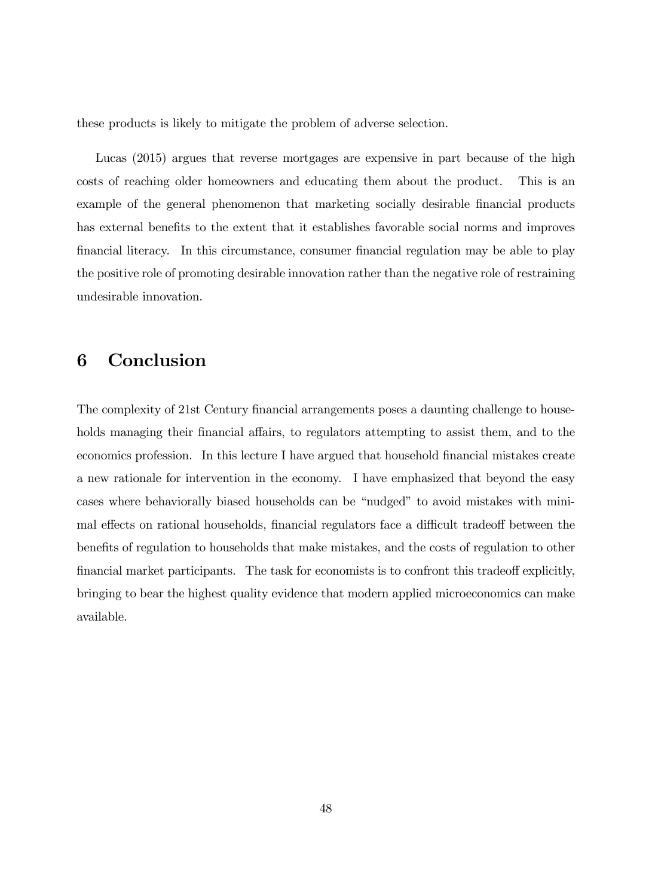these products is likely to mitigate the problem of adverse selection.

Lucas (2015) argues that reverse mortgages are expensive in part because of the high costs of reaching older homeowners and educating them about the product. This is an example of the general phenomenon that marketing socially desirable financial products has external benefits to the extent that it establishes favorable social norms and improves Önancial literacy. In this circumstance, consumer Önancial regulation may be able to play the positive role of promoting desirable innovation rather than the negative role of restraining undesirable innovation.

# 6 Conclusion

The complexity of 21st Century financial arrangements poses a daunting challenge to households managing their financial affairs, to regulators attempting to assist them, and to the economics profession. In this lecture I have argued that household financial mistakes create a new rationale for intervention in the economy. I have emphasized that beyond the easy cases where behaviorally biased households can be "nudged" to avoid mistakes with minimal effects on rational households, financial regulators face a difficult tradeoff between the benefits of regulation to households that make mistakes, and the costs of regulation to other financial market participants. The task for economists is to confront this tradeoff explicitly, bringing to bear the highest quality evidence that modern applied microeconomics can make available.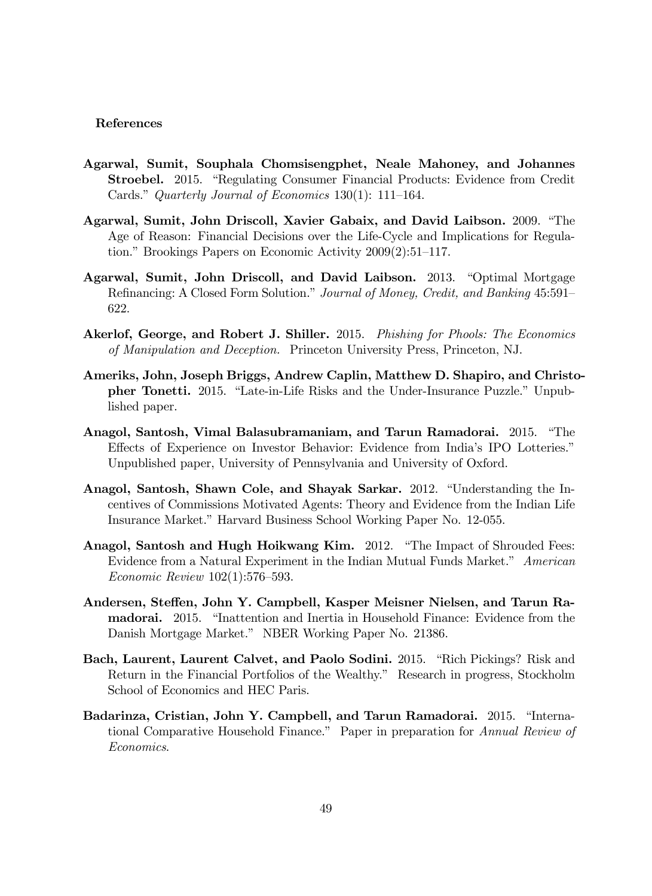#### References

- Agarwal, Sumit, Souphala Chomsisengphet, Neale Mahoney, and Johannes **Stroebel.** 2015. "Regulating Consumer Financial Products: Evidence from Credit Cards." Quarterly Journal of Economics 130(1): 111–164.
- Agarwal, Sumit, John Driscoll, Xavier Gabaix, and David Laibson. 2009. "The Age of Reason: Financial Decisions over the Life-Cycle and Implications for Regulation." Brookings Papers on Economic Activity  $2009(2):51-117$ .
- Agarwal, Sumit, John Driscoll, and David Laibson. 2013. "Optimal Mortgage Refinancing: A Closed Form Solution." Journal of Money, Credit, and Banking 45:591– 622.
- Akerlof, George, and Robert J. Shiller. 2015. Phishing for Phools: The Economics of Manipulation and Deception. Princeton University Press, Princeton, NJ.
- Ameriks, John, Joseph Briggs, Andrew Caplin, Matthew D. Shapiro, and Christopher Tonetti. 2015. "Late-in-Life Risks and the Under-Insurance Puzzle." Unpublished paper.
- Anagol, Santosh, Vimal Balasubramaniam, and Tarun Ramadorai. 2015. "The Effects of Experience on Investor Behavior: Evidence from India's IPO Lotteries." Unpublished paper, University of Pennsylvania and University of Oxford.
- Anagol, Santosh, Shawn Cole, and Shayak Sarkar. 2012. "Understanding the Incentives of Commissions Motivated Agents: Theory and Evidence from the Indian Life Insurance Market." Harvard Business School Working Paper No. 12-055.
- Anagol, Santosh and Hugh Hoikwang Kim. 2012. "The Impact of Shrouded Fees: Evidence from a Natural Experiment in the Indian Mutual Funds Market." American  $Economic$   $Review$   $102(1):576-593$ .
- Andersen, Steffen, John Y. Campbell, Kasper Meisner Nielsen, and Tarun Ra**madorai.** 2015. "Inattention and Inertia in Household Finance: Evidence from the Danish Mortgage Market." NBER Working Paper No. 21386.
- Bach, Laurent, Laurent Calvet, and Paolo Sodini. 2015. "Rich Pickings? Risk and Return in the Financial Portfolios of the Wealthy." Research in progress, Stockholm School of Economics and HEC Paris.
- Badarinza, Cristian, John Y. Campbell, and Tarun Ramadorai. 2015. "International Comparative Household Finance." Paper in preparation for Annual Review of Economics.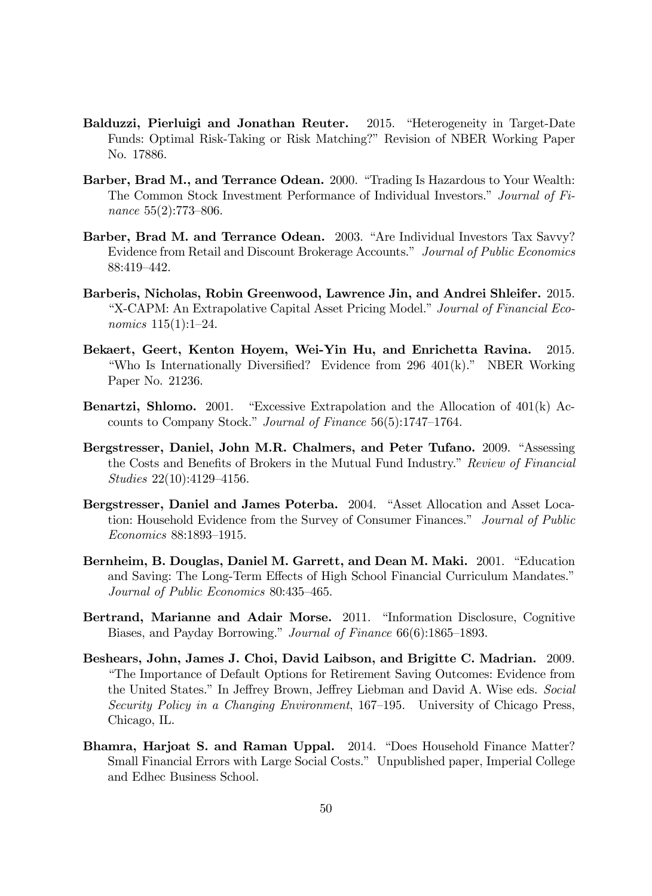- Balduzzi, Pierluigi and Jonathan Reuter. 2015. "Heterogeneity in Target-Date Funds: Optimal Risk-Taking or Risk Matching?î Revision of NBER Working Paper No. 17886.
- Barber, Brad M., and Terrance Odean. 2000. "Trading Is Hazardous to Your Wealth: The Common Stock Investment Performance of Individual Investors." Journal of Finance  $55(2)$ :773-806.
- Barber, Brad M. and Terrance Odean. 2003. "Are Individual Investors Tax Savvy? Evidence from Retail and Discount Brokerage Accounts." Journal of Public Economics 88:419-442.
- Barberis, Nicholas, Robin Greenwood, Lawrence Jin, and Andrei Shleifer. 2015. "X-CAPM: An Extrapolative Capital Asset Pricing Model." Journal of Financial Economics  $115(1):1-24$ .
- Bekaert, Geert, Kenton Hoyem, Wei-Yin Hu, and Enrichetta Ravina. 2015. "Who Is Internationally Diversified? Evidence from  $296 \cdot 401(k)$ ." NBER Working Paper No. 21236.
- **Benartzi, Shlomo.** 2001. "Excessive Extrapolation and the Allocation of  $401(k)$  Accounts to Company Stock." Journal of Finance  $56(5):1747-1764$ .
- Bergstresser, Daniel, John M.R. Chalmers, and Peter Tufano. 2009. "Assessing the Costs and Benefits of Brokers in the Mutual Fund Industry." Review of Financial Studies  $22(10):4129-4156$ .
- Bergstresser, Daniel and James Poterba. 2004. "Asset Allocation and Asset Location: Household Evidence from the Survey of Consumer Finances." Journal of Public Economics 88:1893-1915.
- Bernheim, B. Douglas, Daniel M. Garrett, and Dean M. Maki. 2001. "Education and Saving: The Long-Term Effects of High School Financial Curriculum Mandates." Journal of Public Economics 80:435-465.
- Bertrand, Marianne and Adair Morse. 2011. "Information Disclosure, Cognitive Biases, and Payday Borrowing." Journal of Finance 66(6):1865–1893.
- Beshears, John, James J. Choi, David Laibson, and Brigitte C. Madrian. 2009. ìThe Importance of Default Options for Retirement Saving Outcomes: Evidence from the United States." In Jeffrey Brown, Jeffrey Liebman and David A. Wise eds. Social Security Policy in a Changing Environment,  $167-195$ . University of Chicago Press, Chicago, IL.
- Bhamra, Harjoat S. and Raman Uppal. 2014. "Does Household Finance Matter? Small Financial Errors with Large Social Costs." Unpublished paper, Imperial College and Edhec Business School.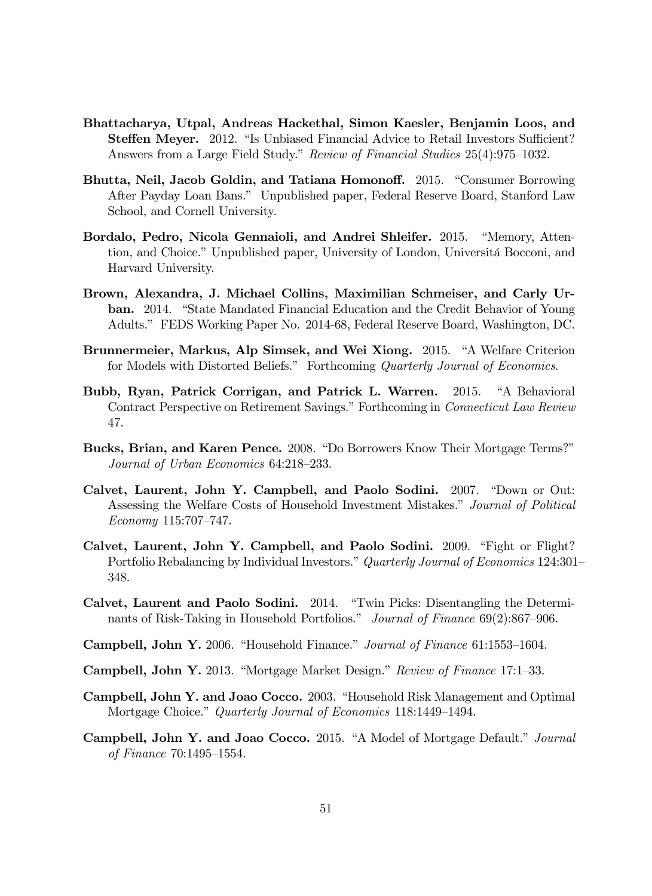- Bhattacharya, Utpal, Andreas Hackethal, Simon Kaesler, Benjamin Loos, and **Steffen Meyer.** 2012. "Is Unbiased Financial Advice to Retail Investors Sufficient? Answers from a Large Field Study." Review of Financial Studies 25(4):975–1032.
- Bhutta, Neil, Jacob Goldin, and Tatiana Homonoff. 2015. "Consumer Borrowing After Payday Loan Bans." Unpublished paper, Federal Reserve Board, Stanford Law School, and Cornell University.
- Bordalo, Pedro, Nicola Gennaioli, and Andrei Shleifer. 2015. "Memory, Attention, and Choice." Unpublished paper, University of London, Universitá Bocconi, and Harvard University.
- Brown, Alexandra, J. Michael Collins, Maximilian Schmeiser, and Carly Urban. 2014. "State Mandated Financial Education and the Credit Behavior of Young Adults.î FEDS Working Paper No. 2014-68, Federal Reserve Board, Washington, DC.
- Brunnermeier, Markus, Alp Simsek, and Wei Xiong. 2015. "A Welfare Criterion for Models with Distorted Beliefs." Forthcoming Quarterly Journal of Economics.
- Bubb, Ryan, Patrick Corrigan, and Patrick L. Warren. 2015. "A Behavioral Contract Perspective on Retirement Savings." Forthcoming in Connecticut Law Review 47.
- Bucks, Brian, and Karen Pence. 2008. "Do Borrowers Know Their Mortgage Terms?" Journal of Urban Economics 64:218–233.
- Calvet, Laurent, John Y. Campbell, and Paolo Sodini. 2007. "Down or Out: Assessing the Welfare Costs of Household Investment Mistakes." Journal of Political  $Economy 115:707–747.$
- Calvet, Laurent, John Y. Campbell, and Paolo Sodini. 2009. "Fight or Flight? Portfolio Rebalancing by Individual Investors." Quarterly Journal of Economics 124:301– 348.
- Calvet, Laurent and Paolo Sodini. 2014. "Twin Picks: Disentangling the Determinants of Risk-Taking in Household Portfolios." Journal of Finance  $69(2):867-906$ .
- Campbell, John Y. 2006. "Household Finance." Journal of Finance 61:1553-1604.
- **Campbell, John Y.** 2013. "Mortgage Market Design." Review of Finance 17:1–33.
- Campbell, John Y. and Joao Cocco. 2003. "Household Risk Management and Optimal Mortgage Choice." Quarterly Journal of Economics 118:1449-1494.
- Campbell, John Y. and Joao Cocco. 2015. "A Model of Mortgage Default." Journal of Finance  $70:1495 - 1554$ .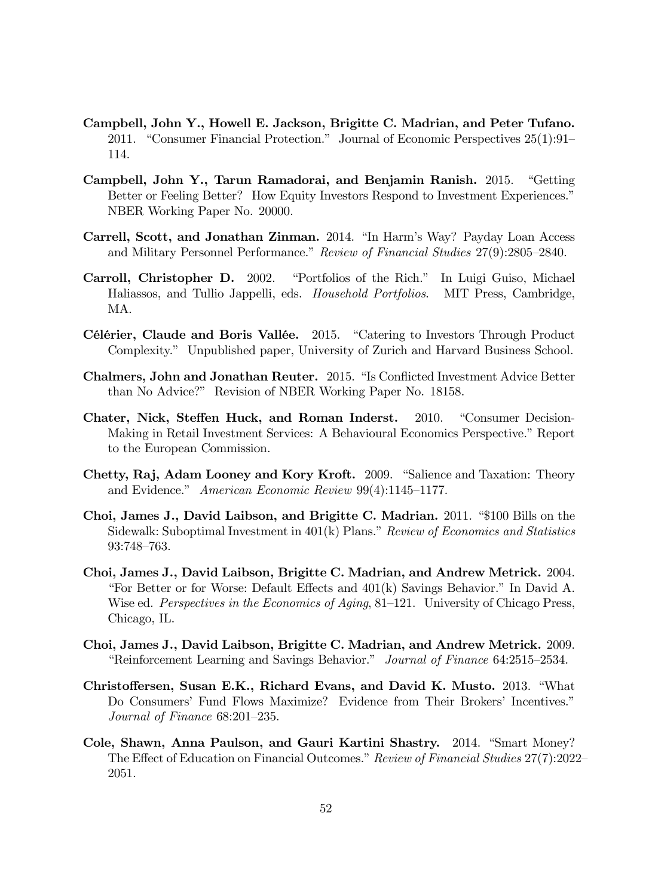- Campbell, John Y., Howell E. Jackson, Brigitte C. Madrian, and Peter Tufano. 2011. "Consumer Financial Protection." Journal of Economic Perspectives  $25(1):91$ – 114.
- Campbell, John Y., Tarun Ramadorai, and Benjamin Ranish. 2015. "Getting Better or Feeling Better? How Equity Investors Respond to Investment Experiences." NBER Working Paper No. 20000.
- Carrell, Scott, and Jonathan Zinman. 2014. "In Harm's Way? Payday Loan Access and Military Personnel Performance." Review of Financial Studies 27(9):2805–2840.
- Carroll, Christopher D. 2002. "Portfolios of the Rich." In Luigi Guiso, Michael Haliassos, and Tullio Jappelli, eds. Household Portfolios. MIT Press, Cambridge, MA.
- Célérier, Claude and Boris Vallée. 2015. "Catering to Investors Through Product Complexity." Unpublished paper, University of Zurich and Harvard Business School.
- Chalmers, John and Jonathan Reuter. 2015. "Is Conflicted Investment Advice Better than No Advice?" Revision of NBER Working Paper No. 18158.
- Chater, Nick, Steffen Huck, and Roman Inderst. 2010. "Consumer Decision-Making in Retail Investment Services: A Behavioural Economics Perspective." Report to the European Commission.
- Chetty, Raj, Adam Looney and Kory Kroft. 2009. "Salience and Taxation: Theory and Evidence." American Economic Review  $99(4)$ :1145-1177.
- Choi, James J., David Laibson, and Brigitte C. Madrian. 2011. "\$100 Bills on the Sidewalk: Suboptimal Investment in  $401(k)$  Plans." Review of Economics and Statistics 93:748-763.
- Choi, James J., David Laibson, Brigitte C. Madrian, and Andrew Metrick. 2004. "For Better or for Worse: Default Effects and  $401(k)$  Savings Behavior." In David A. Wise ed. Perspectives in the Economics of Aging, 81–121. University of Chicago Press, Chicago, IL.
- Choi, James J., David Laibson, Brigitte C. Madrian, and Andrew Metrick. 2009. *E*inforcement Learning and Savings Behavior." Journal of Finance 64:2515–2534.
- Christoffersen, Susan E.K., Richard Evans, and David K. Musto. 2013. "What Do Consumers' Fund Flows Maximize? Evidence from Their Brokers' Incentives." Journal of Finance  $68:201-235$ .
- Cole, Shawn, Anna Paulson, and Gauri Kartini Shastry. 2014. "Smart Money? The Effect of Education on Financial Outcomes." Review of Financial Studies 27(7):2022 2051.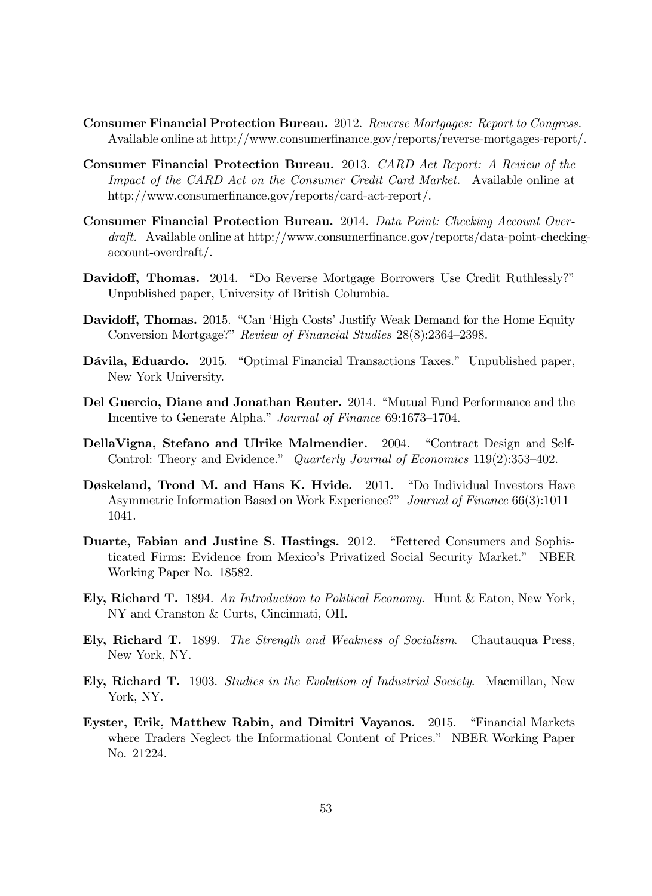- Consumer Financial Protection Bureau. 2012. Reverse Mortgages: Report to Congress. Available online at http://www.consumerfinance.gov/reports/reverse-mortgages-report/.
- Consumer Financial Protection Bureau. 2013. CARD Act Report: A Review of the Impact of the CARD Act on the Consumer Credit Card Market. Available online at http://www.consumerfinance.gov/reports/card-act-report/.
- Consumer Financial Protection Bureau. 2014. Data Point: Checking Account Over $draff.$  Available online at http://www.consumerfinance.gov/reports/data-point-checkingaccount-overdraft/.
- Davidoff, Thomas. 2014. "Do Reverse Mortgage Borrowers Use Credit Ruthlessly?" Unpublished paper, University of British Columbia.
- Davidoff, Thomas. 2015. "Can 'High Costs' Justify Weak Demand for the Home Equity Conversion Mortgage?" Review of Financial Studies 28(8):2364-2398.
- Dávila, Eduardo. 2015. "Optimal Financial Transactions Taxes." Unpublished paper, New York University.
- Del Guercio, Diane and Jonathan Reuter. 2014. "Mutual Fund Performance and the Incentive to Generate Alpha." Journal of Finance 69:1673-1704.
- DellaVigna, Stefano and Ulrike Malmendier. 2004. "Contract Design and Self-Control: Theory and Evidence." Quarterly Journal of Economics  $119(2):353-402$ .
- Døskeland, Trond M. and Hans K. Hvide. 2011. "Do Individual Investors Have Asymmetric Information Based on Work Experience?" Journal of Finance 66(3):1011– 1041.
- Duarte, Fabian and Justine S. Hastings. 2012. "Fettered Consumers and Sophisticated Firms: Evidence from Mexicoís Privatized Social Security Market.î NBER Working Paper No. 18582.
- Ely, Richard T. 1894. An Introduction to Political Economy. Hunt & Eaton, New York, NY and Cranston & Curts, Cincinnati, OH.
- Ely, Richard T. 1899. The Strength and Weakness of Socialism. Chautauqua Press, New York, NY.
- Ely, Richard T. 1903. Studies in the Evolution of Industrial Society. Macmillan, New York, NY.
- Eyster, Erik, Matthew Rabin, and Dimitri Vayanos. 2015. "Financial Markets where Traders Neglect the Informational Content of Prices." NBER Working Paper No. 21224.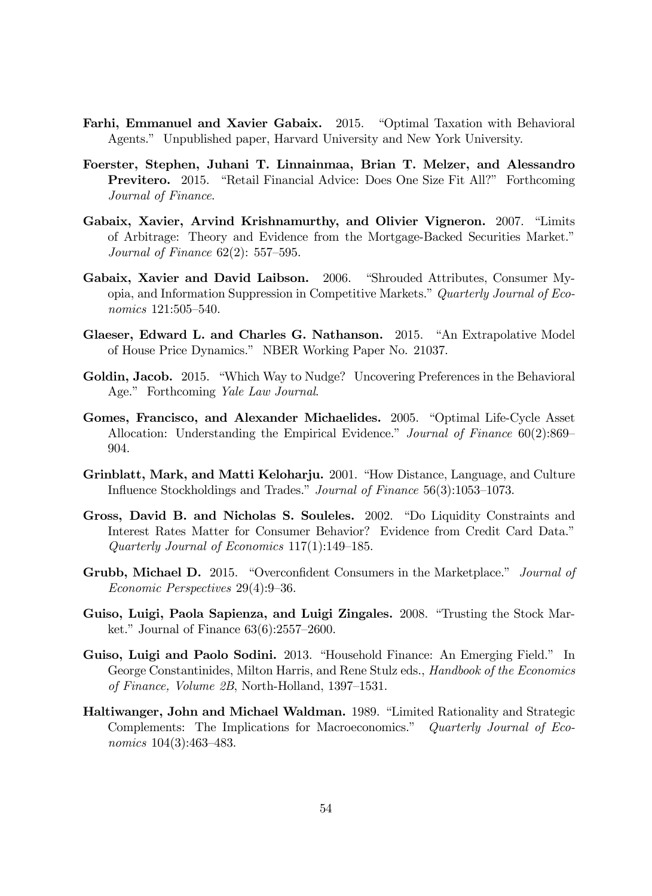- Farhi, Emmanuel and Xavier Gabaix. 2015. "Optimal Taxation with Behavioral Agents.î Unpublished paper, Harvard University and New York University.
- Foerster, Stephen, Juhani T. Linnainmaa, Brian T. Melzer, and Alessandro **Previtero.** 2015. "Retail Financial Advice: Does One Size Fit All?" Forthcoming Journal of Finance.
- Gabaix, Xavier, Arvind Krishnamurthy, and Olivier Vigneron. 2007. "Limits of Arbitrage: Theory and Evidence from the Mortgage-Backed Securities Market." Journal of Finance  $62(2)$ : 557–595.
- Gabaix, Xavier and David Laibson. 2006. "Shrouded Attributes, Consumer Myopia, and Information Suppression in Competitive Markets." Quarterly Journal of Eco $nonics$  121:505-540.
- Glaeser, Edward L. and Charles G. Nathanson. 2015. "An Extrapolative Model of House Price Dynamics.î NBER Working Paper No. 21037.
- Goldin, Jacob. 2015. "Which Way to Nudge? Uncovering Preferences in the Behavioral Age." Forthcoming Yale Law Journal.
- Gomes, Francisco, and Alexander Michaelides. 2005. "Optimal Life-Cycle Asset Allocation: Understanding the Empirical Evidence." Journal of Finance  $60(2)$ :869– 904.
- Grinblatt, Mark, and Matti Keloharju. 2001. "How Distance, Language, and Culture Influence Stockholdings and Trades." Journal of Finance  $56(3):1053-1073$ .
- Gross, David B. and Nicholas S. Souleles. 2002. "Do Liquidity Constraints and Interest Rates Matter for Consumer Behavior? Evidence from Credit Card Data.<sup>n</sup> Quarterly Journal of Economics  $117(1):149-185$ .
- Grubb, Michael D. 2015. "Overconfident Consumers in the Marketplace." Journal of Economic Perspectives  $29(4):9-36$ .
- Guiso, Luigi, Paola Sapienza, and Luigi Zingales. 2008. "Trusting the Stock Market." Journal of Finance  $63(6)$ :2557–2600.
- Guiso, Luigi and Paolo Sodini. 2013. "Household Finance: An Emerging Field." In George Constantinides, Milton Harris, and Rene Stulz eds., *Handbook of the Economics* of Finance, Volume  $2B$ , North-Holland, 1397–1531.
- **Haltiwanger, John and Michael Waldman.** 1989. "Limited Rationality and Strategic Complements: The Implications for Macroeconomics." Quarterly Journal of Economics  $104(3):463-483$ .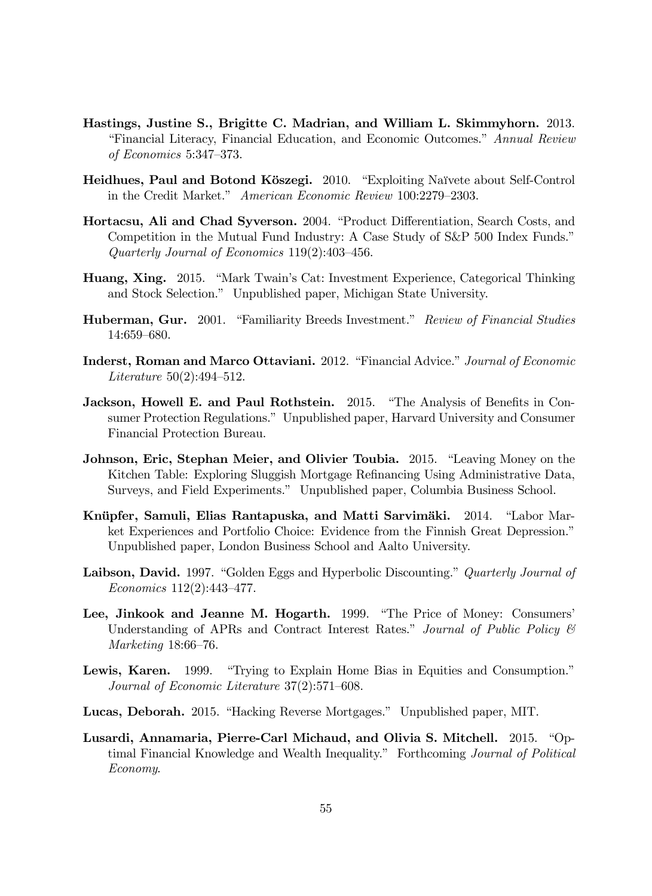- Hastings, Justine S., Brigitte C. Madrian, and William L. Skimmyhorn. 2013. "Financial Literacy, Financial Education, and Economic Outcomes." Annual Review of Economics  $5:347-373$ .
- Heidhues, Paul and Botond Köszegi. 2010. "Exploiting Naïvete about Self-Control in the Credit Market." American Economic Review 100:2279-2303.
- Hortacsu, Ali and Chad Syverson. 2004. "Product Differentiation, Search Costs, and Competition in the Mutual Fund Industry: A Case Study of S&P 500 Index Funds.<sup>n</sup> Quarterly Journal of Economics  $119(2):403-456$ .
- Huang, Xing. 2015. "Mark Twain's Cat: Investment Experience, Categorical Thinking and Stock Selection.î Unpublished paper, Michigan State University.
- Huberman, Gur. 2001. "Familiarity Breeds Investment." Review of Financial Studies 14:659-680.
- Inderst, Roman and Marco Ottaviani. 2012. "Financial Advice." Journal of Economic Literature  $50(2):494-512$ .
- **Jackson, Howell E. and Paul Rothstein.** 2015. "The Analysis of Benefits in Consumer Protection Regulations." Unpublished paper, Harvard University and Consumer Financial Protection Bureau.
- Johnson, Eric, Stephan Meier, and Olivier Toubia. 2015. "Leaving Money on the Kitchen Table: Exploring Sluggish Mortgage Refinancing Using Administrative Data, Surveys, and Field Experiments." Unpublished paper, Columbia Business School.
- Knüpfer, Samuli, Elias Rantapuska, and Matti Sarvimäki. 2014. "Labor Market Experiences and Portfolio Choice: Evidence from the Finnish Great Depression.<sup>"</sup> Unpublished paper, London Business School and Aalto University.
- **Laibson, David.** 1997. "Golden Eggs and Hyperbolic Discounting." Quarterly Journal of  $Economics 112(2):443-477.$
- Lee, Jinkook and Jeanne M. Hogarth. 1999. "The Price of Money: Consumers' Understanding of APRs and Contract Interest Rates." Journal of Public Policy  $\mathcal C$ Marketing  $18:66-76$ .
- **Lewis, Karen.** 1999. "Trying to Explain Home Bias in Equities and Consumption." Journal of Economic Literature  $37(2):571-608$ .
- Lucas, Deborah. 2015. "Hacking Reverse Mortgages." Unpublished paper, MIT.
- Lusardi, Annamaria, Pierre-Carl Michaud, and Olivia S. Mitchell. 2015. "Optimal Financial Knowledge and Wealth Inequality." Forthcoming Journal of Political Economy.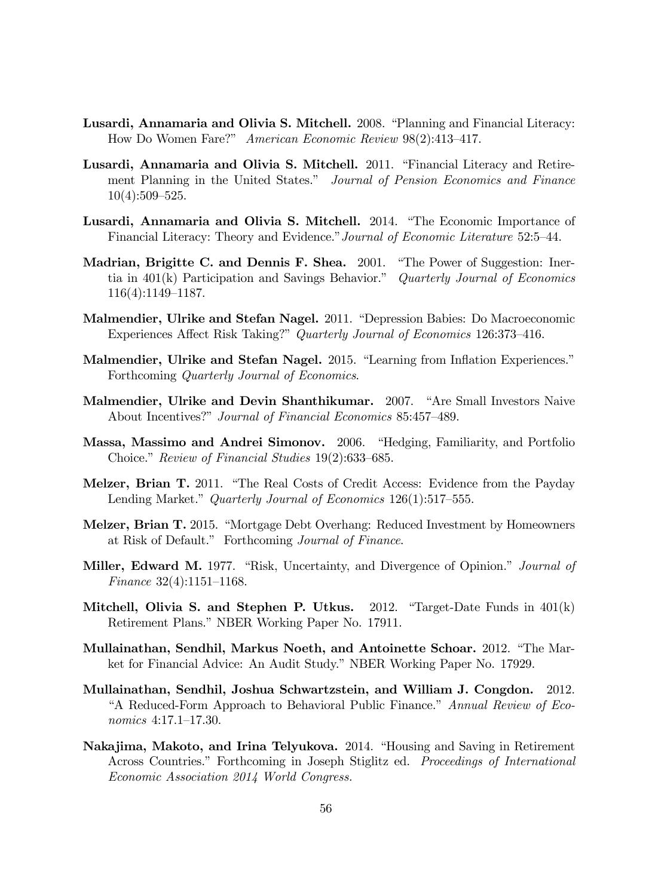- Lusardi, Annamaria and Olivia S. Mitchell. 2008. "Planning and Financial Literacy: How Do Women Fare?" American Economic Review 98(2):413-417.
- Lusardi, Annamaria and Olivia S. Mitchell. 2011. "Financial Literacy and Retirement Planning in the United States." Journal of Pension Economics and Finance  $10(4):509-525.$
- Lusardi, Annamaria and Olivia S. Mitchell. 2014. "The Economic Importance of Financial Literacy: Theory and Evidence." Journal of Economic Literature 52:5–44.
- Madrian, Brigitte C. and Dennis F. Shea. 2001. "The Power of Suggestion: Inertia in  $401(k)$  Participation and Savings Behavior." Quarterly Journal of Economics  $116(4):1149-1187.$
- Malmendier, Ulrike and Stefan Nagel. 2011. "Depression Babies: Do Macroeconomic Experiences Affect Risk Taking?" Quarterly Journal of Economics 126:373-416.
- Malmendier, Ulrike and Stefan Nagel. 2015. "Learning from Inflation Experiences." Forthcoming Quarterly Journal of Economics.
- Malmendier, Ulrike and Devin Shanthikumar. 2007. "Are Small Investors Naive About Incentives?" Journal of Financial Economics 85:457-489.
- Massa, Massimo and Andrei Simonov. 2006. "Hedging, Familiarity, and Portfolio Choice." Review of Financial Studies  $19(2):633-685$ .
- Melzer, Brian T. 2011. "The Real Costs of Credit Access: Evidence from the Payday Lending Market." Quarterly Journal of Economics  $126(1):517-555$ .
- Melzer, Brian T. 2015. "Mortgage Debt Overhang: Reduced Investment by Homeowners at Risk of Default." Forthcoming Journal of Finance.
- Miller, Edward M. 1977. "Risk, Uncertainty, and Divergence of Opinion." Journal of Finance  $32(4):1151-1168$ .
- Mitchell, Olivia S. and Stephen P. Utkus.  $2012$ . "Target-Date Funds in  $401(k)$ Retirement Plans." NBER Working Paper No. 17911.
- Mullainathan, Sendhil, Markus Noeth, and Antoinette Schoar. 2012. "The Market for Financial Advice: An Audit Study." NBER Working Paper No. 17929.
- Mullainathan, Sendhil, Joshua Schwartzstein, and William J. Congdon. 2012. <sup>4</sup>A Reduced-Form Approach to Behavioral Public Finance.<sup>3</sup> Annual Review of Eco $nonics$  4:17.1-17.30.
- Nakajima, Makoto, and Irina Telyukova. 2014. "Housing and Saving in Retirement Across Countries." Forthcoming in Joseph Stiglitz ed. Proceedings of International Economic Association 2014 World Congress.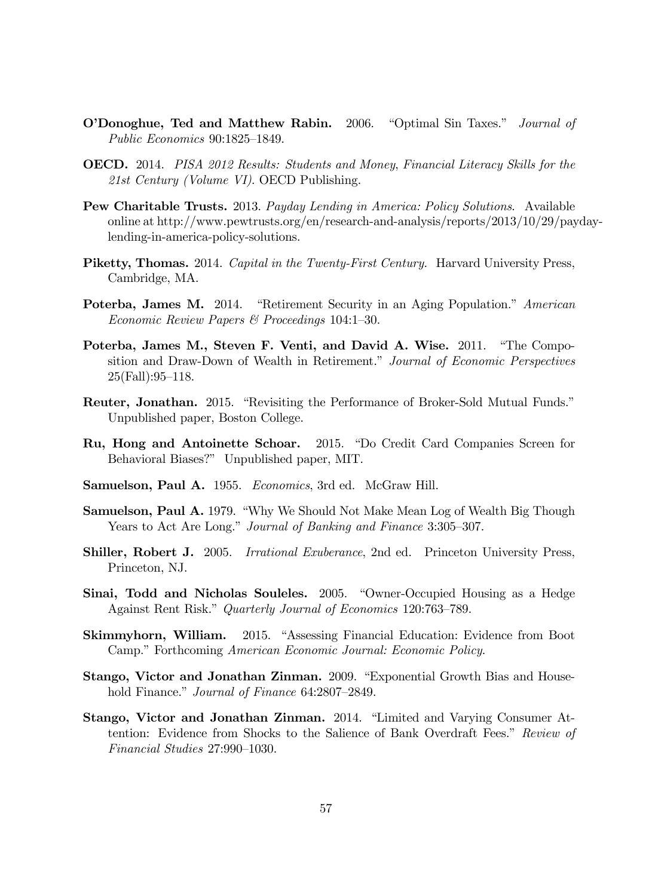- **O'Donoghue, Ted and Matthew Rabin.** 2006. "Optimal Sin Taxes." *Journal of* Public Economics  $90:1825-1849$ .
- OECD. 2014. PISA 2012 Results: Students and Money, Financial Literacy Skills for the 21st Century (Volume VI). OECD Publishing.
- Pew Charitable Trusts. 2013. Payday Lending in America: Policy Solutions. Available online at http://www.pewtrusts.org/en/research-and-analysis/reports/2013/10/29/paydaylending-in-america-policy-solutions.
- Piketty, Thomas. 2014. Capital in the Twenty-First Century. Harvard University Press, Cambridge, MA.
- Poterba, James M. 2014. "Retirement Security in an Aging Population." American Economic Review Papers & Proceedings  $104:1-30$ .
- Poterba, James M., Steven F. Venti, and David A. Wise. 2011. "The Composition and Draw-Down of Wealth in Retirement." Journal of Economic Perspectives  $25(Fall):95–118.$
- **Reuter, Jonathan.** 2015. "Revisiting the Performance of Broker-Sold Mutual Funds." Unpublished paper, Boston College.
- Ru, Hong and Antoinette Schoar. 2015. "Do Credit Card Companies Screen for Behavioral Biases?" Unpublished paper, MIT.
- Samuelson, Paul A. 1955. Economics, 3rd ed. McGraw Hill.
- Samuelson, Paul A. 1979. "Why We Should Not Make Mean Log of Wealth Big Though Years to Act Are Long." Journal of Banking and Finance 3:305-307.
- Shiller, Robert J. 2005. Irrational Exuberance, 2nd ed. Princeton University Press, Princeton, NJ.
- Sinai, Todd and Nicholas Souleles. 2005. "Owner-Occupied Housing as a Hedge Against Rent Risk." Quarterly Journal of Economics 120:763–789.
- **Skimmyhorn, William.** 2015. "Assessing Financial Education: Evidence from Boot Camp." Forthcoming American Economic Journal: Economic Policy.
- Stango, Victor and Jonathan Zinman. 2009. "Exponential Growth Bias and Household Finance." Journal of Finance 64:2807-2849.
- Stango, Victor and Jonathan Zinman. 2014. "Limited and Varying Consumer Attention: Evidence from Shocks to the Salience of Bank Overdraft Fees." Review of  $Financial Studies 27:990-1030.$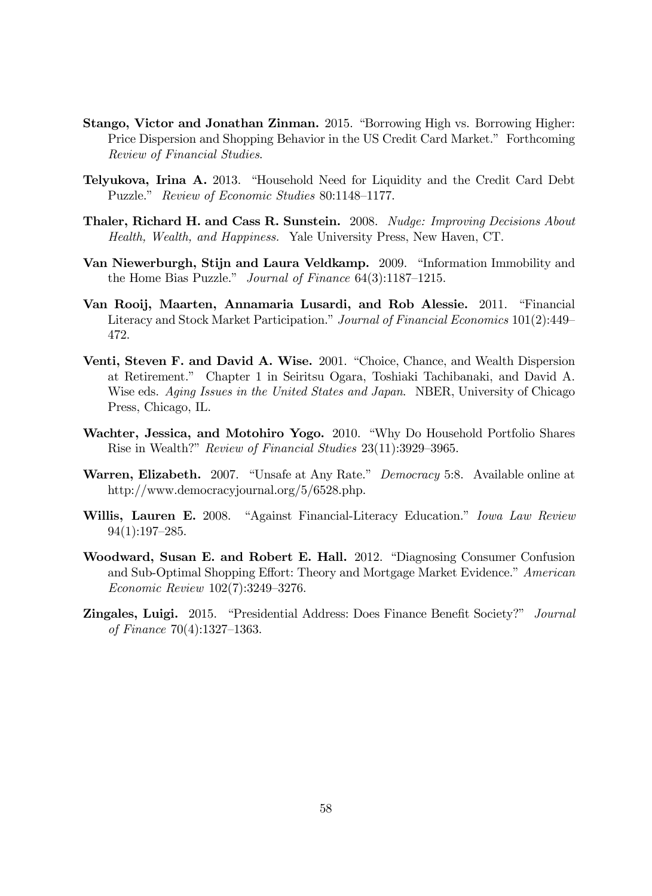- Stango, Victor and Jonathan Zinman. 2015. "Borrowing High vs. Borrowing Higher: Price Dispersion and Shopping Behavior in the US Credit Card Market." Forthcoming Review of Financial Studies.
- Telyukova, Irina A. 2013. "Household Need for Liquidity and the Credit Card Debt Puzzle." Review of Economic Studies 80:1148-1177.
- Thaler, Richard H. and Cass R. Sunstein. 2008. Nudge: Improving Decisions About Health, Wealth, and Happiness. Yale University Press, New Haven, CT.
- Van Niewerburgh, Stijn and Laura Veldkamp. 2009. "Information Immobility and the Home Bias Puzzle." Journal of Finance  $64(3):1187-1215$ .
- Van Rooij, Maarten, Annamaria Lusardi, and Rob Alessie. 2011. "Financial Literacy and Stock Market Participation." Journal of Financial Economics 101(2):449 472.
- Venti, Steven F. and David A. Wise. 2001. "Choice, Chance, and Wealth Dispersion at Retirement.î Chapter 1 in Seiritsu Ogara, Toshiaki Tachibanaki, and David A. Wise eds. Aging Issues in the United States and Japan. NBER, University of Chicago Press, Chicago, IL.
- Wachter, Jessica, and Motohiro Yogo. 2010. "Why Do Household Portfolio Shares Rise in Wealth?" Review of Financial Studies 23(11):3929–3965.
- Warren, Elizabeth. 2007. "Unsafe at Any Rate." Democracy 5:8. Available online at http://www.democracyjournal.org/5/6528.php.
- Willis, Lauren E. 2008. "Against Financial-Literacy Education." Iowa Law Review  $94(1):197-285.$
- Woodward, Susan E. and Robert E. Hall. 2012. "Diagnosing Consumer Confusion and Sub-Optimal Shopping Effort: Theory and Mortgage Market Evidence.<sup>"</sup> American Economic Review  $102(7)$ :3249-3276.
- **Zingales, Luigi.** 2015. "Presidential Address: Does Finance Benefit Society?" *Journal* of Finance  $70(4):1327-1363$ .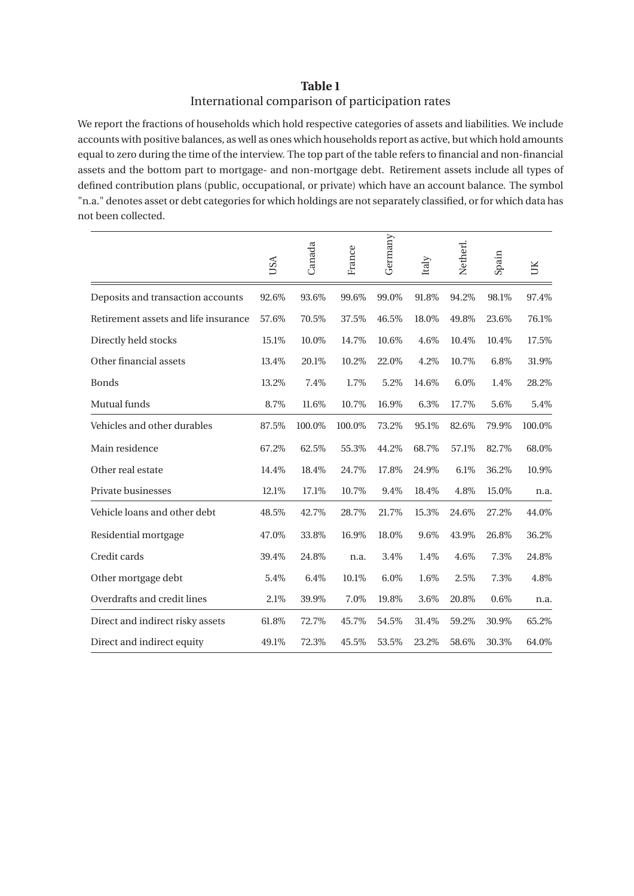## **Table 1** International comparison of participation rates

We report the fractions of households which hold respective categories of assets and liabilities. We include accounts with positive balances, as well as ones which households report as active, but which hold amounts equal to zero during the time of the interview. The top part of the table refers to financial and non-financial assets and the bottom part to mortgage- and non-mortgage debt. Retirement assets include all types of defined contribution plans (public, occupational, or private) which have an account balance. The symbol "n.a." denotes asset or debt categories for which holdings are not separately classified, or for which data has not been collected.

|                                      | USA   | Canada | France | Germany | Italy | Netherl. | Spain | ŬК     |
|--------------------------------------|-------|--------|--------|---------|-------|----------|-------|--------|
| Deposits and transaction accounts    | 92.6% | 93.6%  | 99.6%  | 99.0%   | 91.8% | 94.2%    | 98.1% | 97.4%  |
| Retirement assets and life insurance | 57.6% | 70.5%  | 37.5%  | 46.5%   | 18.0% | 49.8%    | 23.6% | 76.1%  |
| Directly held stocks                 | 15.1% | 10.0%  | 14.7%  | 10.6%   | 4.6%  | 10.4%    | 10.4% | 17.5%  |
| Other financial assets               | 13.4% | 20.1%  | 10.2%  | 22.0%   | 4.2%  | 10.7%    | 6.8%  | 31.9%  |
| <b>Bonds</b>                         | 13.2% | 7.4%   | 1.7%   | 5.2%    | 14.6% | $6.0\%$  | 1.4%  | 28.2%  |
| Mutual funds                         | 8.7%  | 11.6%  | 10.7%  | 16.9%   | 6.3%  | 17.7%    | 5.6%  | 5.4%   |
| Vehicles and other durables          | 87.5% | 100.0% | 100.0% | 73.2%   | 95.1% | 82.6%    | 79.9% | 100.0% |
| Main residence                       | 67.2% | 62.5%  | 55.3%  | 44.2%   | 68.7% | 57.1%    | 82.7% | 68.0%  |
| Other real estate                    | 14.4% | 18.4%  | 24.7%  | 17.8%   | 24.9% | 6.1%     | 36.2% | 10.9%  |
| Private businesses                   | 12.1% | 17.1%  | 10.7%  | 9.4%    | 18.4% | 4.8%     | 15.0% | n.a.   |
| Vehicle loans and other debt         | 48.5% | 42.7%  | 28.7%  | 21.7%   | 15.3% | 24.6%    | 27.2% | 44.0%  |
| Residential mortgage                 | 47.0% | 33.8%  | 16.9%  | 18.0%   | 9.6%  | 43.9%    | 26.8% | 36.2%  |
| Credit cards                         | 39.4% | 24.8%  | n.a.   | 3.4%    | 1.4%  | 4.6%     | 7.3%  | 24.8%  |
| Other mortgage debt                  | 5.4%  | 6.4%   | 10.1%  | 6.0%    | 1.6%  | 2.5%     | 7.3%  | 4.8%   |
| Overdrafts and credit lines          | 2.1%  | 39.9%  | 7.0%   | 19.8%   | 3.6%  | 20.8%    | 0.6%  | n.a.   |
| Direct and indirect risky assets     | 61.8% | 72.7%  | 45.7%  | 54.5%   | 31.4% | 59.2%    | 30.9% | 65.2%  |
| Direct and indirect equity           | 49.1% | 72.3%  | 45.5%  | 53.5%   | 23.2% | 58.6%    | 30.3% | 64.0%  |